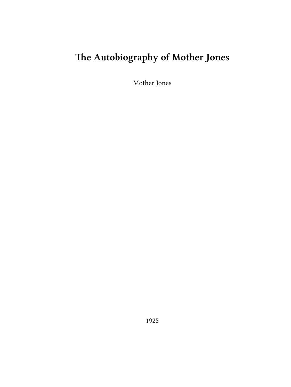# **The Autobiography of Mother Jones**

Mother Jones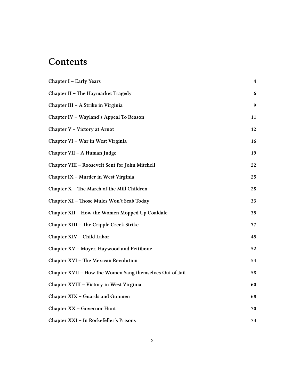## **Contents**

| Chapter I - Early Years                                  | 4  |
|----------------------------------------------------------|----|
| Chapter II - The Haymarket Tragedy                       | 6  |
| Chapter III – A Strike in Virginia                       | 9  |
| Chapter IV - Wayland's Appeal To Reason                  | 11 |
| Chapter V - Victory at Arnot                             | 12 |
| Chapter VI - War in West Virginia                        | 16 |
| Chapter VII - A Human Judge                              | 19 |
| Chapter VIII - Roosevelt Sent for John Mitchell          | 22 |
| Chapter IX - Murder in West Virginia                     | 25 |
| Chapter $X$ – The March of the Mill Children             | 28 |
| Chapter XI - Those Mules Won't Scab Today                | 33 |
| Chapter XII - How the Women Mopped Up Coaldale           | 35 |
| Chapter XIII – The Cripple Creek Strike                  | 37 |
| Chapter XIV - Child Labor                                | 45 |
| Chapter XV - Moyer, Haywood and Pettibone                | 52 |
| <b>Chapter XVI - The Mexican Revolution</b>              | 54 |
| Chapter XVII - How the Women Sang themselves Out of Jail | 58 |
| Chapter XVIII - Victory in West Virginia                 | 60 |
| <b>Chapter XIX - Guards and Gunmen</b>                   | 68 |
| <b>Chapter XX - Governor Hunt</b>                        | 70 |
| Chapter XXI - In Rockefeller's Prisons                   | 73 |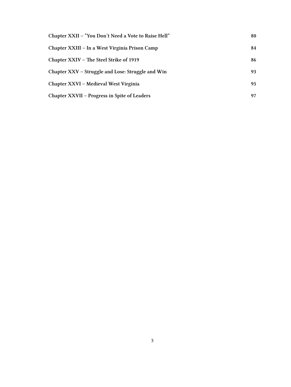| Chapter XXII - "You Don't Need a Vote to Raise Hell" | 80 |
|------------------------------------------------------|----|
| Chapter XXIII – In a West Virginia Prison Camp       | 84 |
| Chapter XXIV – The Steel Strike of 1919              | 86 |
| Chapter XXV – Struggle and Lose: Struggle and Win    | 93 |
| Chapter XXVI – Medieval West Virginia                | 95 |
| Chapter XXVII – Progress in Spite of Leaders         | 97 |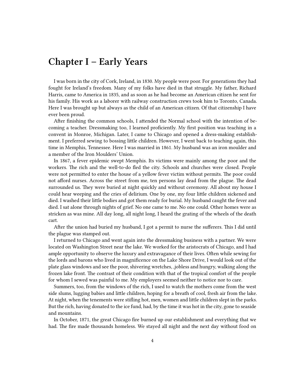### <span id="page-3-0"></span>**Chapter I – Early Years**

I was born in the city of Cork, Ireland, in 1830. My people were poor. For generations they had fought for Ireland's freedom. Many of my folks have died in that struggle. My father, Richard Harris, came to America in 1835, and as soon as he had become an American citizen he sent for his family. His work as a laborer with railway construction crews took him to Toronto, Canada. Here I was brought up but always as the child of an American citizen. Of that citizenship I have ever been proud.

After finishing the common schools, I attended the Normal school with the intention of becoming a teacher. Dressmaking too, I learned proficiently. My first position was teaching in a convent in Monroe, Michigan. Later, I came to Chicago and opened a dress-making establishment. I preferred sewing to bossing little children. However, I went back to teaching again, this time in Memphis, Tennessee. Here I was married in 1861. My husband was an iron moulder and a member of the Iron Moulders' Union.

In 1867, a fever epidemic swept Memphis. Its victims were mainly among the poor and the workers. The rich and the well-to-do fled the city. Schools and churches were closed. People were not permitted to enter the house of a yellow fever victim without permits. The poor could not afford nurses. Across the street from me, ten persons lay dead from the plague. The dead surrounded us. They were buried at night quickly and without ceremony. All about my house I could hear weeping and the cries of delirium. One by one, my four little children sickened and died. I washed their little bodies and got them ready for burial. My husband caught the fever and died. I sat alone through nights of grief. No one came to me. No one could. Other homes were as stricken as was mine. All day long, all night long, I heard the grating of the wheels of the death cart.

After the union had buried my husband, I got a permit to nurse the sufferers. This I did until the plague was stamped out.

I returned to Chicago and went again into the dressmaking business with a partner. We were located on Washington Street near the lake. We worked for the aristocrats of Chicago, and I had ample opportunity to observe the luxury and extravagance of their lives. Often while sewing for the lords and barons who lived in magnificence on the Lake Shore Drive, I would look out of the plate glass windows and see the poor, shivering wretches, ,jobless and hungry, walking along the frozen lake front. The contrast of their condition with that of the tropical comfort of the people for whom I sewed was painful to me. My employers seemed neither to notice nor to care.

Summers, too, from the windows of the rich, I used to watch the mothers come from the west side slums, lugging babies and little children, hoping for a breath of cool, fresh air from the lake. At night, when the tenements were stifling hot, men, women and little children slept in the parks. But the rich, having donated to the ice fund, had, by the time it was hot in the city, gone to seaside and mountains.

In October, 1871, the great Chicago fire burned up our establishment and everything that we had. The fire made thousands homeless. We stayed all night and the next day without food on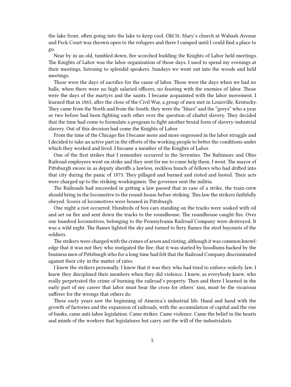the lake front, often going into the lake to keep cool. Old St. Mary's church at Wabash Avenue and Peck Court was thrown open to the refugees and there I camped until I could find a place to go.

Near by in an old, tumbled down, fire scorched building the Knights of Labor held meetings. The Knights of Labor was the labor organization of those days. I used to spend my evenings at their meetings, listening to splendid speakers. Sundays we went out into the woods and held meetings.

Those were the days of sacrifice for the cause of labor. Those were the days when we had no halls, when there were no high salaried officers, no feasting with the enemies of labor. Those were the days of the martyrs and the saints. I became acquainted with the labor movement. I learned that in 1865, after the close of the Civil War, a group of men met in Louisville, Kentucky. They came from the North and from the South; they were the "blues" and the "greys" who a year or two before had been fighting each other over the question of chattel slavery. They decided that the time had come to formulate a program to fight another brutal form of slavery-industrial slavery. Out of this decision had come the Knights of Labor.

From the time of the Chicago fire I became more and more engrossed in the labor struggle and I decided to take an active part in the efforts of the working people to better the conditions under which they worked and lived. I became a member of the Knights of Labor.

One of the first strikes that I remember occurred in the Seventies. The Baltimore and Ohio Railroad employees went on strike and they sent for me to come help them. I went. The mayor of Pittsburgh swore in as deputy sheriffs a lawless, reckless bunch of fellows who had drifted into that city during the panic of 1873. They pillaged and burned and rioted and looted. Their acts were charged up to the striking workingmen. The governor sent the militia.

The Railroads had succeeded in getting a law passed that in case of a strike, the train-crew should bring in the locomotive to the round-house before striking. This law the strikers faithfully obeyed. Scores of locomotives were housed in Pittsburgh.

One night a riot occurred. Hundreds of box cars standing on the tracks were soaked with oil and set on fire and sent down the tracks to the roundhouse. The roundhouse caught fire. Over one hundred locomotives, belonging to the Pennsylvania Railroad Company were destroyed. It was a wild night. The flames lighted the sky and turned to fiery flames the steel bayonets of the soldiers.

The strikers were charged with the crimes of arson and rioting, although it was common knowledge that it was not they who instigated the fire; that it was started by hoodlums backed by the business men of Pittsburgh who for a long time had felt that the Railroad Company discriminated against their city in the matter of rates.

I knew the strikers personally. I knew that it was they who had tried to enforce orderly law. I knew they disciplined their members when they did violence. I knew, as everybody knew, who really perpetrated the crime of burning the railroad's property. Then and there I learned in the early part of my career that labor must bear the cross for others' sins, must be the vicarious sufferer for the wrongs that others do.

These early years saw the beginning of America's industrial life. Hand and hand with the growth of factories and the expansion of railroads, with the accumulation of capital and the rise of banks, came anti-labor legislation. Came strikes. Came violence. Came the belief in the hearts and minds of the workers that legislatures but carry out the will of the industrialists.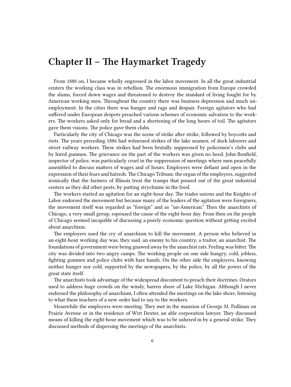#### <span id="page-5-0"></span>**Chapter II – The Haymarket Tragedy**

From 1880 on, I became wholly engrossed in the labor movement. In all the great industrial centers the working class was in rebellion. The enormous immigration from Europe crowded the slums, forced down wages and threatened to destroy the standard of living fought for by American working men. Throughout the country there was business depression and much unemployment. In the cities there was hunger and rags and despair. Foreign agitators who had suffered under European despots preached various schemes of economic salvation to the workers. The workers asked only for bread and a shortening of the long hours of toil. The agitators gave them visions. The police gave them clubs.

Particularly the city of Chicago was the scene of strike after strike, followed by boycotts and riots. The years preceding 1886 had witnessed strikes of the lake seamen, of dock laborers and street railway workers. These strikes had been brutally suppressed by policemen's clubs and by hired gunmen. The grievance on the part of the workers was given no heed. John Bonfield, inspector of police, was particularly cruel in the suppression of meetings where men peacefully assembled to discuss matters of wages and of hours. Employers were defiant and open in the expression of their fears and hatreds. The Chicago Tribune, the organ of the employers, suggested ironically that the farmers of Illinois treat the tramps that poured out of the great industrial centers as they did other pests, by putting strychnine in the food.

The workers started an agitation for an eight-hour day. The trades unions and the Knights of Labor endorsed the movement but because many of the leaders of the agitation were foreigners, the movement itself was regarded as "foreign" and as "un-American." Then the anarchists of Chicago, a very small group, espoused the cause of the eight-hour day. From then on the people of Chicago seemed incapable of discussing a purely economic question without getting excited about anarchism.

The employers used the cry of anarchism to kill the movement. A person who believed in an eight-hour working day was, they said, an enemy to his country, a traitor, an anarchist. The foundations of government were being gnawed away by the anarchist rats. Feeling was bitter. The city was divided into two angry camps. The working people on one side hungry, cold, jobless, fighting gunmen and police clubs with bare hands. On the other side the employers, knowing neither hunger nor cold, supported by the newspapers, by the police, by all the power of the great state itself.

The anarchists took advantage of the widespread discontent to preach their doctrines. Orators used to address huge crowds on the windy, barren shore of Lake Michigan. Although I never endorsed the philosophy of anarchism, I often attended the meetings on the lake shore, listening to what these teachers of a new order had to say to the workers.

Meanwhile the employers were meeting. They met in the mansion of George M. Pullman on Prairie Avenue or in the residence of Wirt Dexter, an able corporation lawyer. They discussed means of killing the eight-hour movement which was to be ushered in by a general strike. They discussed methods of dispersing the meetings of the anarchists.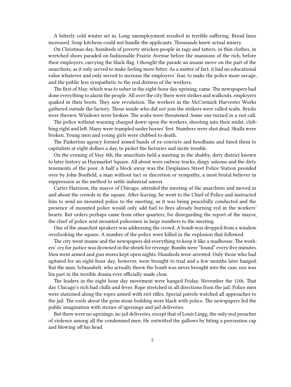A bitterly cold winter set in. Long unemployment resulted in terrible suffering. Bread lines increased. Soup kitchens could not handle the applicants. Thousands knew actual misery.

On Christmas day, hundreds of poverty stricken people in rags and tatters, in thin clothes, in wretched shoes paraded on fashionable Prairie Avenue before the mansions of the rich, before their employers, carrying the black flag. I thought the parade an insane move on the part of the anarchists, as it only served to make feeling more bitter. As a matter of fact, it had no educational value whatever and only served to increase the employers' fear, to make the police more savage, and the public less sympathetic to the real distress of the workers.

The first of May, which was to usher in the eight-hour day uprising, came. The newspapers had done everything to alarm the people. All over the city there were strikes and walkouts. employers quaked in their boots. They saw revolution. The workers in the McCormick Harvester Works gathered outside the factory. Those inside who did not join the strikers were called scabs. Bricks were thrown. Windows were broken. The scabs were threatened. Some one turned in a riot call.

The police without warning charged down upon the workers, shooting into their midst, clubbing right and left. Many were trampled under horses' feet. Numbers were shot dead. Skulls were broken. Young men and young girls were clubbed to death.

The Pinkerton agency formed armed bands of ex-convicts and hoodlums and hired them to capitalists at eight dollars a day, to picket the factories and incite trouble.

On the evening of May 4th, the anarchists held a meeting in the shabby, dirty district known to later history as Haymarket Square. All about were railway tracks, dingy saloons and the dirty tenements of the poor. A half a block away was the Desplaines Street Police Station presided over by John Bonfield, a man without tact or discretion or sympathy, a most brutal believer in suppression as the method to settle industrial unrest.

Carter Harrison, the mayor of Chicago, attended the meeting of the anarchists and moved in and about the crowds in the square. After leaving, he went to the Chief of Police and instructed him to send no mounted police to the meeting, as it was being peacefully conducted and the presence of mounted police would only add fuel to fires already burning red in the workers' hearts. But orders perhaps came from other quarters, for disregarding the report of the mayor, the chief of police sent mounted policemen in large numbers to the meeting.

One of the anarchist speakers was addressing the crowd. A bomb was dropped from a window overlooking the square. A number of the police were killed in the explosion that followed.

The city went insane and the newspapers did everything to keep it like a madhouse. The workers' cry for justice was drowned in the shriek for revenge. Bombs were "found" every five minutes. Men went armed and gun stores kept open nights. Hundreds were arrested. Only those who had agitated for an eight-hour day, however, were brought to trial and a few months later hanged. But the man, Schnaubelt, who actually threw the bomb was never brought into the case, nor was his part in the terrible drama ever officially made clear.

The leaders in the eight hour day movement were hanged Friday, November the 11th. That day Chicago's rich had chills and fever. Rope stretched in all directions from the jail. Police men were stationed along the ropes armed with riot rifles. Special patrols watched all approaches to the jail. The roofs about the grim stone building were black with police. The newspapers fed the public imagination with stories of uprisings and jail deliveries.

But there were no uprisings, no jail deliveries, except that of Louis Lingg, the only real preacher of violence among all the condemned men. He outwitted the gallows by biting a percussion cap and blowing off his head.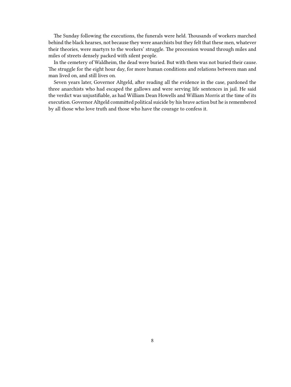The Sunday following the executions, the funerals were held. Thousands of workers marched behind the black hearses, not because they were anarchists but they felt that these men, whatever their theories, were martyrs to the workers' struggle. The procession wound through miles and miles of streets densely packed with silent people.

In the cemetery of Waldheim, the dead were buried. But with them was not buried their cause. The struggle for the eight hour day, for more human conditions and relations between man and man lived on, and still lives on.

Seven years later, Governor Altgeld, after reading all the evidence in the case, pardoned the three anarchists who had escaped the gallows and were serving life sentences in jail. He said the verdict was unjustifiable, as had William Dean Howells and William Morris at the time of its execution. Governor Altgeld committed political suicide by his brave action but he is remembered by all those who love truth and those who have the courage to confess it.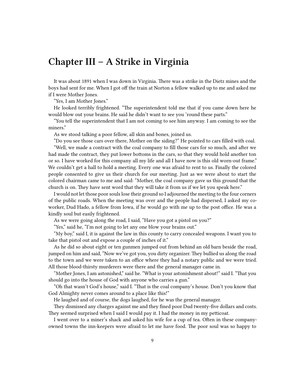#### <span id="page-8-0"></span>**Chapter III – A Strike in Virginia**

It was about 1891 when I was down in Virginia. There was a strike in the Dietz mines and the boys had sent for me. When I got off the train at Norton a fellow walked up to me and asked me if I were Mother Jones.

"Yes, I am Mother Jones."

He looked terribly frightened. "The superintendent told me that if you came down here he would blow out your brains. He said he didn't want to see you 'round these parts."

"You tell the superintendent that I am not coming to see him anyway. I am coming to see the miners."

As we stood talking a poor fellow, all skin and bones, joined us.

"Do you see those cars over there, Mother on the siding?" He pointed to cars filled with coal.

"Well, we made a contract with the coal company to fill those cars for so much, and after we had made the contract, they put lower bottoms in the cars, so that they would hold another ton or so. I have worked for this company all my life and all I have now is this old worn-out frame." We couldn't get a hall to hold a meeting. Every one was afraid to rent to us. Finally the colored people consented to give us their church for our meeting. Just as we were about to start the colored chairman came to me and said: "Mother, the coal company gave us this ground that the church is on. They have sent word that they will take it from us if we let you speak here."

I would not let those poor souls lose their ground so I adjourned the meeting to the four corners of the public roads. When the meeting was over and the people had dispersed, I asked my coworker, Dud Hado, a fellow from Iowa, if he would go with me up to the post office. He was a kindly soul but easily frightened.

As we were going along the road, I said, "Have you got a pistol on you?"

"Yes," said he, "I'm not going to let any one blow your brains out."

"My boy," said I, it is against the law in this county to carry concealed weapons. I want you to take that pistol out and expose a couple of inches of it."

As he did so about eight or ten gunmen jumped out from behind an old barn beside the road, jumped on him and said, "Now we've got you, you dirty organizer. They bullied us along the road to the town and we were taken to an office where they had a notary public and we were tried. All those blood-thirsty murderers were there and the general manager came in.

"Mother Jones, I am astonished," said he. "What is your astonishment about!" said I. "That you should go into the house of God with anyone who carries a gun."

"Oh that wasn't God's house," said I. "That is the coal company's house. Don't you know that God Almighty never comes around to a place like this!"

He laughed and of course, the dogs laughed, for he was the general manager.

They dismissed any charges against me and they fined poor Dud twenty-five dollars and costs. They seemed surprised when I said I would pay it. I had the money in my petticoat.

I went over to a miner's shack and asked his wife for a cup of tea. Often in these companyowned towns the inn-keepers were afraid to let me have food. The poor soul was so happy to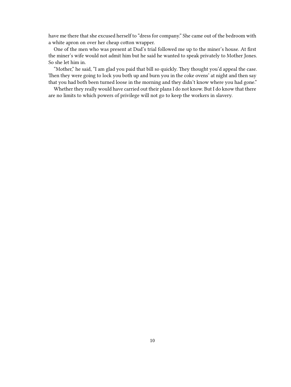have me there that she excused herself to "dress for company." She came out of the bedroom with a white apron on over her cheap cotton wrapper.

One of the men who was present at Dud's trial followed me up to the miner's house. At first the miner's wife would not admit him but he said he wanted to speak privately to Mother Jones. So she let him in.

"Mother," he said, "I am glad you paid that bill so quickly. They thought you'd appeal the case. Then they were going to lock you both up and burn you in the coke ovens' at night and then say that you had both been turned loose in the morning and they didn't know where you had gone."

Whether they really would have carried out their plans I do not know. But I do know that there are no limits to which powers of privilege will not go to keep the workers in slavery.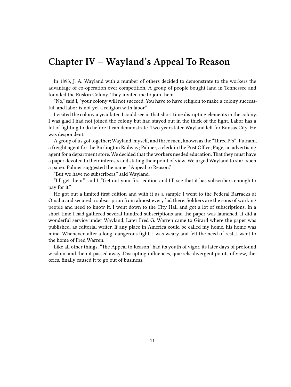## <span id="page-10-0"></span>**Chapter IV – Wayland's Appeal To Reason**

In 1893, J. A. Wayland with a number of others decided to demonstrate to the workers the advantage of co-operation over competition. A group of people bought land in Tennessee and founded the Ruskin Colony. They invited me to join them.

"No," said I, "your colony will not succeed. You have to have religion to make a colony successful, and labor is not yet a religion with labor."

I visited the colony a year later. I could see in that short time disrupting elements in the colony. I was glad I had not joined the colony but had stayed out in the thick of the fight. Labor has a lot of fighting to do before it can demonstrate. Two years later Wayland left for Kansas City. He was despondent.

A group of us got together; Wayland, myself, and three men, known as the "Three P's" -Putnam, a freight agent for the Burlington Railway; Palmer, a clerk in the Post Office; Page, an advertising agent for a department store. We decided that the workers needed education. That they must have a paper devoted to their interests and stating their point of view. We urged Wayland to start such a paper. Palmer suggested the name, "Appeal to Reason."

"But we have no subscribers," said Wayland.

"I'll get them," said I. "Get out your first edition and I'll see that it has subscribers enough to pay for it."

He got out a limited first edition and with it as a sample I went to the Federal Barracks at Omaha and secured a subscription from almost every lad there. Soldiers are the sons of working people and need to know it. I went down to the City Hall and got a lot of subscriptions. In a short time I had gathered several hundred subscriptions and the paper was launched. It did a wonderful service under Wayland. Later Fred G. Warren came to Girard where the paper was published, as editorial writer. If any place in America could be called my home, his home was mine. Whenever, after a long, dangerous fight, I was weary and felt the need of rest, I went to the home of Fred Warren.

Like all other things, "The Appeal to Reason" had its youth of vigor, its later days of profound wisdom, and then it passed away. Disrupting influences, quarrels, divergent points of view, theories, finally caused it to go out of business.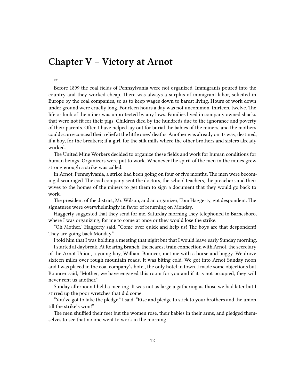### <span id="page-11-0"></span>**Chapter V – Victory at Arnot**

#### \*\*

Before 1899 the coal fields of Pennsylvania were not organized. Immigrants poured into the country and they worked cheap. There was always a surplus of immigrant labor, solicited in Europe by the coal companies, so as to keep wages down to barest living. Hours of work down under ground were cruelly long. Fourteen hours a day was not uncommon, thirteen, twelve. The life or limb of the miner was unprotected by any laws. Families lived in company owned shacks that were not fit for their pigs. Children died by the hundreds due to the ignorance and poverty of their parents. Often I have helped lay out for burial the babies of the miners, and the mothers could scarce conceal their relief at the little ones' deaths. Another was already on its way, destined, if a boy, for the breakers; if a girl, for the silk mills where the other brothers and sisters already worked.

The United Mine Workers decided to organize these fields and work for human conditions for human beings. Organizers were put to work. Whenever the spirit of the men in the mines grew strong enough a strike was called.

In Arnot, Pennsylvania, a strike had been going on four or five months. The men were becoming discouraged. The coal company sent the doctors, the school teachers, the preachers and their wives to the homes of the miners to get them to sign a document that they would go back to work.

The president of the district, Mr. Wilson, and an organizer, Tom Haggerty, got despondent. The signatures were overwhelmingly in favor of returning on Monday.

Haggerty suggested that they send for me. Saturday morning they telephoned to Barnesboro, where I was organizing, for me to come at once or they would lose the strike.

"Oh Mother," Haggerty said, "Come over quick and help us! The boys are that despondent! They are going back Monday."

I told him that I was holding a meeting that night but that I would leave early Sunday morning.

I started at daybreak. At Roaring Branch, the nearest train connection with Arnot, the secretary of the Arnot Union, a young boy, William Bouncer, met me with a horse and buggy. We drove sixteen miles over rough mountain roads. It was biting cold. We got into Arnot Sunday noon and I was placed in the coal company's hotel, the only hotel in town. I made some objections but Bouncer said, "Mother, we have engaged this room for you and if it is not occupied, they will never rent us another."

Sunday afternoon I held a meeting. It was not as large a gathering as those we had later but I stirred up the poor wretches that did come.

"You've got to take the pledge," I said. "Rise and pledge to stick to your brothers and the union till the strike's won!"

The men shuffled their feet but the women rose, their babies in their arms, and pledged themselves to see that no one went to work in the morning.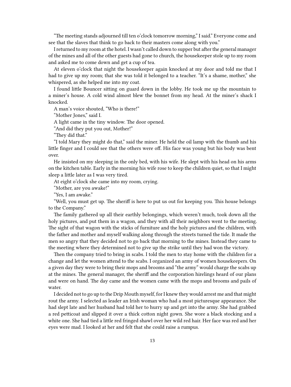"The meeting stands adjourned till ten o'clock tomorrow morning," I said." Everyone come and see that the slaves that think to go back to their masters come along with you."

I returned to my room at the hotel. I wasn't called down to supper but after the general manager of the mines and all of the other guests had gone to church, the housekeeper stole up to my room and asked me to come down and get a cup of tea.

At eleven o'clock that night the housekeeper again knocked at my door and told me that I had to give up my room; that she was told it belonged to a teacher. "It's a shame, mother," she whispered, as she helped me into my coat.

I found little Bouncer sitting on guard down in the lobby. He took me up the mountain to a miner's house. A cold wind almost blew the bonnet from my head. At the miner's shack I knocked.

A man's voice shouted, "Who is there!"

"Mother Jones," said I.

A light came in the tiny window. The door opened.

"And did they put you out, Mother!"

"They did that."

"I told Mary they might do that," said the miner. He held the oil lamp with the thumb and his little finger and I could see that the others were off. His face was young but his body was bent over.

He insisted on my sleeping in the only bed, with his wife. He slept with his head on his arms on the kitchen table. Early in the morning his wife rose to keep the children quiet, so that I might sleep a little later as I was very tired.

At eight o'clock she came into my room, crying.

"Mother, are you awake!"

"Yes, I am awake."

"Well, you must get up. The sheriff is here to put us out for keeping you. This house belongs to the Company."

The family gathered up all their earthly belongings, which weren't much, took down all the holy pictures, and put them in a wagon, and they with all their neighbors went to the meeting. The sight of that wagon with the sticks of furniture and the holy pictures and the children, with the father and mother and myself walking along through the streets turned the tide. It made the men so angry that they decided not to go back that morning to the mines. Instead they came to the meeting where they determined not to give up the strike until they had won the victory.

Then the company tried to bring in scabs. I told the men to stay home with the children for a change and let the women attend to the scabs. I organized an army of women housekeepers. On a given day they were to bring their mops and brooms and "the army" would charge the scabs up at the mines. The general manager, the sheriff and the corporation hirelings heard of our plans and were on hand. The day came and the women came with the mops and brooms and pails of water.

I decided not to go up to the Drip Mouth myself, for I knew they would arrest me and that might rout the army. I selected as leader an Irish woman who had a most picturesque appearance. She had slept late and her husband had told her to hurry up and get into the army. She had grabbed a red petticoat and slipped it over a thick cotton night gown. She wore a black stocking and a white one. She had tied a little red fringed shawl over her wild red hair. Her face was red and her eyes were mad. I looked at her and felt that she could raise a rumpus.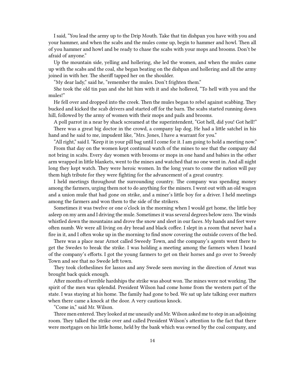I said, "You lead the army up to the Drip Mouth. Take that tin dishpan you have with you and your hammer, and when the scabs and the mules come up, begin to hammer and howl. Then all of you hammer and howl and be ready to chase the scabs with your mops and brooms. Don't be afraid of anyone."

Up the mountain side, yelling and hollering, she led the women, and when the mules came up with the scabs and the coal, she began beating on the dishpan and hollering and all the army joined in with her. The sheriff tapped her on the shoulder.

"My dear lady," said he, "remember the mules. Don't frighten them."

She took the old tin pan and she hit him with it and she hollered, "To hell with you and the mules!"

He fell over and dropped into the creek. Then the mules began to rebel against scabbing. They bucked and kicked the scab drivers and started off for the barn. The scabs started running down hill, followed by the army of women with their mops and pails and brooms.

A poll parrot in a near by shack screamed at the superintendent, "Got hell, did you! Got hell!" There was a great big doctor in the crowd, a company lap dog. He had a little satchel in his hand and he said to me, impudent like, "Mrs. Jones, I have a warrant for you."

"All right," said I. "Keep it in your pill bag until I come for it. I am going to hold a meeting now." From that day on the women kept continual watch of the mines to see that the company did not bring in scabs. Every day women with brooms or mops in one hand and babies in the other arm wrapped in little blankets, went to the mines and watched that no one went in. And all night long they kept watch. They were heroic women. In the long years to come the nation will pay them high tribute for they were fighting for the advancement of a great country.

I held meetings throughout the surrounding country. The company was spending money among the farmers, urging them not to do anything for the miners. I went out with an old wagon and a union mule that had gone on strike, and a miner's little boy for a driver. I held meetings among the farmers and won them to the side of the strikers.

Sometimes it was twelve or one o'clock in the morning when I would get home, the little boy asleep on my arm and I driving the mule. Sometimes it was several degrees below zero. The winds whistled down the mountains and drove the snow and sleet in our faces. My hands and feet were often numb. We were all living on dry bread and black coffee. I slept in a room that never had a fire in it, and I often woke up in the morning to find snow covering the outside covers of the bed.

There was a place near Arnot called Sweedy Town, and the company's agents went there to get the Swedes to break the strike. I was holding a meeting among the farmers when I heard of the company's efforts. I got the young farmers to get on their horses and go over to Sweedy Town and see that no Swede left town.

They took clotheslines for lassos and any Swede seen moving in the direction of Arnot was brought back quick enough.

After months of terrible hardships the strike was about won. The mines were not working. The spirit of the men was splendid. President Wilson had come home from the western part of the state. I was staying at his home. The family had gone to bed. We sat up late talking over matters when there came a knock at the door. A very cautious knock.

"Come in," said Mr. Wilson.

Three men entered. They looked at me uneasily and Mr. Wilson asked me to step in an adjoining room. They talked the strike over and called President Wilson's attention to the fact that there were mortgages on his little home, held by the bank which was owned by the coal company, and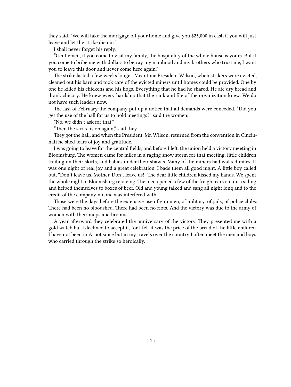they said, "We will take the mortgage off your home and give you \$25,000 in cash if you will just leave and let the strike die out."

I shall never forget his reply:

"Gentlemen, if you come to visit my family, the hospitality of the whole house is yours. But if you come to bribe me with dollars to betray my manhood and my brothers who trust me, I want you to leave this door and never come here again."

The strike lasted a few weeks longer. Meantime President Wilson, when strikers were evicted, cleaned out his barn and took care of the evicted miners until homes could be provided. One by one he killed his chickens and his hogs. Everything that he had he shared. He ate dry bread and drank chicory. He knew every hardship that the rank and file of the organization knew. We do not have such leaders now.

The last of February the company put up a notice that all demands were conceded. "Did you get the use of the hall for us to hold meetings?" said the women.

"No, we didn't ask for that."

"Then the strike is on again," said they.

They got the hall, and when the President, Mr. Wilson, returned from the convention in Cincinnati he shed tears of joy and gratitude.

I was going to leave for the central fields, and before I left, the union held a victory meeting in Bloomsburg. The women came for miles in a raging snow storm for that meeting, little children trailing on their skirts, and babies under their shawls. Many of the miners had walked miles. It was one night of real joy and a great celebration. I bade them all good night. A little boy called out, "Don't leave us, Mother. Don't leave us!" The dear little children kissed my hands. We spent the whole night in Bloomsburg rejoicing. The men opened a few of the freight cars out on a siding and helped themselves to boxes of beer. Old and young talked and sang all night long and to the credit of the company no one was interfered with.

Those were the days before the extensive use of gun men, of military, of jails, of police clubs. There had been no bloodshed. There had been no riots. And the victory was due to the army of women with their mops and brooms.

A year afterward they celebrated the anniversary of the victory. They presented me with a gold watch but I declined to accept it, for I felt it was the price of the bread of the little children. I have not been in Arnot since but in my travels over the country I often meet the men and boys who carried through the strike so heroically.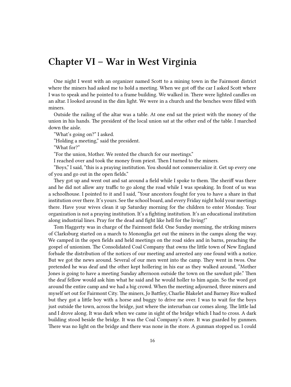#### <span id="page-15-0"></span>**Chapter VI – War in West Virginia**

One night I went with an organizer named Scott to a mining town in the Fairmont district where the miners had asked me to hold a meeting. When we got off the car I asked Scott where I was to speak and he pointed to a frame building. We walked in. There were lighted candles on an altar. I looked around in the dim light. We were in a church and the benches were filled with miners.

Outside the railing of the altar was a table. At one end sat the priest with the money of the union in his hands. The president of the local union sat at the other end of the table. I marched down the aisle.

"What's going on?" I asked.

"Holding a meeting," said the president.

"What for?"

"For the union, Mother. We rented the church for our meetings."

I reached over and took the money from priest. Then I turned to the miners.

"Boys," I said, "this is a praying institution. You should not commercialize it. Get up every one of you and go out in the open fields."

They got up and went out and sat around a field while I spoke to them. The sheriff was there and he did not allow any traffic to go along the road while I was speaking. In front of us was a schoolhouse. I pointed to it and I said, "Your ancestors fought for you to have a share in that institution over there. It's yours. See the school board, and every Friday night hold your meetings there. Have your wives clean it up Saturday morning for the children to enter Monday. Your organization is not a praying institution. It's a fighting institution. It's an educational institution along industrial lines. Pray for the dead and fight like hell for the living!"

Tom Haggerty was in charge of the Fairmont field. One Sunday morning, the striking miners of Clarksburg started on a march to Mononglia get out the miners in the camps along the way. We camped in the open fields and held meetings on the road sides and in barns, preaching the gospel of unionism. The Consolidated Coal Company that owns the little town of New England forbade the distribution of the notices of our meeting and arrested any one found with a notice. But we got the news around. Several of our men went into the camp. They went in twos. One pretended he was deaf and the other kept hollering in his ear as they walked around, "Mother Jones is going to have a meeting Sunday afternoon outside the town on the sawdust pile." Then the deaf fellow would ask him what he said and he would holler to him again. So the word got around the entire camp and we had a big crowd. When the meeting adjourned, three miners and myself set out for Fairmont City. The miners, Jo Battley, Charlie Blakelet and Barney Rice walked but they got a little boy with a horse and buggy to drive me over. I was to wait for the boys just outside the town, across the bridge, just where the interurban car comes along. The little lad and I drove along. It was dark when we came in sight of the bridge which I had to cross. A dark building stood beside the bridge. It was the Coal Company's store. It was guarded by gunmen. There was no light on the bridge and there was none in the store. A gunman stopped us. I could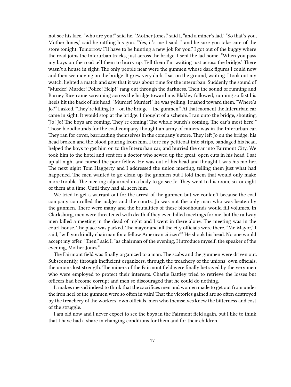not see his face. "who are you!" said he. "Mother Jones," said I, "and a miner's lad." "So that's you, Mother Jones," said he rattling his gun. "Yes, it's me I said, " and be sure you take care of the store tonight. Tomorrow I'll have to be hunting a new job for you." I got out of the buggy where the road joins the Interurban tracks, just across the bridge. I sent the lad home. "When you pass my boys on the road tell them to hurry up. Tell them I'm waiting just across the bridge." There wasn't a house in sight. The only people near were the gunmen whose dark figures I could now and then see moving on the bridge. It grew very dark. I sat on the ground, waiting. I took out my watch, lighted a match and saw that it was about time for the interurban. Suddenly the sound of "Murder! Murder! Police! Help!" rang out through the darkness. Then the sound of running and Barney Rice came screaming across the bridge toward me. Blakley followed, running so fast his heels hit the back of his head. "Murder! Murder!" he was yelling. I rushed toward them. "Where's Jo?" I asked. "They're killing Jo – on the bridge – the gunmen." At that moment the Interurban car came in sight. It would stop at the bridge. I thought of a scheme. I ran onto the bridge, shouting, "Jo! Jo! The boys are coming. They're coming! The whole bunch's coming. The car's most here!" Those bloodhounds for the coal company thought an army of miners was in the Interurban car. They ran for cover, barricading themselves in the company's store. They left Jo on the bridge, his head broken and the blood pouring from him. I tore my petticoat into strips, bandaged his head, helped the boys to get him on to the Interurban car, and hurried the car into Fairmont City. We took him to the hotel and sent for a doctor who sewed up the great, open cuts in his head. I sat up all night and nursed the poor fellow. He was out of his head and thought I was his mother. The next night Tom Haggerty and I addressed the union meeting, telling them just what had happened. The men wanted to go clean up the gunmen but I told them that would only make more trouble. The meeting adjourned in a body to go see Jo. They went to his room, six or eight of them at a time, Until they had all seen him.

We tried to get a warrant out for the arrest of the gunmen but we couldn't because the coal company controlled the judges and the courts. Jo was not the only man who was beaten by the gunmen. There were many and the brutalities of these bloodhounds would fill volumes. In Clarksburg, men were threatened with death if they even billed meetings for me. but the railway men billed a meeting in the dead of night and I went in there alone. The meeting was in the court house. The place was packed. The mayor and all the city officials were there. "Mr. Mayor," I said, "will you kindly chairman for a fellow American citizen?" He shook his head. No one would accept my offer. "Then," said I, "as chairman of the evening, I introduce myself, the speaker of the evening, Mother Jones."

The Fairmont field was finally organized to a man. The scabs and the gunmen were driven out. Subsequently, through inefficient organizers, through the treachery of the unions' own officials, the unions lost strength. The miners of the Fairmont field were finally betrayed by the very men who were employed to protect their interests. Charlie Battley tried to retrieve the losses but officers had become corrupt and men so discouraged that he could do nothing.

It makes me sad indeed to think that the sacrifices men and women made to get out from under the iron heel of the gunmen were so often in vain! That the victories gained are so often destroyed by the treachery of the workers' own officials, men who themselves knew the bitterness and cost of the struggle.

I am old now and I never expect to see the boys in the Fairmont field again, but I like to think that I have had a share in changing conditions for them and for their children.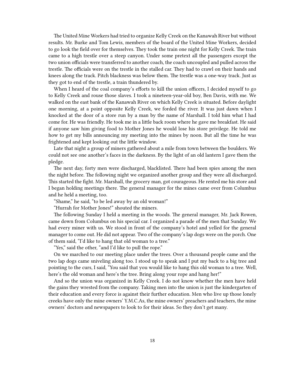The United Mine Workers had tried to organize Kelly Creek on the Kanawah River but without results. Mr. Burke and Tom Lewis, members of the board of the United Mine Workers, decided to go look the field over for themselves. They took the train one night for Kelly Creek. The train came to a high trestle over a steep canyon. Under some pretext all the passengers except the two union officials were transferred to another coach, the coach uncoupled and pulled across the trestle. The officials were on the trestle in the stalled car. They had to crawl on their hands and knees along the track. Pitch blackness was below them. The trestle was a one-way track. Just as they got to end of the trestle, a train thundered by.

When I heard of the coal company's efforts to kill the union officers, I decided myself to go to Kelly Creek and rouse those slaves. I took a nineteen-year-old boy, Ben Davis, with me. We walked on the east bank of the Kanawah River on which Kelly Creek is situated. Before daylight one morning, at a point opposite Kelly Creek, we forded the river. It was just dawn when I knocked at the door of a store run by a man by the name of Marshall. I told him what I had come for. He was friendly. He took me in a little back room where he gave me breakfast. He said if anyone saw him giving food to Mother Jones he would lose his store privilege. He told me how to get my bills announcing my meeting into the mines by noon. But all the time he was frightened and kept looking out the little window.

Late that night a group of miners gathered about a mile from town between the boulders. We could not see one another's faces in the darkness. By the light of an old lantern I gave them the pledge.

The next day, forty men were discharged, blacklisted. There had been spies among the men the night before. The following night we organized another group and they were all discharged. This started the fight. Mr. Marshall, the grocery man, got courageous. He rented me his store and I began holding meetings there. The general manager for the mines came over from Columbus and he held a meeting, too.

"Shame," he said, "to be led away by an old woman!"

"Hurrah for Mother Jones!" shouted the miners.

The following Sunday I held a meeting in the woods. The general manager, Mr. Jack Rowen, came down from Columbus on his special car. I organized a parade of the men that Sunday. We had every miner with us. We stood in front of the company's hotel and yelled for the general manager to come out. He did not appear. Two of the company's lap dogs were on the porch. One of them said, "I'd like to hang that old woman to a tree."

"Yes," said the other, "and I'd like to pull the rope."

On we marched to our meeting place under the trees. Over a thousand people came and the two lap dogs came sniveling along too. I stood up to speak and I put my back to a big tree and pointing to the curs, I said, "You said that you would like to hang this old woman to a tree. Well, here's the old woman and here's the tree. Bring along your rope and hang her!"

And so the union was organized in Kelly Creek. I do not know whether the men have held the gains they wrested from the company. Taking men into the union is just the kindergarten of their education and every force is against their further education. Men who live up those lonely creeks have only the mine owners' Y.M.C.As, the mine owners' preachers and teachers, the mine owners' doctors and newspapers to look to for their ideas. So they don't get many.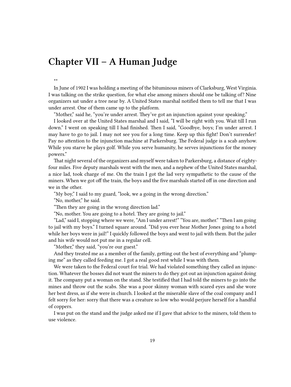## <span id="page-18-0"></span>**Chapter VII – A Human Judge**

\*\*

In June of 1902 I was holding a meeting of the bituminous miners of Clarksburg, West Virginia. I was talking on the strike question, for what else among miners should one be talking of? Nine organizers sat under a tree near by. A United States marshal notified them to tell me that I was under arrest. One of them came up to the platform.

"Mother," said he, "you're under arrest. They've got an injunction against your speaking."

I looked over at the United States marshal and I said, "I will be right with you. Wait till I run down." I went on speaking till I had finished. Then I said, "Goodbye, boys; I'm under arrest. I may have to go to jail. I may not see you for a long time. Keep up this fight! Don't surrender! Pay no attention to the injunction machine at Parkersburg. The Federal judge is a scab anyhow. While you starve he plays golf. While you serve humanity, he serves injunctions for the money powers."

That night several of the organizers and myself were taken to Parkersburg, a distance of eightyfour miles. Five deputy marshals went with the men, and a nephew of the United States marshal, a nice lad, took charge of me. On the train I got the lad very sympathetic to the cause of the miners. When we got off the train, the boys and the five marshals started off in one direction and we in the other.

"My boy," I said to my guard, "look, we a going in the wrong direction."

"No, mother," he said.

"Then they are going in the wrong direction lad."

"No, mother. You are going to a hotel. They are going to jail."

"Lad," said I, stopping where we were, "Am I under arrest!" "You are, mother." "Then l am going to jail with my boys." I turned square around. "Did you ever hear Mother Jones going to a hotel while her boys were in jail!" I quickly followed the boys and went to jail with them. But the jailer and his wife would not put me in a regular cell.

"Mother," they said, "you're our guest."

And they treated me as a member of the family, getting out the best of everything and "plumping me" as they called feeding me. I got a real good rest while I was with them.

We were taken to the Federal court for trial. We had violated something they called an injunction. Whatever the bosses did not want the miners to do they got out an injunction against doing it. The company put a woman on the stand. She testified that I had told the miners to go into the mines and throw out the scabs. She was a poor skinny woman with scared eyes and she wore her best dress, as if she were in church. I looked at the miserable slave of the coal company and I felt sorry for her: sorry that there was a creature so low who would perjure herself for a handful of coppers.

I was put on the stand and the judge asked me if I gave that advice to the miners, told them to use violence.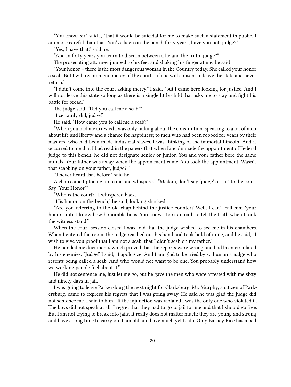"You know, sir," said I, "that it would be suicidal for me to make such a statement in public. I am more careful than that. You've been on the bench forty years, have you not, judge?"

"Yes, I have that," said he.

"And in forty years you learn to discern between a lie and the truth, judge?"

The prosecuting attorney jumped to his feet and shaking his finger at me, he said

"Your honor – there is the most dangerous woman in the Country today. She called your honor a scab. But I will recommend mercy of the court – if she will consent to leave the state and never return."

"I didn't come into the court asking mercy," I said, "but I came here looking for justice. And I will not leave this state so long as there is a single little child that asks me to stay and fight his battle for bread."

The judge said, "Did you call me a scab!"

"I certainly did, judge."

He said, "How came you to call me a scab?"

"When you had me arrested I was only talking about the constitution, speaking to a lot of men about life and liberty and a chance for happiness; to men who had been robbed for years by their masters, who had been made industrial slaves. I was thinking of the immortal Lincoln. And it occurred to me that I had read in the papers that when Lincoln made the appointment of Federal judge to this bench, he did not designate senior or junior. You and your father bore the same initials. Your father was away when the appointment came. You took the appointment. Wasn't that scabbing on your father, judge?*"*

*"*I never heard that before," said he.

A chap came tiptoeing up to me and whispered, "Madam, don't say 'judge' or 'sir' to the court. Say 'Your Honor.'"

"Who is the court?" I whispered back.

"His honor, on the bench," he said, looking shocked.

"Are you referring to the old chap behind the justice counter? Well, I can't call him 'your honor' until I know how honorable he is. You know I took an oath to tell the truth when I took the witness stand."

When the court session closed I was told that the judge wished to see me in his chambers. When I entered the room, the judge reached out his hand and took hold of mine, and he said, "I wish to give you proof that I am not a scab; that I didn't scab on my father."

He handed me documents which proved that the reports were wrong and had been circulated by his enemies. "Judge," I said, "I apologize. And I am glad to be tried by so human a judge who resents being called a scab. And who would not want to be one. You probably understand how we working people feel about it."

He did not sentence me, just let me go, but he gave the men who were arrested with me sixty and ninety days in jail.

I was going to leave Parkersburg the next night for Clarksburg. Mr. Murphy, a citizen of Parkersburg, came to express his regrets that I was going away. He said he was glad the judge did not sentence me. I said to him, "If the injunction was violated I was the only one who violated it. The boys did not speak at all. I regret that they had to go to jail for me and that I should go free. But I am not trying to break into jails. It really does not matter much; they are young and strong and have a long time to carry on. I am old and have much yet to do. Only Barney Rice has a bad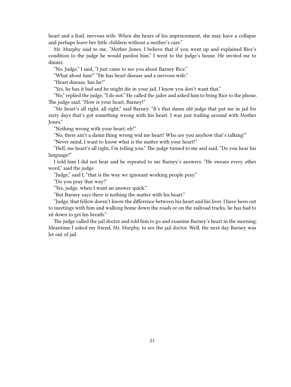heart and a frail, nervous wife. When she hears of his imprisonment, she may have a collapse and perhaps leave her little children without a mother's care."

Mr. Murphy said to me, "Mother Jones, I believe that if you went up and explained Rice's condition to the judge he would pardon him." I went to the judge's house. He invited me to dinner.

"No, Judge," I said, "I just came to see you about Barney Rice."

"What about him!" "He has heart disease and a nervous wife."

"Heart disease, has he!"

"Yes, he has it bad and he might die in your jail. I know you don't want that."

"No," replied the judge, "I do not." He called the jailer and asked him to bring Rice to the phone. The judge said, "How is your heart, Barney!"

"Me heart's all right, all right," said Barney. "It's that damn old judge that put me in jail for sixty days that's got something wrong with his heart. I was just trailing around with Mother Jones."

"Nothing wrong with your heart, eh!"

"No, there ain't a damn thing wrong wid me heart! Who are you anyhow that's talking!"

"Never mind, I want to know what is the matter with your heart!"

"Hell, me heart's all right, I'm telling you." The judge turned to me and said, "Do you hear his language!"

I told him I did not hear and he repeated to me Barney's answers. "He swears every other word," said the judge.

"Judge," said I, "that is the way we ignorant working people pray."

"Do you pray that way!"

"Yes, judge, when I want an answer quick."

"But Barney says there is nothing the matter with his heart."

"Judge, that fellow doesn't know the difference between his heart and his liver. I have been out to meetings with him and walking home down the roads or on the railroad tracks, lie has had to sit down to get his breath."

The judge called the jail doctor and told him to go and examine Barney's heart in the morning. Meantime I asked my friend, Mr. Murphy, to see the jail doctor. Well, the next day Barney was let out of jail.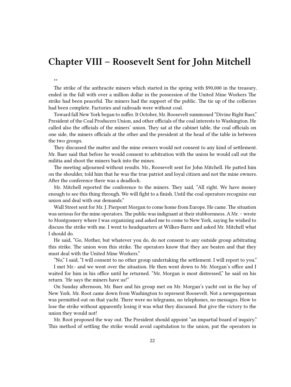#### <span id="page-21-0"></span>**Chapter VIII – Roosevelt Sent for John Mitchell**

\*\*

The strike of the anthracite miners which started in the spring with \$90,000 in the treasury, ended in the fall with over a million dollar in the possession of the United Mine Workers The strike had been peaceful. The miners had the support of the public. The tie up of the collieries had been complete. Factories and railroads were without coal.

Toward fall New York began to suffer. It October, Mr. Roosevelt summoned "Divine Right Baer," President of the Coal Producers Union, and other officials of the coal interests to Washington. He called also the officials of the miners' union. They sat at the cabinet table, the coal officials on one side, the miners officials at the other and the president at the head of the table in between the two groups.

They discussed the matter and the mine owners would not consent to any kind of settlement. Mr. Baer said that before he would consent to arbitration with the union he would call out the militia and shoot the miners back into the mines.

The meeting adjourned without results. Mr., Roosevelt sent for John Mitchell. He patted him on the shoulder, told him that he was the true patriot and loyal citizen and not the mine owners. After the conference there was a deadlock.

Mr. Mitchell reported the conference to the miners. They said, "All right. We have money enough to see this thing through. We will fight to a finish. Until the coal operators recognize our union and deal with our demands."

Wall Street sent for Mr. J. Pierpont Morgan to come home from Europe. He came. The situation was serious for the mine operators. The public was indignant at their stubbornness. A Mr. – wrote to Montgomery where I was organizing and asked me to come to New York, saying he wished to discuss the strike with me. I went to headquarters at Wilkes-Barre and asked Mr. Mitchell what I should do.

He said, "Go, Mother, but whatever you do, do not consent to any outside group arbitrating this strike. The union won this strike. The operators know that they are beaten and that they must deal with the United Mine Workers."

"No," I said, "I will consent to no other group undertaking the settlement. I will report to you." I met Mr.- and we went over the situation. He then went down to Mr. Morgan's office and I waited for him in his office until he returned. "Mr. Morgan is most distressed," he said on his return. 'He says the miners have us!"

On Sunday afternoon, Mr. Baer and his group met on Mr. Morgan's yacht out in the bay of New York. Mr. Root came down from Washington to represent Roosevelt. Not a newspaperman was permitted out on that yacht. There were no telegrams, no telephones, no messages. How to lose the strike without apparently losing it was what they discussed. But give the victory to the union they would not!

Mr. Root proposed the way out. The President should appoint "an impartial board of inquiry." This method of settling the strike would avoid capitulation to the union, put the operators in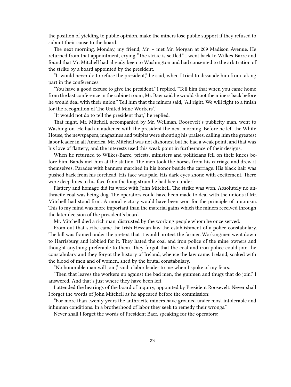the position of yielding to public opinion, make the miners lose public support if they refused to submit their cause to the board.

The next morning, Monday, my friend, Mr. – met Mr. Morgan at 209 Madison Avenue. He returned from that appointment, crying "The strike is settled." I went back to Wilkes-Barre and found that Mr. Mitchell had already been to Washington and had consented to the arbitration of the strike by a board appointed by the president.

"It would never do to refuse the president," he said, when I tried to dissuade him from taking part in the conferences.

"You have a good excuse to give the president," I replied. "Tell him that when you came home from the last conference in the cabinet room, Mr. Baer said he would shoot the miners back before he would deal with their union." Tell him that the miners said, 'All right. We will fight to a finish for the recognition of The United Mine Workers'."

"It would not do to tell the president that," he replied.

That night, Mr. Mitchell, accompanied by Mr. Wellman, Roosevelt's publicity man, went to Washington. He had an audience with the president the next morning. Before he left the White House, the newspapers, magazines and pulpits were shouting his praises, calling him the greatest labor leader in all America. Mr. Mitchell was not dishonest but he had a weak point, and that was his love of flattery; and the interests used this weak point in furtherance of their designs.

When he returned to Wilkes-Barre, priests, ministers and politicians fell on their knees before him. Bands met him at the station. The men took the horses from his carriage and drew it themselves. Parades with banners marched in his honor beside the carriage. His black hair was pushed back from his forehead. His face was pale. His dark eyes shone with excitement. There were deep lines in his face from the long strain he had been under.

Flattery and homage did its work with John Mitchell. The strike was won. Absolutely no anthracite coal was being dug. The operators could have been made to deal with the unions if Mr. Mitchell had stood firm. A moral victory would have been won for the principle of unionism. This to my mind was more important than the material gains which the miners received through the later decision of the president's board.

Mr. Mitchell died a rich man, distrusted by the working people whom he once served.

From out that strike came the Irish Hessian law-the establishment of a police constabulary. The bill was framed under the pretext that it would protect the farmer. Workingmen went down to Harrisburg and lobbied for it. They hated the coal and iron police of the mine owners and thought anything preferable to them. They forgot that the coal and iron police could join the constabulary and they forgot the history of Ireland, whence the law came: Ireland, soaked with the blood of men and of women, shed by the brutal constabulary.

"No honorable man will join," said a labor leader to me when I spoke of my fears.

"Then that leaves the workers up against the bad men, the gunmen and thugs that do join," I answered. And that's just where they have been left.

I attended the hearings of the board of inquiry, appointed by President Roosevelt. Never shall I forget the words of John Mitchell as he appeared before the commission:

"For more than twenty years the anthracite miners have groaned under most intolerable and inhuman conditions. In a brotherhood of labor they seek to remedy their wrongs."

Never shall I forget the words of President Baer, speaking for the operators: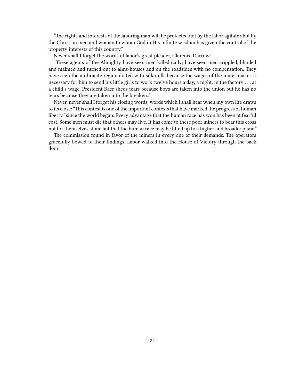"The rights and interests of the laboring man will be protected not by the labor agitator but by the Christian men and women to whom God in His infinite wisdom has given the control of the property interests of this country."

Never shall I forget the words of labor's great pleader, Clarence Darrow:

"These agents of the Almighty have seen men killed daily; have seen men crippled, blinded and maimed and turned out to alms-houses and on the roadsides with no compensation. They have seen the anthracite region dotted with silk mills because the wages of the miner makes it necessary for him to send his little girls to work twelve hours a day, a night, in the factory . . . at a child's wage. President Baer sheds tears because boys are taken into the union but he has no tears because they are taken into the breakers."

Never, never shall I forget his closing words, words which I shall hear when my own life draws to its close: "This contest is one of the important contests that have marked the progress of human liberty "since the world began. Every advantage that the human race has won has been at fearful cost. Some men must die that others may live. It has come to these poor miners to bear this cross not for themselves alone but that the human race may be lifted up to a higher and broader plane."

The commission found in favor of the miners in every one of their demands. The operators gracefully bowed to their findings. Labor walked into the House of Victory through the back door.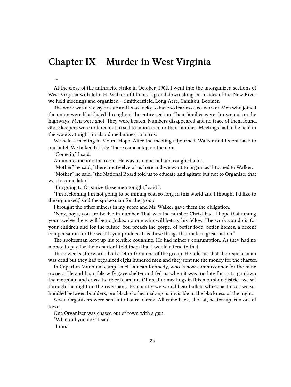#### <span id="page-24-0"></span>**Chapter IX – Murder in West Virginia**

\*\*

At the close of the anthracite strike in October, 1902, I went into the unorganized sections of West Virginia with John H. Walker of Illinois. Up and down along both sides of the New River we held meetings and organized – Smithersfield, Long Acre, Canilton, Boomer.

The work was not easy or safe and I was lucky to have so fearless a co-worker. Men who joined the union were blacklisted throughout the entire section. Their families were thrown out on the highways. Men were shot. They were beaten. Numbers disappeared and no trace of them found. Store keepers were ordered not to sell to union men or their families. Meetings had to be held in the woods at night, in abandoned mines, in barns.

We held a meeting in Mount Hope. After the meeting adjourned, Walker and I went back to our hotel. We talked till late. There came a tap on the door.

"Come in," I said.

A miner came into the room. He was lean and tall and coughed a lot.

"Mother," he said, "there are twelve of us here and we want to organize." I turned to Walker.

"Mother," he said, "the National Board told us to educate and agitate but not to Organize; that was to come later."

"I'm going to Organize these men tonight," said I.

"I'm reckoning I'm not going to be mining coal so long in this world and I thought I'd like to die organized," said the spokesman for the group.

I brought the other miners in my room and Mr. Walker gave them the obligation.

"Now, boys, you are twelve in number. That was the number Christ had. I hope that among your twelve there will be no Judas, no one who will betray his fellow. The work you do is for your children and for the future. You preach the gospel of better food, better homes, a decent compensation for the wealth you produce. It is these things that make a great nation."

The spokesman kept up his terrible coughing. He had miner's consumption. As they had no money to pay for their charter I told them that I would attend to that.

Three weeks afterward I had a letter from one of the group. He told me that their spokesman was dead but they had organized eight hundred men and they sent me the money for the charter.

In Caperton Mountain camp I met Duncan Kennedy, who is now commissioner for the mine owners. He and his noble wife gave shelter and fed us when it was too late for us to go down the mountain and cross the river to an inn. Often after meetings in this mountain district, we sat through the night on the river bank. Frequently we would hear bullets whizz past us as we sat huddled between boulders, our black clothes making us invisible in the blackness of the night.

Seven Organizers were sent into Laurel Creek. All came back, shot at, beaten up, run out of town.

One Organizer was chased out of town with a gun.

"What did you do?" I said.

"I ran."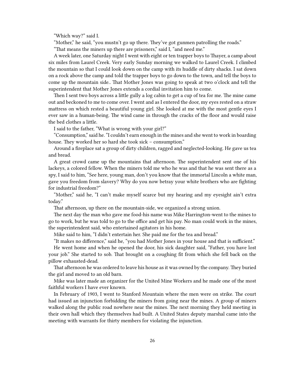"Which way?" said I.

"Mother," he said, "you mustn't go up there. They've got gunmen patrolling the roads."

"That means the miners up there are prisoners," said I, "and need me."

A week later, one Saturday night I went with eight or ten trapper boys to Thayer, a camp about six miles from Laurel Creek. Very early Sunday morning we walked to Laurel Creek. I climbed the mountain so that I could look down on the camp with its huddle of dirty shacks. I sat down on a rock above the camp and told the trapper boys to go down to the town, and tell the boys to come up the mountain side.. That Mother Jones was going to speak at two o'clock and tell the superintendent that Mother Jones extends a cordial invitation him to come.

Then I sent two boys across a little gully a log cabin to get a cup of tea for me. The mine came out and beckoned to me to come over. I went and as I entered the door, my eyes rested on a straw mattress on which rested a beautiful young girl. She looked at me with the most gentle eyes I ever saw in a human-being. The wind came in through the cracks of the floor and would raise the bed clothes a little.

I said to the father, "What is wrong with your girl?"

"Consumption," said he. "I couldn't earn enough in the mines and she went to work in boarding house. They worked her so hard she took sick – consumption."

Around a fireplace sat a group of dirty children, ragged and neglected-looking. He gave us tea and bread.

A great crowd came up the mountains that afternoon. The superintendent sent one of his lackeys, a colored fellow. When the miners told me who he was and that he was sent there as a spy, I said to him, "See here, young man, don't you know that the immortal Lincoln a white man, gave you freedom from slavery? Why do you now betray your white brothers who are fighting for industrial freedom?"

"Mother," said he, "I can't make myself scarce but my hearing and my eyesight ain't extra today."

That afternoon, up there on the mountain-side, we organized a strong union.

The next day the man who gave me food-his name was Mike Harrington-went to the mines to go to work, but he was told to go to the office and get his pay. No man could work in the mines, the superintendent said, who entertained agitators in his home.

Mike said to him, "I didn't entertain her. She paid me for the tea and bread."

"It makes no difference," said he, "you had Mother Jones in your house and that is sufficient."

He went home and when he opened the door, his sick daughter said, "Father, you have lost your job." She started to sob. That brought on a coughing fit from which she fell back on the pillow exhausted-dead.

That afternoon he was ordered to leave his house as it was owned by the company. They buried the girl and moved to an old barn.

Mike was later made an organizer for the United Mine Workers and he made one of the most faithful workers I have ever known.

In February of 1903, I went to Stanford Mountain where the men were on strike. The court had issued an injunction forbidding the miners from going near the mines. A group of miners walked along the public road nowhere near the mines. The next morning they held meeting in their own hall which they themselves had built. A United States deputy marshal came into the meeting with warrants for thirty members for violating the injunction.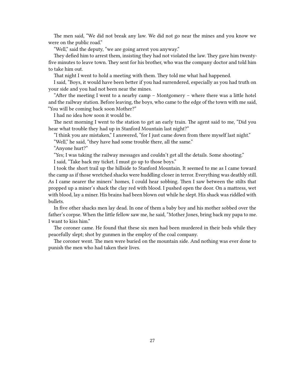The men said, "We did not break any law. We did not go near the mines and you know we were on the public road."

"Well," said the deputy, "we are going arrest you anyway."

They defied him to arrest them, insisting they had not violated the law. They gave him twentyfive minutes to leave town. They sent for his brother, who was the company doctor and told him to take him out.

That night I went to hold a meeting with them. They told me what had happened.

I said, "Boys, it would have been better if you had surrendered, especially as you had truth on your side and you had not been near the mines.

"After the meeting I went to a nearby camp – Montgomery – where there was a little hotel and the railway station. Before leaving, the boys, who came to the edge of the town with me said, "You will be coming back soon Mother?"

I had no idea how soon it would be.

The next morning I went to the station to get an early train. The agent said to me, "Did you hear what trouble they had up in Stanford Mountain last night?"

"I think you are mistaken," I answered, "for I just came down from there myself last night."

"Well," he said, "they have had some trouble there, all the same."

"Anyone hurt?"

"Yes; I was taking the railway messages and couldn't get all the details. Some shooting."

I said, "Take back my ticket. I must go up to those boys."

I took the short trail up the hillside to Stanford Mountain. It seemed to me as I came toward the camp as if those wretched shacks were huddling closer in terror. Everything was deathly still. As I came nearer the miners' homes, I could hear sobbing. Then I saw between the stilts that propped up a miner's shack the clay red with blood. I pushed open the door. On a mattress, wet with blood, lay a miner. His brains had been blown out while he slept. His shack was riddled with bullets.

In five other shacks men lay dead. In one of them a baby boy and his mother sobbed over the father's corpse. When the little fellow saw me, he said, "Mother Jones, bring back my papa to me. I want to kiss him."

The coroner came. He found that these six men had been murdered in their beds while they peacefully slept; shot by gunmen in the employ of the coal company.

The coroner went. The men were buried on the mountain side. And nothing was ever done to punish the men who had taken their lives.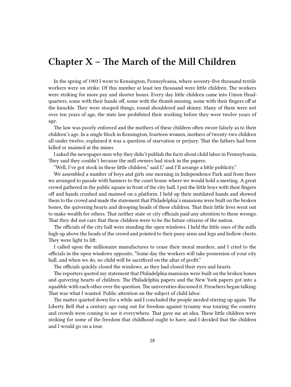### <span id="page-27-0"></span>**Chapter X – The March of the Mill Children**

In the spring of 1903 I went to Kensington, Pennsylvania, where seventy-five thousand textile workers were on strike. Of this number at least ten thousand were little children. The workers were striking for more pay and shorter hours. Every day little children came into Union Headquarters, some with their hands off, some with the thumb missing, some with their fingers off at the knuckle. They were stooped things, round shouldered and skinny. Many of them were not over ten years of age, the state law prohibited their working before they were twelve years of age.

The law was poorly enforced and the mothers of these children often swore falsely as to their children's age. In a single block in Kensington, fourteen women, mothers of twenty-two children all under twelve, explained it was a question of starvation or perjury. That the fathers had been killed or maimed at the mines.

I asked the newspaper men why they didn't publish the facts about child labor in Pennsylvania. They said they couldn't because the mill owners had stock in the papers.

"Well, I've got stock in these little children," said I," and I'll arrange a little publicity."

We assembled a number of boys and girls one morning in Independence Park and from there we arranged to parade with banners to the court house where we would hold a meeting. A great crowd gathered in the public square in front of the city hall. I put the little boys with their fingers off and hands crushed and maimed on a platform. I held up their mutilated hands and showed them to the crowd and made the statement that Philadelphia's mansions were built on the broken bones, the quivering hearts and drooping heads of these children. That their little lives went out to make wealth for others. That neither state or city officials paid any attention to these wrongs. That they did not care that these children were to be the future citizens of the nation.

The officials of the city hall were standing the open windows. I held the little ones of the mills high up above the heads of the crowd and pointed to their puny arms and legs and hollow chests. They were light to lift.

I called upon the millionaire manufactures to cease their moral murders, and I cried to the officials in the open windows opposite, "Some day the workers will take possession of your city hall, and when we do, no child will be sacrificed on the altar of profit."

The officials quickly closed the windows, as they had closed their eyes and hearts.

The reporters quoted my statement that Philadelphia mansions were built on the broken bones and quivering hearts of children. The Philadelphia papers and the New York papers got into a squabble with each other over the question. The universities discussed it. Preachers began talking. That was what I wanted. Public attention on the subject of child labor.

The matter quieted down for a while and I concluded the people needed stirring up again. The Liberty Bell that a century ago rang out for freedom against tyranny was touring the country and crowds were coming to see it everywhere. That gave me an idea. These little children were striking for some of the freedom that childhood ought to have, and I decided that the children and I would go on a tour.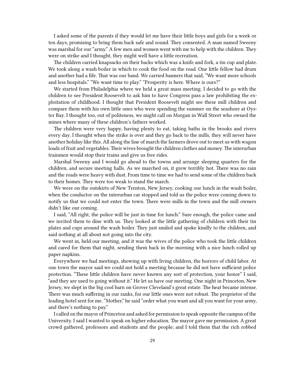I asked some of the parents if they would let me have their little boys and girls for a week or ten days, promising to bring them back safe and sound. They consented. A man named Sweeny was marshal for our "army." A few men and women went with me to help with the children. They were on strike and I thought, they might well have a little recreation.

The children carried knapsacks on their backs which was a knife and fork, a tin cup and plate. We took along a wash boiler in which to cook the food on the road. One little fellow had drum and another had a fife. That was our band. We carried banners that said, "We want more schools and less hospitals." "We want time to play." "Prosperity is here. Where is ours?"

We started from Philadelphia where we held a great mass meeting. I decided to go with the children to see President Roosevelt to ask him to have Congress pass a law prohibiting the exploitation of childhood. I thought that President Roosevelt might see these mill children and compare them with his own little ones who were spending the summer on the seashore at Oyster Bay. I thought too, out of politeness, we might call on Morgan in Wall Street who owned the mines where many of these children's fathers worked.

The children were very happy, having plenty to eat, taking baths in the brooks and rivers every day. I thought when the strike is over and they go back to the mills, they will never have another holiday like this. All along the line of march the farmers drove out to meet us with wagon loads of fruit and vegetables. Their wives brought the children clothes and money. The interurban trainmen would stop their trains and give us free rides.

Marshal Sweeny and I would go ahead to the towns and arrange sleeping quarters for the children, and secure meeting halls. As we marched on, it grew terribly hot. There was no rain and the roads were heavy with dust. From time to time we had to send some of the children back to their homes. They were too weak to stand the march.

We were on the outskirts of New Trenton, New Jersey, cooking our lunch in the wash boiler, when the conductor on the interurban car stopped and told us the police were coming down to notify us that we could not enter the town. There were mills in the town and the mill owners didn't like our coming.

I said, "All right, the police will be just in time for lunch." Sure enough, the police came and we invited them to dine with us. They looked at the little gathering of children with their tin plates and cups around the wash boiler. They just smiled and spoke kindly to the children, and said nothing at all about not going into the city.

We went in, held our meeting, and it was the wives of the police who took the little children and cared for them that night, sending them back in the morning with a nice lunch rolled up paper napkins.

Everywhere we had meetings, showing up with living children, the horrors of child labor. At one town the mayor said we could not hold a meeting because he did not have sufficient police protection. "These little children have never known any sort of protection, your honor" I said, "and they are used to going without it." He let us have our meeting. One night in Princeton, New Jersey, we slept in the big cool barn on Grover Cleveland's great estate. The heat became intense. There was much suffering in our ranks, for our little ones were not robust. The proprietor of the leading hotel sent for me. "Mother," he said "order what you want and all you want for your army, and there's nothing to pay."

I called on the mayor of Princeton and asked for permission to speak opposite the campus of the University. I said I wanted to speak on higher education. The mayor gave me permission. A great crowd gathered, professors and students and the people; and I told them that the rich robbed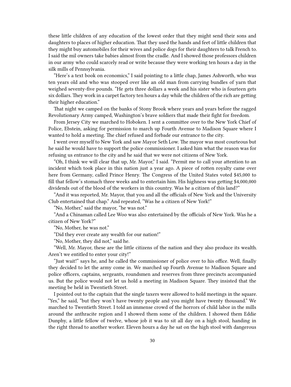these little children of any education of the lowest order that they might send their sons and daughters to places of higher education. That they used the hands and feet of little children that they might buy automobiles for their wives and police dogs for their daughters to talk French to. I said the mil owners take babies almost from the cradle. And I showed those professors children in our army who could scarcely read or write because they were working ten hours a day in the silk mills of Pennsylvania.

"Here's a text book on economics," I said pointing to a little chap, James Ashworth, who was ten years old and who was stooped over like an old man from carrying bundles of yarn that weighed seventy-five pounds. "He gets three dollars a week and his sister who is fourteen gets six dollars. They work in a carpet factory ten hours a day while the children of the rich are getting their higher education."

That night we camped on the banks of Stony Brook where years and years before the ragged Revolutionary Army camped, Washington's brave soldiers that made their fight for freedom.

From Jersey City we marched to Hoboken. I sent a committee over to the New York Chief of Police, Ebstein, asking for permission to march up Fourth Avenue to Madison Square where I wanted to hold a meeting. The chief refused and forbade our entrance to the city.

I went over myself to New York and saw Mayor Seth Low. The mayor was most courteous but he said he would have to support the police commissioner. I asked him what the reason was for refusing us entrance to the city and he said that we were not citizens of New York.

"Oh, I think we will clear that up, Mr. Mayor," I said. "Permit me to call your attention to an incident which took place in this nation just a year ago. A piece of rotten royalty came over here from Germany, called Prince Henry. The Congress of the United States voted \$45,000 to fill that fellow's stomach three weeks and to entertain him. His highness was getting \$4,000,000 dividends out of the blood of the workers in this country. Was he a citizen of this land?"

"And it was reported, Mr. Mayor, that you and all the officials of New York and the University Club entertained that chap." And repeated, "Was he a citizen of New York!"

"No, Mother," said the mayor, "he was not."

"And a Chinaman called Lee Woo was also entertained by the officials of New York. Was he a citizen of New York?"

"No, Mother, he was not."

"Did they ever create any wealth for our nation!"

"No, Mother, they did not," said he.

"Well, Mr. Mayor, these are the little citizens of the nation and they also produce its wealth. Aren't we entitled to enter your city!"

"Just wait!" says he, and he called the commissioner of police over to his office. Well, finally they decided to let the army come in. We marched up Fourth Avenue to Madison Square and police officers, captains, sergeants, roundsmen and reserves from three precincts accompanied us. But the police would not let us hold a meeting in Madison Square. They insisted that the meeting be held in Twentieth Street.

I pointed out to the captain that the single taxers were allowed to hold meetings in the square. "Yes," he said, "but they won't have twenty people and you might have twenty thousand." We marched to Twentieth Street. I told an immense crowd of the horrors of child labor in the mills around the anthracite region and I showed them some of the children. I showed them Eddie Dunphy, a little fellow of twelve, whose job it was to sit all day on a high stool, handing in the right thread to another worker. Eleven hours a day he sat on the high stool with dangerous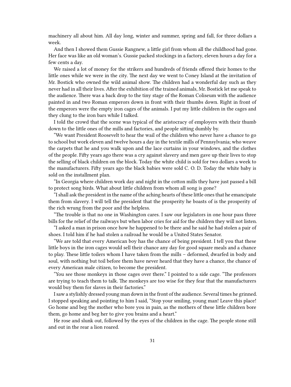machinery all about him. All day long, winter and summer, spring and fall, for three dollars a week.

And then I showed them Gussie Rangnew, a little girl from whom all the childhood had gone. Her face was like an old woman's. Gussie packed stockings in a factory, eleven hours a day for a few cents a day.

We raised a lot of money for the strikers and hundreds of friends offered their homes to the little ones while we were in the city. The next day we went to Coney Island at the invitation of Mr. Bostick who owned the wild animal show. The children had a wonderful day such as they never had in all their lives. After the exhibition of the trained animals, Mr. Bostick let me speak to the audience. There was a back drop to the tiny stage of the Roman Coliseum with the audience painted in and two Roman emperors down in front with their thumbs down. Right in front of the emperors were the empty iron cages of the animals. I put my little children in the cages and they clung to the iron bars while I talked.

I told the crowd that the scene was typical of the aristocracy of employers with their thumb down to the little ones of the mills and factories, and people sitting dumbly by.

"We want President Roosevelt to hear the wail of the children who never have a chance to go to school but work eleven and twelve hours a day in the textile mills of Pennsylvania; who weave the carpets that he and you walk upon and the lace curtains in your windows, and the clothes of the people. Fifty years ago there was a cry against slavery and men gave up their lives to stop the selling of black children on the block. Today the white child is sold for two dollars a week to the manufacturers. Fifty years ago the black babies were sold C. O. D. Today the white baby is sold on the installment plan.

"In Georgia where children work day and night in the cotton mills they have just passed a bill to protect song birds. What about little children from whom all song is gone?

"I shall ask the president in the name of the aching hearts of these little ones that he emancipate them from slavery. I will tell the president that the prosperity he boasts of is the prosperity of the rich wrung from the poor and the helpless.

"The trouble is that no one in Washington cares. I saw our legislators in one hour pass three bills for the relief of the railways but when labor cries for aid for the children they will not listen.

"I asked a man in prison once how he happened to be there and he said he had stolen a pair of shoes. I told him if he had stolen a railroad he would be a United States Senator.

"We are told that every American boy has the chance of being president. I tell you that these little boys in the iron cages would sell their chance any day for good square meals and a chance to play. These little toilers whom I have taken from the mills – deformed, dwarfed in body and soul, with nothing but toil before them have never heard that they have a chance, the chance of every American male citizen, to become the president.

"You see those monkeys in those cages over there." I pointed to a side cage. "The professors are trying to teach them to talk. The monkeys are too wise for they fear that the manufacturers would buy them for slaves in their factories."

I saw a stylishly dressed young man down in the front of the audience. Several times he grinned. I stopped speaking and pointing to him I said, "Stop your smiling, young man! Leave this place! Go home and beg the mother who bore you in pain, as the mothers of these little children bore them, go home and beg her to give you brains and a heart."

He rose and slunk out, followed by the eyes of the children in the cage. The people stone still and out in the rear a lion roared.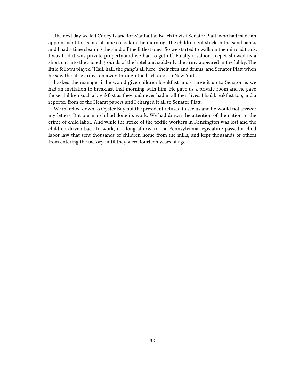The next day we left Coney Island for Manhattan Beach to visit Senator Platt, who had made an appointment to see me at nine o'clock in the morning. The children got stuck in the sand banks and I had a time cleaning the sand off the littlest ones. So we started to walk on the railroad track. I was told it was private property and we had to get off. Finally a saloon keeper showed us a short cut into the sacred grounds of the hotel and suddenly the army appeared in the lobby. The little fellows played "Hail, hail, the gang's all here" their fifes and drums, and Senator Platt when he saw the little army ran away through the back door to New York.

I asked the manager if he would give children breakfast and charge it up to Senator as we had an invitation to breakfast that morning with him. He gave us a private room and he gave those children such a breakfast as they had never had in all their lives. I had breakfast too, and a reporter from of the Hearst papers and I charged it all to Senator Platt.

We marched down to Oyster Bay but the president refused to see us and he would not answer my letters. But our march had done its work. We had drawn the attention of the nation to the crime of child labor. And while the strike of the textile workers in Kensington was lost and the children driven back to work, not long afterward the Pennsylvania legislature passed a child labor law that sent thousands of children home from the mills, and kept thousands of others from entering the factory until they were fourteen years of age.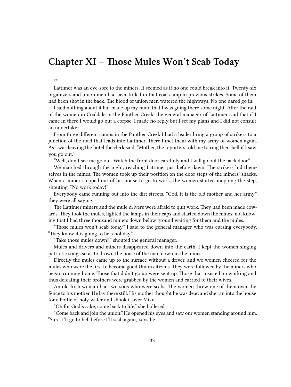#### <span id="page-32-0"></span>**Chapter XI – Those Mules Won't Scab Today**

\*\*

Lattimer was an eye-sore to the miners. It seemed as if no one could break into it. Twenty-six organizers and union men had been killed in that coal camp in previous strikes. Some of them had been shot in the back. The blood of union men watered the highways. No one dared go in.

I said nothing about it but made up my mind that I was going there some night. After the raid of the women in Coaldale in the Panther Creek, the general manager of Lattimer said that if I came in there I would go out a corpse. I made no reply but I set my plans and I did not consult an undertaker.

From three different camps in the Panther Creek I had a leader bring a group of strikers to a junction of the road that leads into Lattimer. There I met them with my army of women again. As I was leaving the hotel the clerk said, "Mother, the reporters told me to ring their bell if I saw you go out."

"Well, don't see me go out. Watch the front door carefully and I will go out the back door."

We marched through the night, reaching Lattimer just before dawn. The strikers hid themselves in the mines. The women took up their position on the door steps of the miners' shacks. When a miner stepped out of his house to go to work, the women started mopping the step, shouting, "No work today!"

Everybody came running out into the dirt streets. "God, it is the old mother and her army," they were all saying.

The Lattimer miners and the mule drivers were afraid to quit work. They had been made cowards. They took the mules, lighted the lamps in their caps and started down the mines, not knowing that I had three thousand miners down below ground waiting for them and the mules.

"Those mules won't scab today," I said to the general manager who was cursing everybody. "They know it is going to be a holiday."

"Take those mules down‼" shouted the general manager.

Mules and drivers and miners disappeared down into the earth. I kept the women singing patriotic songs so as to drown the noise of the men down in the mines.

Directly the mules came up to the surface without a driver, and we women cheered for the mules who were the first to become good Union citizens. They were followed by the miners who began running home. Those that didn't go up were sent up. Those that insisted on working and thus defeating their brothers were grabbed by the women and carried to their wives.

An old Irish woman had two sons who were scabs. The women threw one of them over the fence to his mother. He lay there still. His mother thought he was dead and she ran into the house for a bottle of holy water and shook it over Mike.

"Oh for God's sake, come back to life," she hollered.

"Come back and join the union." He opened his eyes and saw our women standing around him. "Sure, I'll go to hell before I'll scab again,' says he.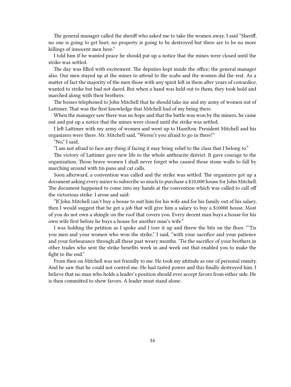The general manager called the sheriff who asked me to take the women away. I said "Sheriff, no one is going to get hurt, no property is going to be destroyed but there are to be no more killings of innocent men here."

I told him if he wanted peace he should put up a notice that the mines were closed until the strike was settled.

The day was filled with excitement. The deputies kept inside the office; the general manager also. Our men stayed up at the mines to attend to the scabs and the women did the rest. As a matter of fact the majority of the men those with any spirit left in them after years of cowardice, wanted to strike but had not dared. But when a hand was held out to them, they took hold and marched along with their brothers.

The bosses telephoned to John Mitchell that he should take me and my army of women out of Lattimer. That was the first knowledge that Mitchell had of my being there.

When the manager saw there was no hope and that the battle was won by the miners, he came out and put up a notice that the mines were closed until the strike was settled.

I left Lattimer with my army of women and went up to Hazelton. President Mitchell and his organizers were there. Mr. Mitchell said, "Weren't you afraid to go in there!"

"No," I said,

"I am not afraid to face any thing if facing it may bring relief to the class that I belong to."

The victory of Lattimer gave new life to the whole anthracite district. It gave courage to the organization. Those brave women I shall never forget who caused those stone walls to fall by marching around with tin pans and cat calls.

Soon afterward, a convention was called and the strike was settled. The organizers got up a document asking every miner to subscribe so much to purchase a \$10,000 house for John Mitchell. The document happened to come into my hands at the convention which was called to call off the victorious strike. I arose and said:

"If John Mitchell can't buy a house to suit him for his wife and for his family out of his salary, then I would suggest that he get a job that will give him a salary to buy a \$10000 house. Most of you do not own a shingle on the roof that covers you. Every decent man buys a house for his own wife first before he buys a house for another man's wife."

I was holding the petition as I spoke and I tore it up and threw the bits on the floor. "'Tis you men and your women who won the strike," I said, "with your sacrifice and your patience and your forbearance through all these past weary months. 'Tis the sacrifice of your brothers in other trades who sent the strike benefits week in and week out that enabled you to make the fight to the end."

From then on Mitchell was not friendly to me. He took my attitude as one of personal enmity. And he saw that he could not control me. He had tasted power and this finally destroyed him. I believe that no man who holds a leader's position should ever accept favors from either side. He is then committed to show favors. A leader must stand alone.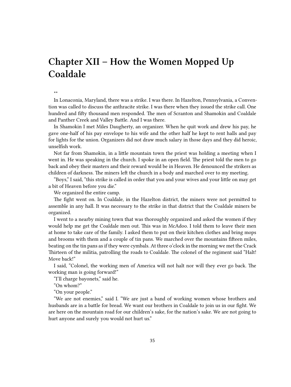## <span id="page-34-0"></span>**Chapter XII – How the Women Mopped Up Coaldale**

\*\*

In Lonaconia, Maryland, there was a strike. I was there. In Hazelton, Pennsylvania, a Convention was called to discuss the anthracite strike. I was there when they issued the strike call. One hundred and fifty thousand men responded. The men of Scranton and Shamokin and Coaldale and Panther Creek and Valley Battle. And I was there.

In Shamokin I met Miles Daugherty, an organizer. When he quit work and drew his pay, he gave one-half of his pay envelope to his wife and the other half he kept to rent halls and pay for lights for the union. Organizers did not draw much salary in those days and they did heroic, unselfish work.

Not far from Shamokin, in a little mountain town the priest was holding a meeting when I went in. He was speaking in the church. I spoke in an open field. The priest told the men to go back and obey their masters and their reward would be in Heaven. He denounced the strikers as children of darkness. The miners left the church in a body and marched over to my meeting.

"Boys," I said, "this strike is called in order that you and your wives and your little on may get a bit of Heaven before you die."

We organized the entire camp.

The fight went on. In Coaldale, in the Hazelton district, the miners were not permitted to assemble in any hall. It was necessary to the strike in that district that the Coaldale miners be organized.

I went to a nearby mining town that was thoroughly organized and asked the women if they would help me get the Coaldale men out. This was in McAdoo. I told them to leave their men at home to take care of the family. I asked them to put on their kitchen clothes and bring mops and brooms with them and a couple of tin pans. We marched over the mountains fifteen miles, beating on the tin pans as if they were cymbals. At three o'clock in the morning we met the Crack Thirteen of the militia, patrolling the roads to Coaldale. The colonel of the regiment said "Halt! Move back!"

I said, "Colonel, the working men of America will not halt nor will they ever go back. The working man is going forward!"

"I'll charge bayonets," said he.

"On whom?"

"On your people."

"We are not enemies," said I. "We are just a band of working women whose brothers and husbands are in a battle for bread. We want our brothers in Coaldale to join us in our fight. We are here on the mountain road for our children's sake, for the nation's sake. We are not going to hurt anyone and surely you would not hurt us."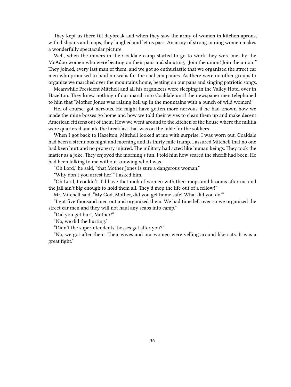They kept us there till daybreak and when they saw the army of women in kitchen aprons, with dishpans and mops, they laughed and let us pass. An army of strong mining women makes a wonderfully spectacular picture.

Well, when the miners in the Coaldale camp started to go to work they were met by the McAdoo women who were beating on their pans and shouting, "Join the union! Join the union!" They joined, every last man of them, and we got so enthusiastic that we organized the street car men who promised to haul no scabs for the coal companies. As there were no other groups to organize we marched over the mountains home, beating on our pans and singing patriotic songs.

Meanwhile President Mitchell and all his organizers were sleeping in the Valley Hotel over in Hazelton. They knew nothing of our march into Coaldale until the newspaper men telephoned to him that "Mother Jones was raising hell up in the mountains with a bunch of wild women!"

He, of course, got nervous. He might have gotten more nervous if he had known how we made the mine bosses go home and how we told their wives to clean them up and make decent American citizens out of them. How we went around to the kitchen of the house where the militia were quartered and ate the breakfast that was on the table for the soldiers.

When I got back to Hazelton, Mitchell looked at me with surprise. I was worn out. Coaldale had been a strenuous night and morning and its thirty mile tramp. I assured Mitchell that no one had been hurt and no property injured. The military had acted like human beings. They took the matter as a joke. They enjoyed the morning's fun. I told him how scared the sheriff had been. He had been talking to me without knowing who I was.

"Oh Lord," he said, "that Mother Jones is sure a dangerous woman."

"Why don't you arrest her!" I asked him.

"Oh Lord, I couldn't. I'd have that mob of women with their mops and brooms after me and the jail ain't big enough to hold them all. They'd mop the life out of a fellow!"

Mr. Mitchell said, "My God, Mother, did you get home safe! What did you do!"

"I got five thousand men out and organized them. We had time left over so we organized the street car men and they will not haul any scabs into camp."

"Did you get hurt, Mother!"

"No, we did the hurting."

"Didn't the superintendents' bosses get after you?"

"No, we got after them. Their wives and our women were yelling around like cats. It was a great fight."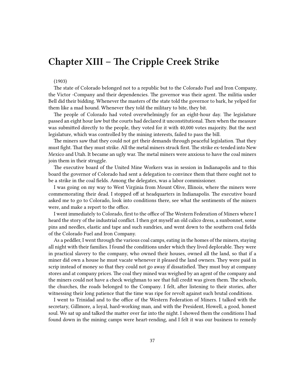# **Chapter XIII – The Cripple Creek Strike**

#### (1903)

The state of Colorado belonged not to a republic but to the Colorado Fuel and Iron Company, the Victor -Company and their dependencies. The governor was their agent. The militia under Bell did their bidding. Whenever the masters of the state told the governor to bark, he yelped for them like a mad hound. Whenever they told the military to bite, they bit.

The people of Colorado had voted overwhelmingly for an eight-hour day. The legislature passed an eight hour law but the courts had declared it unconstitutional. Then when the measure was submitted directly to the people, they voted for it with 40,000 votes majority. But the next legislature, which was controlled by the mining interests, failed to pass the bill.

The miners saw that they could not get their demands through peaceful legislation. That they must fight. That they must strike. All the metal miners struck first. The strike ex-tended into New Mexico and Utah. It became an ugly war. The metal miners were anxious to have the coal miners join them in their struggle.

The executive board of the United Mine Workers was in session in Indianapolis and to this board the governor of Colorado had sent a delegation to convince them that there ought not to be a strike in the coal fields. Among the delegates, was a labor commissioner.

I was going on my way to West Virginia from Mount Olive, Illinois, where the miners were commemorating their dead. I stopped off at headquarters in Indianapolis. The executive board asked me to go to Colorado, look into conditions there, see what the sentiments of the miners were, and make a report to the office.

I went immediately to Colorado, first to the office of The Western Federation of Miners where I heard the story of the industrial conflict. I then got myself an old calico dress, a sunbonnet, some pins and needles, elastic and tape and such sundries, and went down to the southern coal fields of the Colorado Fuel and Iron Company.

As a peddler, I went through the various coal camps, eating in the homes of the miners, staying all night with their families. I found the conditions under which they lived deplorable. They were in practical slavery to the company, who owned their houses, owned all the land, so that if a miner did own a house he must vacate whenever it pleased the land owners. They were paid in scrip instead of money so that they could not go away if dissatisfied. They must buy at company stores and at company prices. The coal they mined was weighed by an agent of the company and the miners could not have a check weighman to see that full credit was given them. The schools, the churches, the roads belonged to the Company. I felt, after listening to their stories, after witnessing their long patience that the time was ripe for revolt against such brutal conditions.

I went to Trinidad and to the office of the Western Federation of Miners. I talked with the secretary, Gillmore, a loyal, hard-working man, and with the President, Howell, a good, honest soul. We sat up and talked the matter over far into the night. I showed them the conditions I had found down in the mining camps were heart-rending, and I felt it was our business to remedy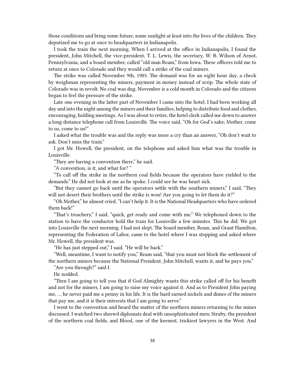those conditions and bring some future, some sunlight at least into the lives of the children. They deputized me to go at once to headquarters in Indianapolis.

I took the train the next morning. When I arrived at the office in Indianapolis, I found the president, John Mitchell, the vice-president, T. L. Lewis, the secretary, W. B. Wilson of Arnot, Pennsylvania, and a board member, called "old man Ream," from Iowa. These officers told me to return at once to Colorado and they would call a strike of the coal miners.

The strike was called November 9th, 1903. The demand was for an eight hour day, a check by weighman representing the miners, payment in money instead of scrip. The whole state of Colorado was in revolt. No coal was dug. November is a cold month in Colorado and the citizens began to feel the pressure of the strike.

Late one evening in the latter part of November I came into the hotel. I had been working all day and into the night among the miners and their families, helping to distribute food and clothes, encouraging, holding meetings. As I was about to retire, the hotel clerk called me down to answer a long distance telephone call from Louisville. The voice said, "Oh for God's sake; Mother, come to us, come to us!"

I asked what the trouble was and the reply was more a cry than an answer, "Oh don't wait to ask. Don't miss the train."

I got Mr. Howell, the president, on the telephone and asked him what was the trouble in Louisville.

"They are having a convention there," he said.

"A convention, is it, and what for? "

"To call off the strike in the northern coal fields because the operators have yielded to the demands." He did not look at me as he spoke. I could see he was heart sick.

"But they cannot go back until the operators settle with the southern miners," I said, "They will not desert their brothers until the strike is won! Are you going to let them do it?"

"Oh Mother," he almost cried, "I can't help it. It is the National Headquarters who have ordered them back!"

"That's treachery," I said, "quick, get ready and come with me." We telephoned down to the station to have the conductor hold the train for Louisville a few minutes. This he did. We got into Louisville the next morning. I had not slept. The board member, Ream, and Grant Hamilton, representing the Federation of Labor, came to the hotel where I was stopping and asked where Mr. Howell, the president was.

"He has just stepped out," I said. "He will be back."

"Well, meantime, I want to notify you," Ream said, "that you must not block the settlement of the northern miners because the National President, John Mitchell, wants it, and he pays you."

"Are you through?" said I.

He nodded.

"Then I am going to tell you that if God Almighty wants this strike called off for his benefit and not for the miners, I am going to raise my voice against it. And as to President John paying me, … he never paid me a penny in his life. It is the hard earned nickels and dimes of the miners that pay me, and it is their interests that I am going to serve."

I went to the convention and heard the matter of the northern miners returning to the mines discussed. I watched two shrewd diplomats deal with unsophisticated men; Struby, the president of the northern coal fields, and Blood, one of the keenest, trickiest lawyers in the West. And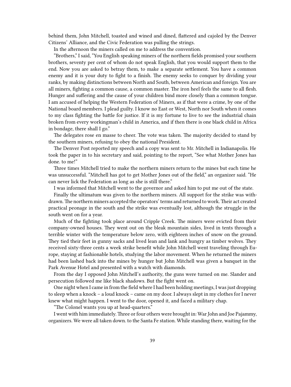behind them, John Mitchell, toasted and wined and dined, flattered and cajoled by the Denver Citizens' Alliance, and the Civic Federation was pulling the strings.

In the afternoon the miners called on me to address the convention.

"Brothers," I said, "You English speaking miners of the northern fields promised your southern brothers, seventy per cent of whom do not speak English, that you would support them to the end. Now you are asked to betray them, to make a separate settlement. You have a common enemy and it is your duty to fight to a finish. The enemy seeks to conquer by dividing your ranks, by making distinctions between North and South, between American and foreign. You are all miners, fighting a common cause, a common master. The iron heel feels the same to all flesh. Hunger and suffering and the cause of your children bind more closely than a common tongue. I am accused of helping the Western Federation of Miners, as if that were a crime, by one of the National board members. I plead guilty. I know no East or West, North nor South when it comes to my class fighting the battle for justice. If it is my fortune to live to see the industrial chain broken from every workingman's child in America, and if then there is one black child in Africa in bondage, there shall I go."

The delegates rose en masse to cheer. The vote was taken. The majority decided to stand by the southern miners, refusing to obey the national President.

The Denver Post reported my speech and a copy was sent to Mr. Mitchell in Indianapolis. He took the paper in to his secretary and said, pointing to the report, "See what Mother Jones has done. to me!"

Three times Mitchell tried to make the northern miners return to the mines but each time he was unsuccessful. "Mitchell has got to get Mother Jones out of the field," an organizer said. "He can never lick the Federation as long as she is still there."

I was informed that Mitchell went to the governor and asked him to put me out of the state.

Finally the ultimatum was given to the northern miners. All support for the strike was withdrawn.The northern miners accepted the operators' terms and returned to work.Their act created practical peonage in the south and the strike was eventually lost, although the struggle in the south went on for a year.

Much of the fighting took place around Cripple Creek. The miners were evicted from their company-owned houses. They went out on the bleak mountain sides, lived in tents through a terrible winter with the temperature below zero, with eighteen inches of snow on the ground. They tied their feet in gunny sacks and lived lean and lank and hungry as timber wolves. They received sixty-three cents a week strike benefit while John Mitchell went traveling through Europe, staying at fashionable hotels, studying the labor movement. When he returned the miners had been lashed back into the mines by hunger but John Mitchell was given a banquet in the Park Avenue Hotel and presented with a watch with diamonds.

From the day I opposed John Mitchell's authority, the guns were turned on me. Slander and persecution followed me like black shadows. But the fight went on.

One night when I came in from the field where I had been holding meetings, I was just dropping to sleep when a knock – a loud knock – came on my door. I always slept in my clothes for I never knew what might happen. I went to the door, opened it, and faced a military chap.

"The Colonel wants you up at head-quarters."

I went with him immediately. Three or four others were brought in: War John and Joe Pajammy, organizers. We were all taken down. to the Santa Fe station. While standing there, waiting for the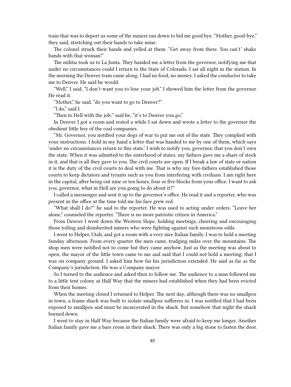train that was to deport us some of the miners ran down to bid me good bye. "Mother, good-bye," they said, stretching out their hands to take mine.

The colonel struck their hands and yelled at them. "Get away from there. You can't' shake hands with that woman!"

The militia took us to La Junta. They handed me a letter from the governor, notifying me that under no circumstances could I return to the State of Colorado. I sat all night in the station. In the morning the Denver train came along. I had no food, no money. I asked the conductor to take me to Denver. He said he would.

"Well," I said, "I don't want you to lose your job." I showed him the letter from the governor. He read it.

"Mother," he said, "do you want to go to Denver?"

"I do," said I.

"Then to Hell with the job;" said he, "it's to Denver you go."

In Denver I got a room and rested a while I sat down and wrote a letter to the governor the obedient little boy of the coal companies.

"Mr. Governor, you notified your dogs of war to put me out of the state. They complied with your instructions. I hold in my hand a letter that was handed to me by one of them, which says 'under no circumstances return to this state.' I wish to notify you, governor, that you don't own the state. When it was admitted to the sisterhood of states, my fathers gave me a share of stock in it; and that is all they gave to you. The civil courts are open. If I break a law of state or nation it is the duty of the civil courts to deal with me. That is why my fore-fathers established those courts to keep dictators and tyrants such as you from interfering with civilians. I am right here in the capital, after being out nine or ten hours, four or five blocks from your office. I want to ask you, governor, what in Hell are you going to do about it?"

I called a messenger and sent it up to the governor's office. He read it and a reporter, who was present in the office at the time told me his face grew red.

"What shall I do?" he said to the reporter. He was used to acting under orders. "Leave her alone," counseled the reporter. "There is no more patriotic citizen in America."

From Denver I went down the Western Slope, holding meetings, cheering and encouraging those toiling and disinherited miners who were fighting against such monstrous odds.

I went to Helper, Utah, and got a room with a very nice Italian family. I was to hold a meeting Sunday afternoon. From every quarter the men came, trudging miles over the mountains. The shop men were notified not to come but they came anyhow. Just as the meeting was about to open, the mayor of the little town came to me and said that I could not hold a meeting; that I was on company ground. I asked him how far his jurisdiction extended. He said as far as the Company's jurisdiction. He was a Company mayor.

So I turned to the audience and asked then to follow me. The audience to a man followed me to a little tent colony at Half Way that the miners had established when they had been evicted from their homes.

When the meeting closed I returned to Helper. The next day, although there was no smallpox in town, a frame shack was built to isolate smallpox sufferers in. I was notified that I had been exposed to smallpox and must be incarcerated in the shack. But somehow that night the shack burned down.

I went to stay in Half Way because the Italian family were afraid to keep me longer. Another Italian family gave me a bare room in their shack. There was only a big stone to fasten the door.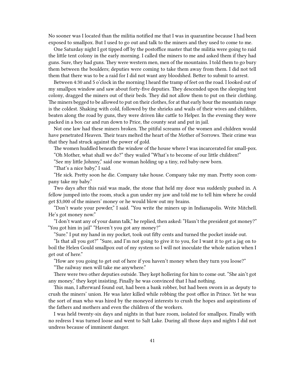No sooner was I located than the militia notified me that I was in quarantine because I had been exposed to smallpox. But I used to go out and talk to the miners and they used to come to me.

One Saturday night I got tipped off by the postoffice master that the militia were going to raid the little tent colony in the early morning. I called the miners to me and asked them if they had guns. Sure, they had guns. They were western men, men of the mountains. I told them to go bury them between the boulders; deputies were coming to take them away from them. I did not tell them that there was to be a raid for I did not want any bloodshed. Better to submit to arrest.

Between 4:30 and 5 o'clock in the morning I heard the tramp of feet on the road. I looked out of my smallpox window and saw about forty-five deputies. They descended upon the sleeping tent colony, dragged the miners out of their beds. They did not allow them to put on their clothing. The miners begged to be allowed to put on their clothes, for at that early hour the mountain range is the coldest. Shaking with cold, followed by the shrieks and wails of their wives and children, beaten along the road by guns, they were driven like cattle to Helper. In the evening they were packed in a box car and run down to Price, the county seat and put in jail.

Not one law had these miners broken. The pitiful screams of the women and children would have penetrated Heaven. Their tears melted the heart of the Mother of Sorrows. Their crime was that they had struck against the power of gold.

The women huddled beneath the window of the house where I was incarcerated for small-pox. "Oh Mother, what shall we do?" they wailed "What's to become of our little children!"

"See my little Johnny," said one woman holding up a tiny, red baby-new born.

"That's a nice baby," I said.

"He sick. Pretty soon he die. Company take house. Company take my man. Pretty soon company take my baby."

Two days after this raid was made, the stone that held my door was suddenly pushed in. A fellow jumped into the room, stuck a gun under my jaw and told me to tell him where he could get \$3,000 of the miners' money or he would blow out my brains.

"Don't waste your powder," I said. "You write the miners up in Indianapolis. Write Mitchell. He's got money now."

"I don't want any of your damn talk," he replied, then asked: "Hasn't the president got money?" "You got him in jail" "Haven't you got any money?"

"Sure." I put my hand in my pocket, took out fifty cents and turned the pocket inside out.

"Is that all you got?" "Sure, and I'm not going to give it to you, for I want it to get a jag on to boil the Helen Gould smallpox out of my system so I will not inoculate the whole nation when I get out of here."

"How are you going to get out of here if you haven't money when they turn you loose?"

"The railway men will take me anywhere."

There were two other deputies outside. They kept hollering for him to come out. "She ain't got any money," they kept insisting. Finally he was convinced that I had nothing.

This man, I afterward found out, had been a bank robber, but had been sworn in as deputy to crush the miners' union. He was later killed while robbing the post office in Prince. Yet he was the sort of man who was hired by the moneyed interests to crush the hopes and aspirations of the fathers and mothers and even the children of the workers.

I was held twenty-six days and nights in that bare room, isolated for smallpox. Finally with no redress I was turned loose and went to Salt Lake. During all those days and nights I did not undress because of imminent danger.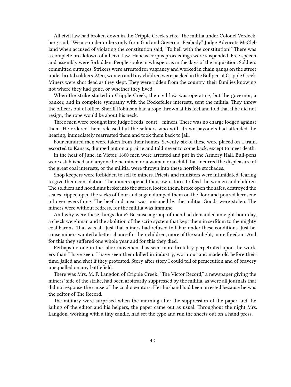All civil law had broken down in the Cripple Creek strike. The militia under Colonel Verdeckberg said, "We are under orders only from God and Governor Peabody." Judge Advocate McClelland when accused of violating the constitution said, "To hell with the constitution!" There was a complete breakdown of all civil law. Habeas corpus proceedings were suspended. Free speech and assembly were forbidden. People spoke in whispers as in the days of the inquisition. Soldiers committed outrages. Strikers were arrested for vagrancy and worked in chain gangs on the street under brutal soldiers. Men, women and tiny children were packed in the Bullpen at Cripple Creek. Miners were shot dead as they slept. They were ridden from the country, their families knowing not where they had gone, or whether they lived.

When the strike started in Cripple Creek, the civil law was operating, but the governor, a banker, and in complete sympathy with the Rockefeller interests, sent the militia. They threw the officers out of office. Sheriff Robinson had a rope thrown at his feet and told that if he did not resign, the rope would be about his neck.

Three men were brought into Judge Seeds' court – miners. There was no charge lodged against them. He ordered them released but the soldiers who with drawn bayonets had attended the hearing, immediately rearrested them and took them back to jail.

Four hundred men were taken from their homes. Seventy-six of these were placed on a train, escorted to Kansas, dumped out on a prairie and told never to come back, except to meet death.

In the heat of June, in Victor, 1600 men were arrested and put in the Armory Hall. Bull-pens were established and anyone be he miner, or a woman or a child that incurred the displeasure of the great coal interests, or the militia, were thrown into these horrible stockades.

Shop keepers were forbidden to sell to miners. Priests and ministers were intimidated, fearing to give them consolation. The miners opened their own stores to feed the women and children. The soldiers and hoodlums broke into the stores, looted them, broke open the safes, destroyed the scales, ripped open the sacks of flour and sugar, dumped them on the floor and poured kerosene oil over everything. The beef and meat was poisoned by the militia. Goods were stolen. The miners were without redress, for the militia was immune.

And why were these things done? Because a group of men had demanded an eight hour day, a check weighman and the abolition of the scrip system that kept them in serfdom to the mighty coal barons. That was all. Just that miners had refused to labor under these conditions. Just because miners wanted a better chance for their children, more of the sunlight, more freedom. And for this they suffered one whole year and for this they died.

Perhaps no one in the labor movement has seen more brutality perpetrated upon the workers than I have seen. I have seen them killed in industry, worn out and made old before their time, jailed and shot if they protested. Story after story I could tell of persecution and of bravery unequalled on any battlefield.

There was Mrs. M. F. Langdon of Cripple Creek. "The Victor Record," a newspaper giving the miners' side of the strike, had been arbitrarily suppressed by the militia, as were all journals that did not espouse the cause of the coal operators. Her husband had been arrested because he was the editor of The Record.

The military were surprised when the morning after the suppression of the paper and the jailing of the editor and his helpers, the paper came out as usual. Throughout the night Mrs. Langdon, working with a tiny candle, had set the type and run the sheets out on a hand press.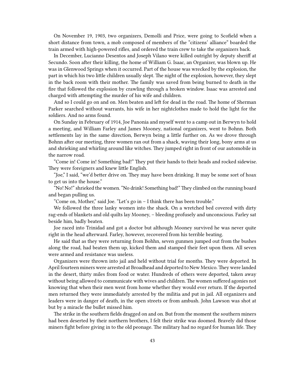On November 19, 1903, two organizers, Demolli and Price, were going to Scofield when a short distance from town, a mob composed of members of the "citizens' alliance" boarded the train armed with high-powered rifles, and ordered the train crew to take the organizers back.

In December, Lucianno Desentos and Joseph Vilano were killed outright by deputy sheriff at Secundo. Soon after their killing, the home of William G. Isaac, an Organizer, was blown up. He was in Glenwood Springs when it occurred. Part of the house was wrecked by the explosion, the part in which his two little children usually slept. The night of the explosion, however, they slept in the back room with their mother. The family was saved from being burned to death in the fire that followed the explosion by crawling through a broken window. Isaac was arrested and charged with attempting the murder of his wife and children.

And so I could go on and on. Men beaten and left for dead in the road. The home of Sherman Parker searched without warrants, his wife in her nightclothes made to hold the light for the soldiers. And no arms found.

On Sunday in February of 1914, Joe Panonia and myself went to a camp out in Berwyn to hold a meeting, and William Farley and James Mooney, national organizers, went to Bohnn. Both settlements lay in the same direction, Berwyn being a little further on. As we drove through Bohnn after our meeting, three women ran out from a shack, waving their long, bony arms at us and shrieking and whirling around like witches. They jumped right in front of our automobile in the narrow road.

"Come in! Come in! Something bad!" They put their hands to their heads and rocked sidewise. They were foreigners and knew little English.

"Joe," I said, "we'd better drive on. They may have been drinking. It may be some sort of hoax to get us into the house."

"No! No!" shrieked the women. "No drink! Something bad!"They climbed on the running board and began pulling us.

"Come on, Mother," said Joe. "Let's go in – I think there has been trouble."

We followed the three lanky women into the shack. On a wretched bed covered with dirty rag-ends of blankets and old quilts lay Mooney, – bleeding profusely and unconscious. Farley sat beside him, badly beaten.

Joe raced into Trinidad and got a doctor but although Mooney survived he was never quite right in the head afterward. Farley, however, recovered from his terrible beating.

He said that as they were returning from Bohhn, seven gunmen jumped out from the bushes along the road, had beaten them up, kicked them and stamped their feet upon them. All seven were armed and resistance was useless.

Organizers were thrown into jail and held without trial for months. They were deported. In April fourteen miners were arrested at Broadhead and deported to New Mexico.They were landed in the desert, thirty miles from food or water. Hundreds of others were deported, taken away without being allowed to communicate with wives and children. The women suffered agonies not knowing that when their men went from home whether they would ever return. If the deported men returned they were immediately arrested by the militia and put in jail. All organizers and leaders were in danger of death, in the open streets or from ambush. John Lawson was shot at but by a miracle the bullet missed him.

The strike in the southern fields dragged on and on. But from the moment the southern miners had been deserted by their northern brothers, I felt their strike was doomed. Bravely did those miners fight before giving in to the old peonage. The military had no regard for human life. They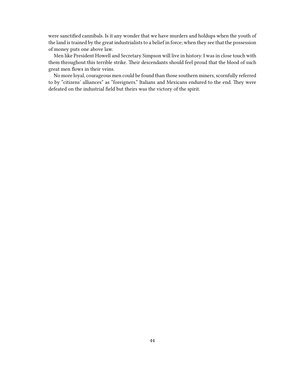were sanctified cannibals. Is it any wonder that we have murders and holdups when the youth of the land is trained by the great industrialists to a belief in force; when they see that the possession of money puts one above law.

Men like President Howell and Secretary Simpson will live in history. I was in close touch with them throughout this terrible strike. Their descendants should feel proud that the blood of such great men flows in their veins.

No more loyal, courageous men could be found than those southern miners, scornfully referred to by "citizens' alliances" as "foreigners." Italians and Mexicans endured to the end. They were defeated on the industrial field but theirs was the victory of the spirit.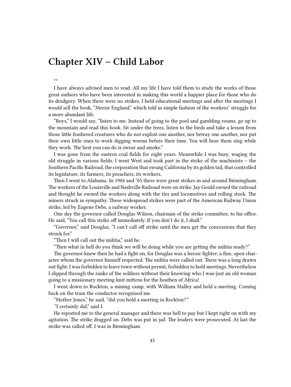## **Chapter XIV – Child Labor**

\*\*

I have always advised men to read. All my life I have told them to study the works of those great authors who have been interested in making this world a happier place for those who do its drudgery. When there were no strikes, I held educational meetings and after the meetings I would sell the book, "Merrie England," which told in simple fashion of the workers' struggle for a more abundant life.

"Boys," I would say, "listen to me. Instead of going to the pool and gambling rooms, go up to the mountain and read this book. Sit under the trees, listen to the birds and take a lesson from those little feathered creatures who do not exploit one another, nor betray one another, nor put their own little ones to work digging worms before their time. You will hear them sing while they work. The best you can do is swear and smoke."

I was gone from the eastern coal fields for eight years. Meanwhile I was busy, waging the old struggle in various fields. I went West and took part in the strike of the machinists – the Southern Pacific Railroad, the corporation that swung California by its golden tail, that controlled its legislature, its farmers, its preachers, its workers.

Then I went to Alabama. In 1904 and '05 there were great strikes in and around Birmingham. The workers of the Louisville and Nashville Railroad were on strike. Jay Gould owned the railroad and thought he owned the workers along with the ties and locomotives and rolling stock. The miners struck in sympathy. These widespread strikes were part of the American Railway Union strike, led by Eugene Debs, a railway worker.

One day the governor called Douglas Wilson, chairman of the strike committee, to his office. He said, "You call this strike off immediately. If you don't do it, I shall."

"Governor," said Douglas, "I can't call off strike until the men get the concessions that they struck for."

"Then I will call out the militia," said he.

"Then what in hell do you think we will be doing while you are getting the militia ready?"

The governor knew then he had a fight on, for Douglas was a heroic fighter; a fine, open character whom the governor himself respected. The militia were called out. There was a long drawn out fight. I was forbidden to leave town without permit, forbidden to hold meetings. Nevertheless I slipped through the ranks of the soldiers without their knowing who I was-just an old woman going to a missionary meeting knit mittens for the heathen of Africa!

I went down to Rockton, a mining camp, with William Malley and held a meeting. Coming back on the train the conductor recognized me.

"Mother Jones," he said, "did you hold a meeting in Rockton?*"*

*"*I certainly did," said I.

He reported me to the general manager and there was hell to pay but I kept right on with my agitation. The strike dragged on. Debs was put in jail. The leaders were prosecuted. At last the strike was called off. I was in Birmingham.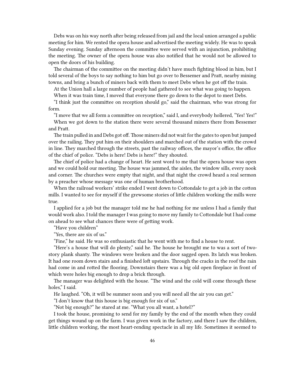Debs was on his way north after being released from jail and the local union arranged a public meeting for him. We rented the opera house and advertised the meeting widely. He was to speak Sunday evening. Sunday afternoon the committee were served with an injunction, prohibiting the meeting. The owner of the opera house was also notified that he would not be allowed to open the doors of his building.

The chairman of the committee on the meeting didn't have much fighting blood in him, but I told several of the boys to say nothing to him but go over to Bessemer and Pratt, nearby mining towns, and bring a bunch of miners back with them to meet Debs when he got off the train.

At the Union hall a large number of people had gathered to see what was going to happen. When it was train time, I moved that everyone there go down to the depot to meet Debs.

"I think just the committee on reception should go," said the chairman, who was strong for form.

"I move that we all form a committee on reception," said I, and everybody hollered, "Yes! Yes!"

When we got down to the station there were several thousand miners there from Bessemer and Pratt.

The train pulled in and Debs got off. Those miners did not wait for the gates to open but jumped over the railing. They put him on their shoulders and marched out of the station with the crowd in line. They marched through the streets, past the railway offices, the mayor's office, the office of the chief of police. "Debs is here! Debs is here!" they shouted.

The chief of police had a change of heart. He sent word to me that the opera house was open and we could hold our meeting. The house was jammed, the aisles, the window sills, every nook and corner. The churches were empty that night, and that night the crowd heard a real sermon by a preacher whose message was one of human brotherhood.

When the railroad workers' strike ended I went down to Cottondale to get a job in the cotton mills. I wanted to see for myself if the grewsome stories of little children working the mills were true.

I applied for a job but the manager told me he had nothing for me unless I had a family that would work also. I told the manager I was going to move my family to Cottondale but I had come on ahead to see what chances there were of getting work.

"Have you children"

"Yes, there are six of us."

"Fine," he said. He was so enthusiastic that he went with me to find a house to rent.

"Here's a house that will do plenty," said he. The house he brought me to was a sort of twostory plank shanty. The windows were broken and the door sagged open. Its latch was broken. It had one room down stairs and a finished loft upstairs. Through the cracks in the roof the rain had come in and rotted the flooring. Downstairs there was a big old open fireplace in front of which were holes big enough to drop a brick through.

The manager was delighted with the house. "The wind and the cold will come through these holes," I said.

He laughed. "Oh, it will be summer soon and you will need all the air you can get."

"I don't know that this house is big enough for six of us."

"Not big enough?" he stared at me. "What you all want, a hotel?"

I took the house, promising to send for my family by the end of the month when they could get things wound up on the farm. I was given work in the factory, and there I saw the children, little children working, the most heart-rending spectacle in all my life. Sometimes it seemed to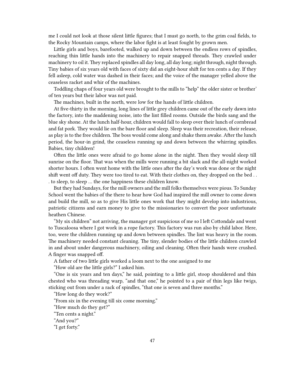me I could not look at those silent little figures; that I must go north, to the grim coal fields, to the Rocky Mountain camps, where the labor fight is at least fought by grown men.

Little girls and boys, barefooted, walked up and down between the endless rows of spindles, reaching thin little hands into the machinery to repair snapped threads. They crawled under machinery to oil it. They replaced spindles all day long, all day long; night through, night through. Tiny babies of six years old with faces of sixty did an eight-hour shift for ten cents a day. If they fell asleep, cold water was dashed in their faces; and the voice of the manager yelled above the ceaseless racket and whir of the machines.

Toddling chaps of four years old were brought to the mills to "help" the older sister or brother' of ten years but their labor was not paid.

The machines, built in the north, were low for the hands of little children.

At five-thirty in the morning, long lines of little grey children came out of the early dawn into the factory, into the maddening noise, into the lint filled rooms. Outside the birds sang and the blue sky shone. At the lunch half-hour, children would fall to sleep over their lunch of cornbread and fat pork. They would lie on the bare floor and sleep. Sleep was their recreation, their release, as play is to the free children. The boss would come along and shake them awake. After the lunch period, the hour-in grind, the ceaseless running up and down between the whirring spindles. Babies, tiny children!

Often the little ones were afraid to go home alone in the night. Then they would sleep till sunrise on the floor. That was when the mills were running a bit slack and the all-night worked shorter hours. I often went home with the little ones after the day's work was done or the night shift went off duty. They were too tired to eat. With their clothes on, they dropped on the bed . . . to sleep, to sleep … the one happiness these children know.

But they had Sundays, for the mill owners and the mill folks themselves were pious. To Sunday School went the babies of the there to hear how God had inspired the mill owner to come down and build the mill, so as to give His little ones work that they might develop into industrious, patriotic citizens and earn money to give to the missionaries to convert the poor unfortunate heathen Chinese.

"My six children" not arriving, the manager got suspicious of me so I left Cottondale and went to Tuscaloosa where I got work in a rope factory. This factory was run also by child labor. Here, too, were the children running up and down between spindles. The lint was heavy in the room. The machinery needed constant cleaning. The tiny, slender bodies of the little children crawled in and about under dangerous machinery, oiling and cleaning. Often their hands were crushed. A finger was snapped off.

A father of two little girls worked a loom next to the one assigned to me

"How old are the little girls?" I asked him.

"One is six years and ten days," he said, pointing to a little girl, stoop shouldered and thin chested who was threading warp, "and that one," he pointed to a pair of thin legs like twigs, sticking out from under a rack of spindles, "that one is seven and three months."

"How long do they work?"

"From six in the evening till six come morning."

"How much do they get?"

"Ten cents a night."

"And you?"

"I get forty."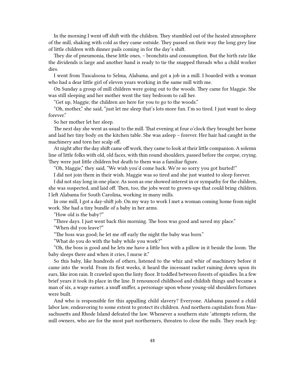In the morning I went off shift with the children. They stumbled out of the heated atmosphere of the mill, shaking with cold as they came outside. They passed on their way the long grey line of little children with dinner pails coming in for the day's shift.

They die of pneumonia, these little ones, – bronchitis and consumption. But the birth rate like the dividends is large and another hand is ready to tie the snapped threads who a child worker dies.

I went from Tuscaloosa to Selma, Alabama, and got a job in a mill. I boarded with a woman who had a dear little girl of eleven years working in the same mill with me.

On Sunday a group of mill children were going out to the woods. They came for Maggie. She was still sleeping and her mother went the tiny bedroom to call her.

"Get up, Maggie, the children are here for you to go to the woods."

"Oh, mother," she said, "just let me sleep that's lots more fun. I'm so tired. I just want to sleep forever"

So her mother let her sleep.

The next day she went as usual to the mill. That evening at four o'clock they brought her home and laid her tiny body on the kitchen table. She was asleep – forever. Her hair had caught in the machinery and torn her scalp off.

At night after the day shift came off work, they came to look at their little companion. A solemn line of little folks with old, old faces, with thin round shoulders, passed before the corpse, crying. They were just little children but death to them was a familiar figure.

"Oh, Maggie," they said, "We wish you'd come back. We're so sorry you got hurted!"

I did not join them in their wish. Maggie was so tired and she just wanted to sleep forever.

I did not stay long in one place. As soon as one showed interest in or sympathy for the children, she was suspected, and laid off. Then, too, the jobs went to grown-ups that could bring children. I left Alabama for South Carolina, working in many mills.

In one mill, I got a day-shift job. On my way to work I met a woman coming home from night work. She had a tiny bundle of a baby in her arms.

"How old is the baby?"

"Three days. I just went back this morning. The boss was good and saved my place."

"When did you leave?"

"The boss was good; he let me off early the night the baby was born."

"What do you do with the baby while you work?"

"Oh, the boss is good and he lets me have a little box with a pillow in it beside the loom. The baby sleeps there and when it cries, I nurse it."

So this baby, like hundreds of others, listened to the whiz and whir of machinery before it came into the world. From its first weeks, it heard the incessant racket raining down upon its ears, like iron rain. It crawled upon the linty floor. It toddled between forests of spindles. In a few brief years it took its place in the line. It renounced childhood and childish things and became a man of six, a wage earner, a snuff sniffer, a personage upon whose young-old shoulders fortunes were built.

And who is responsible for this appalling child slavery? Everyone. Alabama passed a child labor law, endeavoring to some extent to protect its children. And northern capitalists from Massachusetts and Rhode Island defeated the law. Whenever a southern state 'attempts reform, the mill owners, who are for the most part northerners, threaten to close the nulls. They reach leg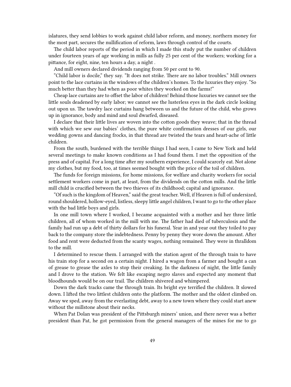islatures, they send lobbies to work against child labor reform, and money, northern money for the most part, secures the nullification of reform, laws through control of the courts.

The child labor reports of the period in which I made this study put the number of children under fourteen years of age working in mills as fully 25 per cent of the workers; working for a pittance, for eight, nine, ten hours a day, a night .

And mill owners declared dividends ranging from 50 per cent to 90.

"Child labor is docile," they say. "It does not strike. There are no labor troubles." Mill owners point to the lace curtains in the windows of the children's homes. To the luxuries they enjoy. "So much better than they had when as poor whites they worked on the farms!"

Cheap lace curtains are to offset the labor of children! Behind those luxuries we cannot see the little souls deadened by early labor; we cannot see the lusterless eyes in the dark circle looking out upon us. The tawdry lace curtains hang between us and the future of the child, who grows up in ignorance, body and mind and soul dwarfed, diseased.

I declare that their little lives are woven into the cotton goods they weave; that in the thread with which we sew our babies' clothes, the pure white confirmation dresses of our girls, our wedding gowns and dancing frocks, in that thread are twisted the tears and heart-ache of little children.

From the south, burdened with the terrible things I had seen, I came to New York and held several meetings to make known conditions as I had found them. I met the opposition of the press and of capital. For a long time after my southern experience, I could scarcely eat. Not alone my clothes, but my food, too, at times seemed bought with the price of the toil of children.

The funds for foreign missions, for home missions, for welfare and charity workers for social settlement workers come in part, at least, from the dividends on the cotton mills. And the little mill child is crucified between the two thieves of its childhood; capital and ignorance.

"Of such is the kingdom of Heaven," said the great teacher. Well, if Heaven is full of undersized, round shouldered, hollow-eyed, listless, sleepy little angel children, I want to go to the other place with the bad little boys and girls.

In one mill town where I worked, I became acquainted with a mother and her three little children, all of whom worked in the mill with me. The father had died of tuberculosis and the family had run up a debt of thirty dollars for his funeral. Year in and year out they toiled to pay back to the company store the indebtedness. Penny by penny they wore down the amount. After food and rent were deducted from the scanty wages, nothing remained. They were in thralldom to the mill.

I determined to rescue them. I arranged with the station agent of the through train to have his train stop for a second on a certain night. I hired a wagon from a farmer and bought a can of grease to grease the axles to stop their creaking. In the darkness of night, the little family and I drove to the station. We felt like escaping negro slaves and expected any moment that bloodhounds would be on our trail. The children shivered and whimpered.

Down the dark tracks came the through train. Its bright eye terrified the children. It slowed down. I lifted the two littlest children onto the platform. The mother and the oldest climbed on. Away we sped, away from the everlasting debt, away to a new town where they could start anew without the millstone about their necks.

When Pat Dolan was president of the Pittsburgh miners' union, and there never was a better president than Pat, he got permission from the general managers of the mines for me to go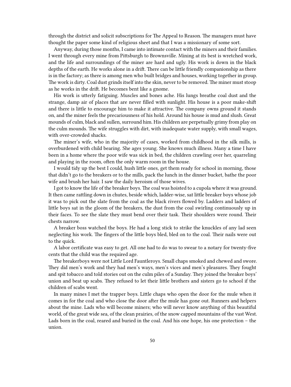through the district and solicit subscriptions for The Appeal to Reason. The managers must have thought the paper some kind of religious sheet and that I was a missionary of some sort.

Anyway, during those months, I came into intimate contact with the miners and their families. I went through every mine from Pittsburgh to Brownsville. Mining at its best is wretched work, and the life and surroundings of the miner are hard and ugly. His work is down in the black depths of the earth. He works alone in a drift. There can be little friendly companionship as there is in the factory; as there is among men who built bridges and houses, working together in group. The work is dirty. Coal dust grinds itself into the skin, never to be removed. The miner must stoop as he works in the drift. He becomes bent like a gnome.

His work is utterly fatiguing. Muscles and bones ache. His lungs breathe coal dust and the strange, damp air of places that are never filled with sunlight. His house is a poor make-shift and there is little to encourage him to make it attractive. The company owns ground it stands on, and the miner feels the precariousness of his hold. Around his house is mud and slush. Great mounds of culm, black and sullen, surround him. His children are perpetually grimy from play on the culm mounds. The wife struggles with dirt, with inadequate water supply, with small wages, with over-crowded shacks.

The miner's wife, who in the majority of cases, worked from childhood in the silk mills, is overburdened with child bearing. She ages young. She knows much illness. Many a time I have been in a home where the poor wife was sick in bed, the children crawling over her, quarreling and playing in the room, often the only warm room in the house.

I would tidy up the best I could, hush little ones, get them ready for school in morning, those that didn't go to the breakers or to the mills, pack the lunch in the dinner bucket, bathe the poor wife and brush her hair. I saw the daily heroism of those wives.

I got to know the life of the breaker boys. The coal was hoisted to a cupola where it was ground. It then came rattling down in chutes, beside which, ladder-wise, sat little breaker boys whose job it was to pick out the slate from the coal as the black rivers flowed by. Ladders and ladders of little boys sat in the gloom of the breakers, the dust from the coal swirling continuously up in their faces. To see the slate they must bend over their task. Their shoulders were round. Their chests narrow.

A breaker boss watched the boys. He had a long stick to strike the knuckles of any lad seen neglecting his work. The fingers of the little boys bled, bled on to the coal. Their nails were out to the quick.

A labor certificate was easy to get. All one had to do was to swear to a notary for twenty-five cents that the child was the required age.

The breakerboys were not Little Lord Fauntleroys. Small chaps smoked and chewed and swore. They did men's work and they had men's ways, men's vices and men's pleasures. They fought and spit tobacco and told stories out on the culm piles of a Sunday. They joined the breaker boys' union and beat up scabs. They refused to let their little brothers and sisters go to school if the children of scabs went.

In many mines I met the trapper boys. Little chaps who open the door for the mule when it comes in for the coal and who close the door after the mule has gone out. Runners and helpers about the mine. Lads who will become miners; who will never know anything of this beautiful world, of the great wide sea, of the clean prairies, of the snow capped mountains of the vast West. Lads born in the coal, reared and buried in the coal. And his one hope, his one protection – the union.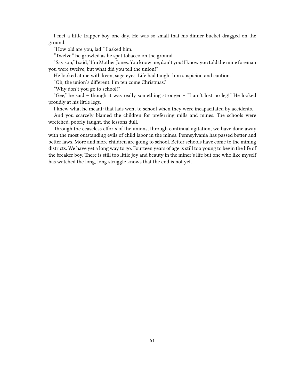I met a little trapper boy one day. He was so small that his dinner bucket dragged on the ground.

"How old are you, lad!" I asked him.

"Twelve," he growled as he spat tobacco on the ground.

"Say son," I said, "I'm Mother Jones. You know me, don't you! I know you told the mine foreman you were twelve, but what did you tell the union!"

He looked at me with keen, sage eyes. Life had taught him suspicion and caution.

"Oh, the union's different. I'm ten come Christmas."

"Why don't you go to school!"

"Gee," he said – though it was really something stronger – "I ain't lost no leg!" He looked proudly at his little legs.

I knew what he meant: that lads went to school when they were incapacitated by accidents.

And you scarcely blamed the children for preferring mills and mines. The schools were wretched, poorly taught, the lessons dull.

Through the ceaseless efforts of the unions, through continual agitation, we have done away with the most outstanding evils of child labor in the mines. Pennsylvania has passed better and better laws. More and more children are going to school. Better schools have come to the mining districts. We have yet a long way to go. Fourteen years of age is still too young to begin the life of the breaker boy. There is still too little joy and beauty in the miner's life but one who like myself has watched the long, long struggle knows that the end is not yet.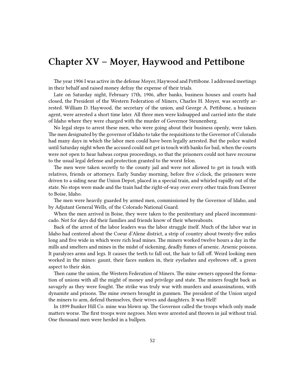## **Chapter XV – Moyer, Haywood and Pettibone**

The year 1906 I was active in the defense Moyer, Haywood and Pettibone. I addressed meetings in their behalf and raised money defray the expense of their trials.

Late on Saturday night, February 17th, 1906, after banks, business houses and courts had closed, the President of the Western Federation of Miners, Charles H. Moyer, was secretly arrested. William D. Haywood, the secretary of the union, and George A. Pettibone, a business agent, were arrested a short time later. All three men were kidnapped and carried into the state of Idaho where they were charged with the murder of Governor Steunenberg.

No legal steps to arrest these men, who were going about their business openly, were taken. The men designated by the governor of Idaho to take the requisitions to the Governor of Colorado had many days in which the labor men could have been legally arrested. But the police waited until Saturday night when the accused could not get in touch with banks for bail, when the courts were not open to hear habeas corpus proceedings, so that the prisoners could not have recourse to the usual legal defense and protection granted to the worst felon.

The men were taken secretly to the county jail and were not allowed to get in touch with relatives, friends or attorneys. Early Sunday morning, before five o'clock, the prisoners were driven to a siding near the Union Depot, placed in a special train, and whirled rapidly out of the state. No stops were made and the train had the right-of-way over every other train from Denver to Boise, Idaho.

The men were heavily guarded by armed men, commissioned by the Governor of Idaho, and by Adjutant General Wells, of the Colorado National Guard.

When the men arrived in Boise, they were taken to the penitentiary and placed incommunicado. Not for days did their families and friends know of their whereabouts.

Back of the arrest of the labor leaders was the labor struggle itself. Much of the labor war in Idaho had centered about the Coeur d'Alene district, a strip of country about twenty-five miles long and five wide in which were rich lead mines. The miners worked twelve hours a day in the mills and smelters and mines in the midst of sickening, deadly fumes of arsenic. Arsenic poisons. It paralyzes arms and legs. It causes the teeth to fall out, the hair to fall off. Weird looking men worked in the mines: gaunt, their faces sunken in, their eyelashes and eyebrows off, a green aspect to their skin.

Then came the union, the Western Federation of Miners. The mine owners opposed the formation of unions with all the might of money and privilege and state. The miners fought back as savagely as they were fought. The strike was truly war with murders and assassinations, with dynamite and prisons. The mine owners brought in gunmen. The president of the Union urged the miners to arm, defend themselves, their wives and daughters. It was Hell!

In 1899 Bunker Hill Co. mine was blown up. The Governor called the troops which only made matters worse. The first troops were negroes. Men were arrested and thrown in jail without trial. One thousand men were herded in a bullpen.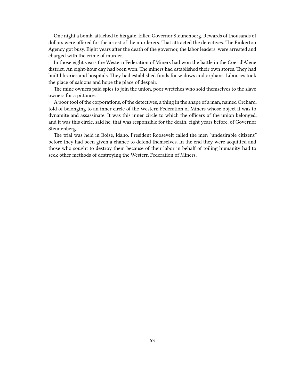One night a bomb, attached to his gate, killed Governor Steunenberg. Rewards of thousands of dollars were offered for the arrest of the murderers. That attracted the detectives. The Pinkerton Agency got busy. Eight years after the death of the governor, the labor leaders. were arrested and charged with the crime of murder.

In those eight years the Western Federation of Miners had won the battle in the Coer d'Alene district. An eight-hour day had been won. The miners had established their own stores. They had built libraries and hospitals. They had established funds for widows and orphans. Libraries took the place of saloons and hope the place of despair.

The mine owners paid spies to join the union, poor wretches who sold themselves to the slave owners for a pittance.

A poor tool of the corporations, of the detectives, a thing in the shape of a man, named Orchard, told of belonging to an inner circle of the Western Federation of Miners whose object it was to dynamite and assassinate. It was this inner circle to which the officers of the union belonged, and it was this circle, said he, that was responsible for the death, eight years before, of Governor Steunenberg.

The trial was held in Boise, Idaho. President Roosevelt called the men "undesirable citizens" before they had been given a chance to defend themselves. In the end they were acquitted and those who sought to destroy them because of their labor in behalf of toiling humanity had to seek other methods of destroying the Western Federation of Miners.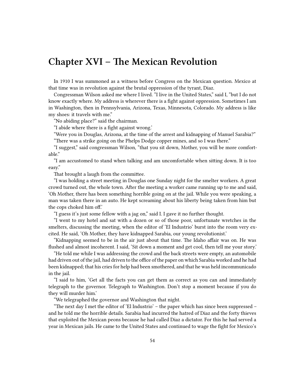## **Chapter XVI – The Mexican Revolution**

In 1910 I was summoned as a witness before Congress on the Mexican question. Mexico at that time was in revolution against the brutal oppression of the tyrant, Diaz.

Congressman Wilson asked me where I lived. "I live in the United States," said I, "but I do not know exactly where. My address is wherever there is a fight against oppression. Sometimes I am in Washington, then in Pennsylvania, Arizona, Texas, Minnesota, Colorado. My address is like my shoes: it travels with me."

"No abiding place?" said the chairman.

"I abide where there is a fight against wrong.'

"Were you in Douglas, Arizona, at the time of the arrest and kidnapping of Manuel Sarabia?" "There was a strike going on the Phelps Dodge copper mines, and so I was there."

"I suggest," said congressman Wilson, "that you sit down, Mother, you will be more comfortable."

"I am accustomed to stand when talking and am uncomfortable when sitting down. It is too easy."

That brought a laugh from the committee.

"I was holding a street meeting in Douglas one Sunday night for the smelter workers. A great crowd turned out, the whole town. After the meeting a worker came running up to me and said, 'Oh Mother, there has been something horrible going on at the jail. While you were speaking, a man was taken there in an auto. He kept screaming about his liberty being taken from him but the cops choked him off.'

"I guess it's just some fellow with a jag on," said I. I gave it no further thought.

"I went to my hotel and sat with a dozen or so of those poor, unfortunate wretches in the smelters, discussing the meeting, when the editor of 'El Industrio' burst into the room very excited. He said, 'Oh Mother, they have kidnapped Sarabia, our young revolutionist.'

"Kidnapping seemed to be in the air just about that time. The Idaho affair was on. He was flushed and almost incoherent. I said, 'Sit down a moment and get cool, then tell me your story.'

"He told me while I was addressing the crowd and the back streets were empty, an automobile had driven out of the jail, had driven to the office of the paper on which Sarabia worked and he had been kidnapped; that his cries for help had been smothered, and that he was held incommunicado in the jail.

"I said to him, 'Get all the facts you can get them as correct as you can and immediately telegraph to the governor. Telegraph to Washington. Don't stop a moment because if you do they will murder him.'

"We telegraphed the governor and Washington that night.

"The next day I met the editor of 'El Industrio' – the paper which has since been suppressed – and he told me the horrible details. Sarabia had incurred the hatred of Diaz and the forty thieves that exploited the Mexican peons because he had called Diaz a dictator. For this he had served a year in Mexican jails. He came to the United States and continued to wage the fight for Mexico's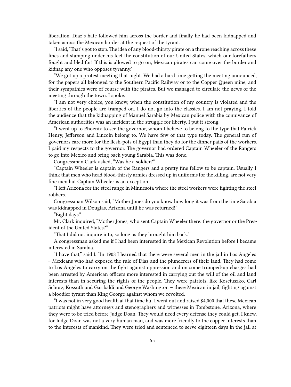liberation. Diaz's hate followed him across the border and finally he had been kidnapped and taken across the Mexican border at the request of the tyrant.

"I said, 'That's got to stop.The idea of any blood-thirsty pirate on a throne reaching across these lines and stamping under his feet the constitution of our United States, which our forefathers fought and bled for! If this is allowed to go on, Mexican pirates can come over the border and kidnap any one who opposes tyranny.'

"We got up a protest meeting that night. We had a hard time getting the meeting announced, for the papers all belonged to the Southern Pacific Railway or to the Copper Queen mine, and their sympathies were of course with the pirates. But we managed to circulate the news of the meeting through the town. I spoke.

"I am not very choice, you know, when the constitution of my country is violated and the liberties of the people are tramped on. I do not go into the classics. I am not praying. I told the audience that the kidnapping of Manuel Sarabia by Mexican police with the connivance of American authorities was an incident in the struggle for liberty. I put it strong.

"I went up to Phoenix to see the governor, whom I believe to belong to the type that Patrick Henry, Jefferson and Lincoln belong to. We have few of that type today. The general run of governors care more for the flesh-pots of Egypt than they do for the dinner pails of the workers. I paid my respects to the governor. The governor had ordered Captain Wheeler of the Rangers to go into Mexico and bring back young Sarabia. This was done.

Congressman Clark asked, "Was he a soldier?"

"Captain Wheeler is captain of the Rangers and a pretty fine fellow to be captain. Usually I think that men who head blood-thirsty armies dressed up in uniforms for the killing, are not very fine men but Captain Wheeler is an exception.

"I left Arizona for the steel range in Minnesota where the steel workers were fighting the steel robbers.

Congressman Wilson said, "Mother Jones do you know how long it was from the time Sarabia was kidnapped in Douglas, Arizona until he was returned!"

"Eight days."

Mr. Clark inquired, "Mother Jones, who sent Captain Wheeler there: the governor or the President of the United States?"

"That I did not inquire into, so long as they brought him back."

A congressman asked me if I had been interested in the Mexican Revolution before I became interested in Sarabia.

"I have that," said I. "In 1908 I learned that there were several men in the jail in Los Angeles – Mexicans who had exposed the rule of Diaz and the plunderers of their land. They had come to Los Angeles to carry on the fight against oppression and on some trumped-up charges had been arrested by American officers more interested in carrying out the will of the oil and land interests than in securing the rights of the people. They were patriots, like Kosciuszko, Carl Schurz, Kossuth and Garibaldi and George Washington – these Mexican in jail, fighting against a bloodier tyrant than King George against whom we revolted.

"I was not in very good health at that time but I went out and raised \$4,000 that these Mexican patriots might have attorneys and stenographers and witnesses in Tombstone, Arizona, where they were to be tried before Judge Doan. They would need every defense they could get, I knew, for Judge Doan was not a very human man, and was more friendly to the copper interests than to the interests of mankind. They were tried and sentenced to serve eighteen days in the jail at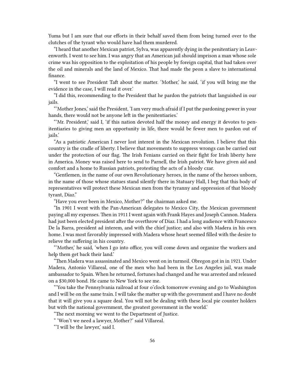Yuma but I am sure that our efforts in their behalf saved them from being turned over to the clutches of the tyrant who would have had them murdered.

"I heard that another Mexican patriot, Sylva, was apparently dying in the penitentiary in Leavenworth. I went to see him. I was angry that an American jail should imprison a man whose sole crime was his opposition to the exploitation of his people by foreign capital, that had taken over the oil and minerals and the land of Mexico. That had made the peon a slave to international finance.

"I went to see President Taft about the matter. 'Mother,' he said, 'if you will bring me the evidence in the case, I will read it over.'

"I did this, recommending to the President that he pardon the patriots that languished in our jails.

"'Mother Jones,' said the President, 'I am very much afraid if I put the pardoning power in your hands, there would not be anyone left in the penitentiaries.'

"'Mr. President,' said I, 'if this nation devoted half the money and energy it devotes to penitentiaries to giving men an opportunity in life, there would be fewer men to pardon out of jails.'

"As a patriotic American I never lost interest in the Mexican revolution. I believe that this country is the cradle of liberty. I believe that movements to suppress wrongs can be carried out under the protection of our flag. The Irish Fenians carried on their fight for Irish liberty here in America. Money was raised here to send to Parnell, the Irish patriot. We have given aid and comfort and a home to Russian patriots, protesting the acts of a bloody czar.

"Gentlemen, in the name of our own Revolutionary heroes, in the name of the heroes unborn, in the name of those whose statues stand silently there in Statuary Hall, I beg that this body of representatives will protect these Mexican men from the tyranny and oppression of that bloody tyrant, Diaz."

"Have you ever been in Mexico, Mother?" the chairman asked me.

"In 1901 I went with the Pan-American delegates to Mexico City, the Mexican government paying all my expenses. Then in 1911 I went again with Frank Hayes and Joseph Cannon. Madera had just been elected president after the overthrow of Diaz. I had a long audience with Francesco De la Barra, president ad interem, and with the chief justice; and also with Madera in his own home. I was most favorably impressed with Madera whose heart seemed filled with the desire to relieve the suffering in his country.

"'Mother,' he said, 'when I go into office, you will come down and organize the workers and help them get back their land.'

"Then Madera was assassinated and Mexico went on in turmoil. Obregon got in in 1921. Under Madera, Antonio Villareal, one of the men who had been in the Los Angeles jail, was made ambassador to Spain. When he returned, fortunes had changed and he was arrested and released on a \$30,000 bond. He came to New York to see me.

"'You take the Pennsylvania railroad at four o'clock tomorrow evening and go to Washington and I will be on the same train. I will take the matter up with the government and I have no doubt that it will give you a square deal. You will not be dealing with these local pie counter holders but with the national government, the greatest government in the world.'

"The next morning we went to the Department of Justice.

" 'Won't we need a lawyer, Mother?' said Villareal.

"'I will be the lawyer,' said I.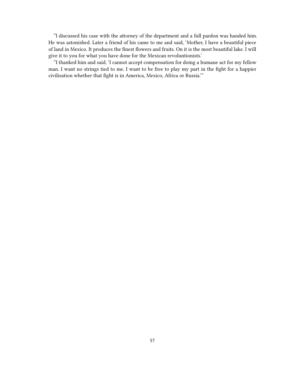"I discussed his case with the attorney of the department and a full pardon was handed him. He was astonished. Later a friend of his came to me and said, 'Mother, I have a beautiful piece of land in Mexico. It produces the finest flowers and fruits. On it is the most beautiful lake. I will give it to you for what you have done for the Mexican revoluntionists.'

"I thanked him and said, 'I cannot accept compensation for doing a humane act for my fellow man. I want no strings tied to me. I want to be free to play my part in the fight for a happier civilization whether that fight is in America, Mexico, Africa or Russia.'"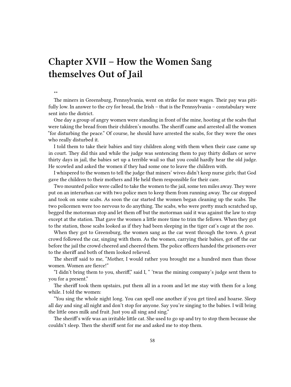# **Chapter XVII – How the Women Sang themselves Out of Jail**

#### \*\*

The miners in Greensburg, Pennsylvania, went on strike for more wages. Their pay was pitifully low. In answer to the cry for bread, the Irish – that is the Pennsylvania – constabulary were sent into the district.

One day a group of angry women were standing in front of the mine, hooting at the scabs that were taking the bread from their children's mouths. The sheriff came and arrested all the women "for disturbing the peace." Of course, he should have arrested the scabs, for they were the ones who really disturbed it.

I told them to take their babies and tiny children along with them when their case came up in court. They did this and while the judge was sentencing them to pay thirty dollars or serve thirty days in jail, the babies set up a terrible wail so that you could hardly hear the old judge. He scowled and asked the women if they had some one to leave the children with.

I whispered to the women to tell the judge that miners' wives didn't keep nurse girls; that God gave the children to their mothers and He held them responsible for their care.

Two mounted police were called to take the women to the jail, some ten miles away. They were put on an interurban car with two police men to keep them from running away. The car stopped and took on some scabs. As soon the car started the women began cleaning up the scabs. The two policemen were too nervous to do anything. The scabs, who were pretty much scratched up, begged the motorman stop and let them off but the motorman said it was against the law to stop except at the station. That gave the women a little more time to trim the fellows. When they got to the station, those scabs looked as if they had been sleeping in the tiger cat's cage at the zoo.

When they got to Greensburg, the women sang as the car went through the town. A great crowd followed the car, singing with them. As the women, carrying their babies, got off the car before the jail the crowd cheered and cheered them. The police officers handed the prisoners over to the sheriff and both of them looked relieved.

The sheriff said to me, "Mother, I would rather you brought me a hundred men than those women. Women are fierce!"

"I didn't bring them to you, sheriff," said I, " 'twas the mining company's judge sent them to you for a present."

The sheriff took them upstairs, put them all in a room and let me stay with them for a long while. I told the women:

"You sing the whole night long. You can spell one another if you get tired and hoarse. Sleep all day and sing all night and don't stop for anyone. Say you're singing to the babies. I will bring the little ones milk and fruit. Just you all sing and sing."

The sheriff's wife was an irritable little cat. She used to go up and try to stop them because she couldn't sleep. Then the sheriff sent for me and asked me to stop them.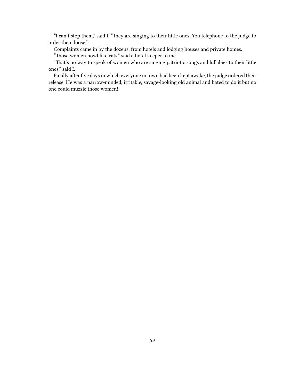"I can't stop them," said I. "They are singing to their little ones. You telephone to the judge to order them loose."

Complaints came in by the dozens: from hotels and lodging houses and private homes.

"Those women howl like cats," said a hotel keeper to me.

"That's no way to speak of women who are singing patriotic songs and lullabies to their little ones," said I.

Finally after five days in which everyone in town had been kept awake, the judge ordered their release. He was a narrow-minded, irritable, savage-looking old animal and hated to do it but no one could muzzle those women!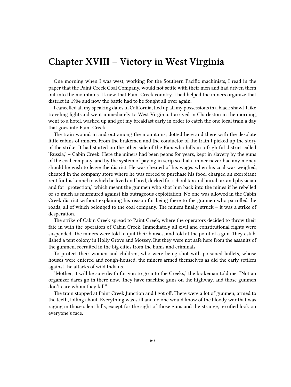## **Chapter XVIII – Victory in West Virginia**

One morning when I was west, working for the Southern Pacific machinists, I read in the paper that the Paint Creek Coal Company, would not settle with their men and had driven them out into the mountains. I knew that Paint Creek country. I had helped the miners organize that district in 1904 and now the battle had to be fought all over again.

I cancelled all my speaking dates in California, tied up all my possessions in a black shawl-I like traveling light-and went immediately to West Virginia. I arrived in Charleston in the morning, went to a hotel, washed up and got my breakfast early in order to catch the one local train a day that goes into Paint Creek.

The train wound in and out among the mountains, dotted here and there with the desolate little cabins of miners. From the brakemen and the conductor of the train I picked up the story of the strike. It had started on the other side of the Kanawha hills in a frightful district called "Russia," – Cabin Creek. Here the miners had been peons for years, kept in slavery by the guns of the coal company, and by the system of paying in scrip so that a miner never had any money should he wish to leave the district. He was cheated of his wages when his coal was weighed, cheated in the company store where he was forced to purchase his food, charged an exorbitant rent for his kennel in which he lived and bred, docked for school tax and burial tax and physician and for "protection," which meant the gunmen who shot him back into the mines if he rebelled or so much as murmured against his outrageous exploitation. No one was allowed in the Cabin Creek district without explaining his reason for being there to the gunmen who patrolled the roads, all of which belonged to the coal company. The miners finally struck – it was a strike of desperation.

The strike of Cabin Creek spread to Paint Creek, where the operators decided to throw their fate in with the operators of Cabin Creek. Immediately all civil and constitutional rights were suspended. The miners were told to quit their houses, and told at the point of a gun. They established a tent colony in Holly Grove and Mossey. But they were not safe here from the assaults of the gunmen, recruited in the big cities from the bums and criminals.

To protect their women and children, who were being shot with poisoned bullets, whose houses were entered and rough-housed, the miners armed themselves as did the early settlers against the attacks of wild Indians.

"Mother, it will be sure death for you to go into the Creeks," the brakeman told me. "Not an organizer dares go in there now. They have machine guns on the highway, and those gunmen don't care whom they kill."

The train stopped at Paint Creek Junction and I got off. There were a lot of gunmen, armed to the teeth, lolling about. Everything was still and no one would know of the bloody war that was raging in those silent hills, except for the sight of those guns and the strange, terrified look on everyone's face.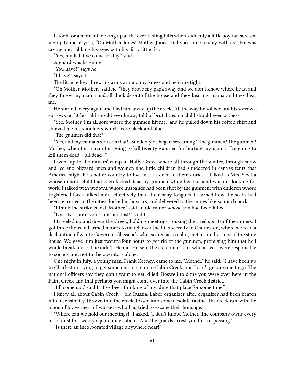I stood for a moment looking up at the ever-lasting hills when suddenly a little boy ran screaming up to me, crying, "Oh Mother Jones! Mother Jones! Did you come to stay with us!" He was crying and rubbing his eyes with his dirty little fist.

"Yes, my lad, I've come to stay," said I.

A guard was listening.

"You have!" says he.

"I have!" says I.

The little fellow threw his arms around my knees and held me tight.

"Oh Mother, Mother," said he, "they drove my papa away and we don't know where he is, and they threw my mama and all the kids out of the house and they beat my mama and they beat me."

He started to cry again and I led him away up the creek. All the way he sobbed out his sorrows, sorrows no little child should ever know; told of brutalities no child should ever witness.

"See, Mother, I'm all sore where the gunmen hit me," and he pulled down his cotton shirt and showed me his shoulders which were black and blue.

"The gunmen did that?"

"Yes, and my mama's worse'n that!" Suddenly he began screaming," The gunmen! The gunmen! Mother, when I'm a man I'm going to kill twenty gunmen for hurting my mama! I'm going to kill them dead – all dead !"

I went up to the miners' camp in Holly Grove where all through the winter, through snow and ice and blizzard, men and women and little children had shuddered in canvas tents that America might be a better country to live in. I listened to their stories. I talked to Mrs. Sevilla whose unborn child had been kicked dead by gunmen while her husband was out looking for work. I talked with widows, whose husbands had been shot by the gunmen; with children whose frightened faces talked more effectively than their baby tongues. I learned how the scabs had been recruited in the cities, locked in boxcars, and delivered to the mines like so much pork.

"I think the strike is lost, Mother," said an old miner whose son had been killed.

"Lost! Not until your souls are lost!" said I.

I traveled up and down the Creek, holding meetings, rousing the tired spirits of the miners. I got three thousand armed miners to march over the hills secretly to Charleston, where we read a declaration of war to Governor Glasscock who, scared as a rabbit, met us on the steps of the state house. We gave him just twenty-four hours to get rid of the gunmen, promising him that hell would break loose if he didn't. He did. He sent the state militia in, who at least were responsible to society and not to the operators alone.

One night in July, a young man, Frank Keeney, came to me. "Mother," he said, "I have been up to Charleston trying to get some one to go up to Cabin Creek, and I can't get anyone to go. The national officers say they don't want to get killed. Boswell told me you were over here in the Paint Creek and that perhaps you might come over into the Cabin Creek district."

"I'll come up ," said I. "I've been thinking of invading that place for some time."

I knew all about Cabin Creek – old Russia. Labor organizer after organizer had been beaten into insensibility, thrown into the creek, tossed into some desolate ravine. The creek ran with the blood of brave men, of workers who had tried to escape their bondage.

"Where can we hold our meetings!" I asked. "I don't know, Mother. The company owns every bit of dust for twenty square miles about. And the guards arrest you for trespassing."

"Is there an incorporated village anywhere near!"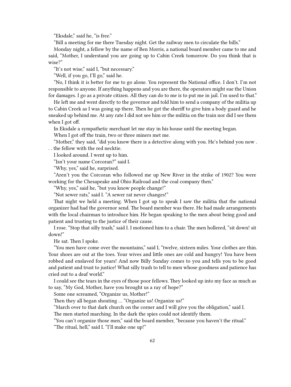"Eksdale," said he, "is free."

"Bill a meeting for me there Tuesday night. Get the railway men to circulate the bills."

Monday night, a fellow by the name of Ben Morris, a national board member came to me and said, "Mother, I understand you are going up to Cabin Creek tomorrow. Do you think that is wise?"

"It's not wise," said I, "but necessary."

"Well, if you go, I'll go," said he.

"No, I think it is better for me to go alone. You represent the National office. I don't. I'm not responsible to anyone. If anything happens and you are there, the operators might sue the Union for damages. I go as a private citizen. All they can do to me is to put me in jail. I'm used to that."

He left me and went directly to the governor and told him to send a company of the militia up to Cabin Creek as I was going up there. Then he got the sheriff to give him a body guard and he sneaked up behind me. At any rate I did not see him or the militia on the train nor did I see them when I got off.

In Eksdale a sympathetic merchant let me stay in his house until the meeting began.

When I got off the train, two or three miners met me.

"Mother," they said, "did you know there is a detective along with you. He's behind you now . . . the fellow with the red necktie.

I looked around. I went up to him.

"Isn't your name Corcoran?" said I.

"Why, yes," said he, surprised.

"Aren't you the Corcoran who followed me up New River in the strike of 1902? You were working for the Chesapeake and Ohio Railroad and the coal company then."

"Why, yes," said he, "but you know people change!"

"Not sewer rats," said I. "A sewer rat never changes!"

That night we held a meeting. When I got up to speak I saw the militia that the national organizer had had the governor send. The board member was there. He had made arrangements with the local chairman to introduce him. He began speaking to the men about being good and patient and trusting to the justice of their cause.

I rose. "Stop that silly trash," said I. I motioned him to a chair. The men hollered, "sit down! sit down!"

He sat. Then I spoke.

"You men have come over the mountains," said I, "twelve, sixteen miles. Your clothes are thin. Your shoes are out at the toes. Your wives and little ones are cold and hungry! You have been robbed and enslaved for years! And now Billy Sunday comes to you and tells you to be good and patient and trust to justice! What silly trash to tell to men whose goodness and patience has cried out to a deaf world."

I could see the tears in the eyes of those poor fellows. They looked up into my face as much as to say, "My God, Mother, have you brought us a ray of hope?"

Some one screamed, "Organize us, Mother!"

Then they all began shouting … "Organize us! Organize us!"

"March over to that dark church on the corner and I will give you the obligation," said I.

The men started marching. In the dark the spies could not identify them.

"You can't organize those men," said the board member, "because you haven't the ritual." "The ritual, hell," said I. "I'll make one up!"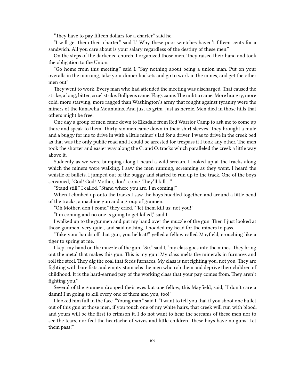"They have to pay fifteen dollars for a charter," said he.

"I will get them their charter," said I." Why these poor wretches haven't fifteen cents for a sandwich. All you care about is your salary regardless of the destiny of these men."

On the steps of the darkened church, I organized those men. They raised their hand and took the obligation to the Union.

"Go home from this meeting," said I. "Say nothing about being a union man. Put on your overalls in the morning, take your dinner buckets and go to work in the mines, and get the other men out"

They went to work. Every man who had attended the meeting was discharged. That caused the strike, a long, bitter, cruel strike. Bullpens came. Flags came. The militia came. More hungry, more cold, more starving, more ragged than Washington's army that fought against tyranny were the miners of the Kanawha Mountains. And just as grim. Just as heroic. Men died in those hills that others might be free.

One day a group of men came down to Elksdale from Red Warrior Camp to ask me to come up there and speak to them. Thirty-six men came down in their shirt sleeves. They brought a mule and a buggy for me to drive in with a little miner's lad for a driver. I was to drive in the creek bed as that was the only public road and I could be arrested for trespass if I took any other. The men took the shorter and easier way along the C. and O. tracks which paralleled the creek a little way above it.

Suddenly as we were bumping along I heard a wild scream. I looked up at the tracks along which the miners were walking. I saw the men running, screaming as they went. I heard the whistle of bullets. I jumped out of the buggy and started to run up to the track. One of the boys screamed, "God! God! Mother, don't come. They'll kill …"

"Stand still," I called. "Stand where you are. I'm coming!"

When I climbed up onto the tracks I saw the boys huddled together, and around a little bend of the tracks, a machine gun and a group of gunmen.

"Oh Mother, don't come," they cried. "'let them kill us; not you!"

"I'm coming and no one is going to get killed," said I.

I walked up to the gunmen and put my hand over the muzzle of the gun. Then I just looked at those gunmen, very quiet, and said nothing. I nodded my head for the miners to pass.

"Take your hands off that gun, you hellcat!" yelled a fellow called Mayfield, crouching like a tiger to spring at me.

I kept my hand on the muzzle of the gun. "Sir," said I, "my class goes into the mines. They bring out the metal that makes this gun. This is my gun! My class melts the minerals in furnaces and roll the steel. They dig the coal that feeds furnaces. My class is not fighting you, not you. They are fighting with bare fists and empty stomachs the men who rob them and deprive their children of childhood. It is the hard-earned pay of the working class that your pay comes from. They aren't fighting you."

Several of the gunmen dropped their eyes but one fellow, this Mayfield, said, "I don't care a damn! I'm going to kill every one of them and you, too!"

I looked him full in the face. "Young man," said I, "I want to tell you that if you shoot one bullet out of this gun at those men, if you touch one of my white hairs, that creek will run with blood, and yours will be the first to crimson it. I do not want to hear the screams of these men nor to see the tears, nor feel the heartache of wives and little children. These boys have no guns! Let them pass!"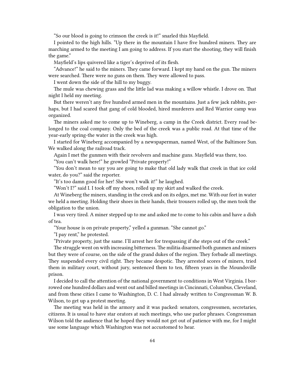"So our blood is going to crimson the creek is it!" snarled this Mayfield.

I pointed to the high hills. "Up there in the mountain I have five hundred miners. They are marching armed to the meeting I am going to address. If you start the shooting, they will finish the game."

Mayfield's lips quivered like a tiger's deprived of its flesh.

"Advance!" he said to the miners. They came forward. I kept my hand on the gun. The miners were searched. There were no guns on them. They were allowed to pass.

I went down the side of the hill to my buggy.

The mule was chewing grass and the little lad was making a willow whistle. I drove on. That night I held my meeting.

But there weren't any five hundred armed men in the mountains. Just a few jack rabbits, perhaps, but I had scared that gang of cold blooded, hired murderers and Red Warrior camp was organized.

The miners asked me to come up to Wineberg, a camp in the Creek district. Every road belonged to the coal company. Only the bed of the creek was a public road. At that time of the year-early spring-the water in the creek was high.

I started for Wineberg accompanied by a newspaperman, named West, of the Baltimore Sun. We walked along the railroad track.

Again I met the gunmen with their revolvers and machine guns. Mayfield was there, too.

"You can't walk here!" he growled "Private property!"

"You don't mean to say you are going to make that old lady walk that creek in that ice cold water, do you?" said the reporter.

"It's too damn good for her! She won't walk it!" he laughed.

"Won't I?" said I. I took off my shoes, rolled up my skirt and walked the creek.

At Wineberg the miners, standing in the creek and on its edges, met me. With our feet in water we held a meeting. Holding their shoes in their hands, their trousers rolled up, the men took the obligation to the union.

I was very tired. A miner stepped up to me and asked me to come to his cabin and have a dish of tea.

"Your house is on private property," yelled a gunman. "She cannot go."

"I pay rent," he protested.

"Private property, just the same. I'll arrest her for trespassing if she steps out of the creek."

The struggle went on with increasing bitterness. The militia disarmed both gunmen and miners but they were of course, on the side of the grand dukes of the region. They forbade all meetings. They suspended every civil right. They became despotic. They arrested scores of miners, tried them in military court, without jury, sentenced them to ten, fifteen years in the Moundsville prison.

I decided to call the attention of the national government to conditions in West Virginia. I borrowed one hundred dollars and went out and billed meetings in Cincinnati, Columbus, Cleveland, and from these cities I came to Washington, D. C. I had already written to Congressman W. B. Wilson, to get up a protest meeting.

The meeting was held in the armory and it was packed: senators, congressmen, secretaries, citizens. It is usual to have star orators at such meetings, who use parlor phrases. Congressman Wilson told the audience that he hoped they would not get out of patience with me, for I might use some language which Washington was not accustomed to hear.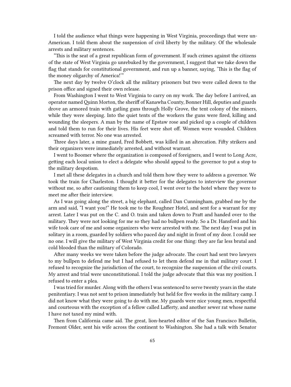I told the audience what things were happening in West Virginia, proceedings that were un-American. I told them about the suspension of civil liberty by the military. Of the wholesale arrests and military sentences.

"This is the seat of a great republican form of government. If such crimes against the citizens of the state of West Virginia go unrebuked by the government, I suggest that we take down the flag that stands for constitutional government, and run up a banner, saying, 'This is the flag of the money oligarchy of America!'"

The next day by twelve O'clock all the military prisoners but two were called down to the prison office and signed their own release.

From Washington I went to West Virginia to carry on my work. The day before I arrived, an operator namedQuinn Morton, the sheriff of Kanawha County, Bonner Hill, deputies and guards drove an armored train with gatling guns through Holly Grove, the tent colony of the miners, while they were sleeping. Into the quiet tents of the workers the guns were fired, killing and wounding the sleepers. A man by the name of Epstaw rose and picked up a couple of children and told them to run for their lives. His feet were shot off. Women were wounded. Children screamed with terror. No one was arrested.

Three days later, a mine guard, Fred Bobbett, was killed in an altercation. Fifty strikers and their organizers were immediately arrested, and without warrant.

I went to Boomer where the organization is composed of foreigners, and I went to Long Acre, getting each local union to elect a delegate who should appeal to the governor to put a stop to the military despotism.

I met all these delegates in a church and told them how they were to address a governor. We took the train for Charleston. I thought it better for the delegates to interview the governor without me, so after cautioning them to keep cool, I went over to the hotel where they were to meet me after their interview.

As I was going along the street, a big elephant, called Dan Cunningham, grabbed me by the arm and said, "I want you!" He took me to the Roughner Hotel, and sent for a warrant for my arrest. Later I was put on the C. and O. train and taken down to Pratt and handed over to the military. They were not looking for me so they had no bullpen ready. So a Dr. Hansford and his wife took care of me and some organizers who were arrested with me. The next day I was put in solitary in a room, guarded by soldiers who paced day and night in front of my door. I could see no one. I will give the military of West Virginia credit for one thing: they are far less brutal and cold blooded than the military of Colorado.

After many weeks we were taken before the judge advocate. The court had sent two lawyers to my bullpen to defend me but I had refused to let them defend me in that military court. I refused to recognize the jurisdiction of the court, to recognize the suspension of the civil courts. My arrest and trial were unconstitutional. I told the judge advocate that this was my position. I refused to enter a plea.

I was tried for murder. Along with the others I was sentenced to serve twenty years in the state penitentiary. I was not sent to prison immediately but held for five weeks in the military camp. I did not know what they were going to do with me. My guards were nice young men, respectful and courteous with the exception of a fellow called Lafferty, and another sewer rat whose name I have not taxed my mind with.

Then from California came aid. The great, lion-hearted editor of the San Francisco Bulletin, Fremont Older, sent his wife across the continent to Washington. She had a talk with Senator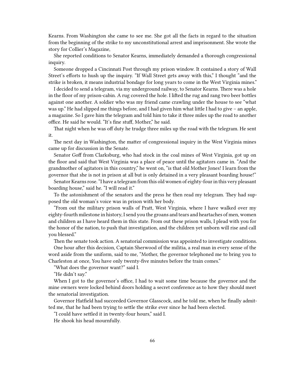Kearns. From Washington she came to see me. She got all the facts in regard to the situation from the beginning of the strike to my unconstitutional arrest and imprisonment. She wrote the story for Collier's Magazine,

She reported conditions to Senator Kearns, immediately demanded a thorough congressional inquiry.

Someone dropped a Cincinnati Post through my prison window. It contained a story of Wall Street's efforts to hush up the inquiry. "If Wall Street gets away with this," I thought "and the strike is broken, it means industrial bondage for long years to come in the West Virginia mines."

I decided to send a telegram, via my underground railway, to Senator Kearns. There was a hole in the floor of my prison-cabin. A rug covered the hole. I lifted the rug and rang two beer bottles against one another. A soldier who was my friend came crawling under the house to see "what was up." He had slipped me things before, and I had given him what little I had to give – an apple, a magazine. So I gave him the telegram and told him to take it three miles up the road to another office. He said he would. "It's fine stuff, Mother," he said.

That night when he was off duty he trudge three miles up the road with the telegram. He sent it.

The next day in Washington, the matter of congressional inquiry in the West Virginia mines came up for discussion in the Senate.

Senator Goff from Clarksburg, who had stock in the coal mines of West Virginia, got up on the floor and said that West Virginia was a place of peace until the agitators came in. "And the grandmother of agitators in this country," he went on, "is that old Mother Jones! I learn from the governor that she is not in prison at all but is only detained in a very pleasant boarding house!"

Senator Kearns rose. "I have a telegram from this old women of eighty-four in this very pleasant boarding house," said he. "I will read it."

To the astonishment of the senators and the press he then read my telegram. They had supposed the old woman's voice was in prison with her body.

"From out the military prison walls of Pratt, West Virginia, where I have walked over my eighty-fourth milestone in history, I send you the groans and tears and heartaches of men, women and children as I have heard them in this state. From out these prison walls, I plead with you for the honor of the nation, to push that investigation, and the children yet unborn will rise and call you blessed."

Then the senate took action. A senatorial commission was appointed to investigate conditions.

One hour after this decision, Captain Sherwood of the militia, a real man in every sense of the word aside from the uniform, said to me, "Mother, the governor telephoned me to bring you to Charleston at once, You have only twenty-five minutes before the train comes."

"What does the governor want?" said I.

"He didn't say."

When I got to the governor's office, I had to wait some time because the governor and the mine owners were locked behind doors holding a secret conference as to how they should meet the senatorial investigation.

Governor Hatfield had succeeded Governor Glasscock, and he told me, when he finally admitted me, that he had been trying to settle the strike ever since he had been elected.

"I could have settled it in twenty-four hours," said I.

He shook his head mournfully.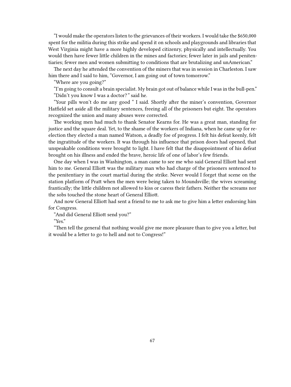"I would make the operators listen to the grievances of their workers. I would take the \$650,000 spent for the militia during this strike and spend it on schools and playgrounds and libraries that West Virginia might have a more highly developed citizenry, physically and intellectually. You would then have fewer little children in the mines and factories; fewer later in jails and penitentiaries; fewer men and women submitting to conditions that are brutalizing and unAmerican."

The next day he attended the convention of the miners that was in session in Charleston. I saw him there and I said to him, "Governor, I am going out of town tomorrow."

"Where are you going?"

"I'm going to consult a brain specialist. My brain got out of balance while I was in the bull-pen." "Didn't you know I was a doctor?*"* said he.

"Your pills won't do me any good " I said. Shortly after the miner's convention, Governor Hatfield set aside all the military sentences, freeing all of the prisoners but eight. The operators recognized the union and many abuses were corrected.

The working men had much to thank Senator Kearns for. He was a great man, standing for justice and the square deal. Yet, to the shame of the workers of Indiana, when he came up for reelection they elected a man named Watson, a deadly foe of progress. I felt his defeat keenly, felt the ingratitude of the workers. It was through his influence that prison doors had opened, that unspeakable conditions were brought to light. I have felt that the disappointment of his defeat brought on his illness and ended the brave, heroic life of one of labor's few friends.

One day when I was in Washington, a man came to see me who said General Elliott had sent him to me. General Elliott was the military man who had charge of the prisoners sentenced to the penitentiary in the court martial during the strike. Never would I forget that scene on the station platform of Pratt when the men were being taken to Moundsville; the wives screaming frantically; the little children not allowed to kiss or caress their fathers. Neither the screams nor the sobs touched the stone heart of General Elliott.

And now General Elliott had sent a friend to me to ask me to give him a letter endorsing him for Congress.

"And did General Elliott send you?"

"Yes."

"Then tell the general that nothing would give me more pleasure than to give you a letter, but it would be a letter to go to hell and not to Congress!"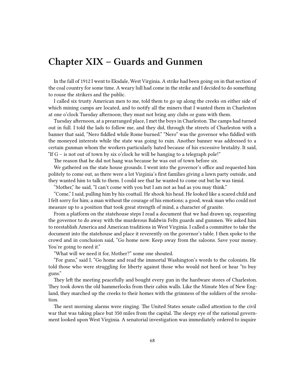## **Chapter XIX – Guards and Gunmen**

In the fall of 1912 I went to Eksdale, West Virginia. A strike had been going on in that section of the coal country for some time. A weary lull had come in the strike and I decided to do something to rouse the strikers and the public.

I called six trusty American men to me, told them to go up along the creeks on either side of which mining camps are located, and to notify all the miners that I wanted them in Charleston at one o'clock Tuesday afternoon; they must not bring any clubs or guns with them.

Tuesday afternoon, at a prearranged place, I met the boys in Charleston. The camps had turned out in full. I told the lads to follow me, and they did, through the streets of Charleston with a banner that said, "Nero fiddled while Rome burned." "Nero" was the governor who fiddled with the moneyed interests while the state was going to ruin. Another banner was addressed to a certain gunman whom the workers particularly hated because of his excessive brutality. It said, "If  $G$  – is not out of town by six o'clock he will be hanging to a telegraph pole!"

The reason that he did not hang was because he was out of town before *six.*

We gathered on the state house grounds. I went into the governor's office and requested him politely to come out, as there were a lot Virginia's first families giving a lawn party outside, and they wanted him to talk to them. I could see that he wanted to come out but he was timid.

"Mother," he said, "I can't come with you but I am not as bad as you may think."

"Come," I said, pulling him by his coattail. He shook his head. He looked like a scared child and I felt sorry for him; a man without the courage of his emotions; a good, weak man who could not measure up to a position that took great strength of mind, a character of granite.

From a platform on the statehouse steps I read a document that we had drawn up, requesting the governor to do away with the murderous Baldwin Felts guards and gunmen. We asked him to reestablish America and American traditions in West Virginia. I called a committee to take the document into the statehouse and place it reverently on the governor's table. I then spoke to the crowd and in conclusion said, "Go home now. Keep away from the saloons. Save your money. You're going to need it."

"What will we need it for, Mother?" some one shouted.

"For guns," said I. "Go home and read the immortal Washington's words to the colonists. He told those who were struggling for liberty against those who would not heed or hear "to buy guns."

They left the meeting peacefully and bought every gun in the hardware stores of Charleston. They took down the old hammerlocks from their cabin walls. Like the Minute Men of New England, they marched up the creeks to their homes with the grimness of the soldiers of the revolution.

The next morning alarms were ringing. The United States senate called attention to the civil war that was taking place but 350 miles from the capital. The sleepy eye of the national government looked upon West Virginia. A senatorial investigation was immediately ordered to inquire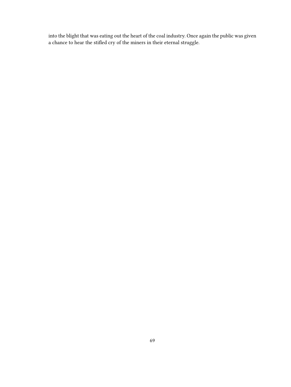into the blight that was eating out the heart of the coal industry. Once again the public was given a chance to hear the stifled cry of the miners in their eternal struggle.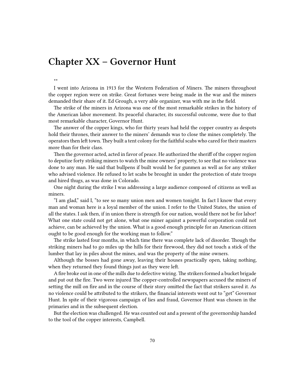## **Chapter XX – Governor Hunt**

\*\*

I went into Arizona in 1913 for the Western Federation of Miners. The miners throughout the copper region were on strike. Great fortunes were being made in the war and the miners demanded their share of it. Ed Grough, a very able organizer, was with me in the field.

The strike of the miners in Arizona was one of the most remarkable strikes in the history of the American labor movement. Its peaceful character, its successful outcome, were due to that most remarkable character, Governor Hunt.

The answer of the copper kings, who for thirty years had held the copper country as despots hold their thrones, their answer to the miners' demands was to close the mines completely. The operators then left town.They built a tent colony for the faithful scabs who cared for their masters more than for their class.

Then the governor acted, acted in favor of peace. He authorized the sheriff of the copper region to deputize forty striking miners to watch the mine owners' property, to see that no violence was done to any man. He said that bullpens if built would be for gunmen as well as for any striker who advised violence. He refused to let scabs be brought in under the protection of state troops and hired thugs, as was done in Colorado.

One night during the strike I was addressing a large audience composed of citizens as well as miners.

"I am glad," said I, "to see so many union men and women tonight. In fact I know that every man and woman here is a loyal member of the union. I refer to the United States, the union of all the states. I ask then, if in union there is strength for our nation, would there not be for labor! What one state could not get alone, what one miner against a powerful corporation could not achieve, can be achieved by the union. What is a good enough principle for an American citizen ought to be good enough for the working man to follow."

The strike lasted four months, in which time there was complete lack of disorder. Though the striking miners had to go miles up the hills for their firewood, they did not touch a stick of the lumber that lay in piles about the mines, and was the property of the mine owners.

Although the bosses had gone away, leaving their houses practically open, taking nothing, when they returned they found things just as they were left.

A fire broke out in one of the mills due to defective wiring. The strikers formed a bucket brigade and put out the fire. Two were injured The copper-controlled newspapers accused the miners of setting the mill on fire and in the course of their story omitted the fact that strikers saved it. As no violence could be attributed to the strikers, the financial interests went out to "get" Governor Hunt. In spite of their vigorous campaign of lies and fraud, Governor Hunt was chosen in the primaries and in the subsequent election.

But the election was challenged. He was counted out and a present of the governorship handed to the tool of the copper interests, Campbell.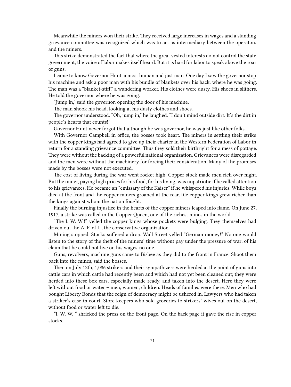Meanwhile the miners won their strike. They received large increases in wages and a standing grievance committee was recognized which was to act as intermediary between the operators and the miners.

This strike demonstrated the fact that where the great vested interests do not control the state government, the voice of labor makes itself heard. But it is hard for labor to speak above the roar of guns.

I came to know Governor Hunt, a most human and just man. One day I saw the governor stop his machine and ask a poor man with his bundle of blankets over his back, where he was going. The man was a "blanket-stiff," a wandering worker. His clothes were dusty. His shoes in slithers. He told the governor where he was going.

"Jump in," said the governor, opening the door of his machine.

The man shook his head, looking at his dusty clothes and shoes.

The governor understood. "Oh, jump in," he laughed. "I don't mind outside dirt. It's the dirt in people's hearts that counts!"

Governor Hunt never forgot that although he was governor, he was just like other folks.

With Governor Campbell in office, the bosses took heart. The miners in settling their strike with the copper kings had agreed to give up their charter in the Western Federation of Labor in return for a standing grievance committee. Thus they sold their birthright for a mess of pottage. They were without the backing of a powerful national organization. Grievances were disregarded and the men were without the machinery for forcing their consideration. Many of the promises made by the bosses were not executed.

The cost of living during the war went rocket high. Copper stock made men rich over night. But the miner, paying high prices for his food, for his living, was unpatriotic if he called attention to his grievances. He became an "emissary of the Kaiser" if he whispered his injuries. While boys died at the front and the copper miners groaned at the rear, tile copper kings grew richer than the kings against whom the nation fought.

Finally the burning injustice in the hearts of the copper miners leaped into flame. On June 27, 1917, a strike was called in the Copper Queen, one of the richest mines in the world.

"The I. W. W.!" yelled the copper kings whose pockets were bulging. They themselves had driven out the A. F. of L., the conservative organization.

Mining stopped. Stocks suffered a drop. Wall Street yelled "German money!" No one would listen to the story of the theft of the miners' time without pay under the pressure of war; of his claim that he could not live on his wages-no one.

Guns, revolvers, machine guns came to Bisbee as they did to the front in France. Shoot them back into the mines, said the bosses.

Then on July 12th, 1,086 strikers and their sympathizers were herded at the point of guns into cattle cars in which cattle had recently been and which had not yet been cleaned out; they were herded into these box cars, especially made ready, and taken into the desert. Here they were left without food or water – men, women, children. Heads of families were there. Men who had bought Liberty Bonds that the reign of democracy might be ushered in. Lawyers who had taken a striker's case in court. Store keepers who sold groceries to strikers' wives out on the desert, without food or water left to die.

"I. W. W. " shrieked the press on the front page. On the back page it gave the rise in copper stocks.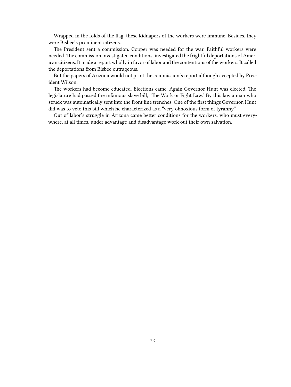Wrapped in the folds of the flag, these kidnapers of the workers were immune. Besides, they were Bisbee's prominent citizens.

The President sent a commission. Copper was needed for the war. Faithful workers were needed. The commission investigated conditions, investigated the frightful deportations of American citizens. It made a report wholly in favor of labor and the contentions of the workers. It called the deportations from Bisbee outrageous.

But the papers of Arizona would not print the commission's report although accepted by President Wilson.

The workers had become educated. Elections came. Again Governor Hunt was elected. The legislature had passed the infamous slave bill, "The Work or Fight Law." By this law a man who struck was automatically sent into the front line trenches. One of the first things Governor. Hunt did was to veto this bill which he characterized as a "very obnoxious form of tyranny."

Out of labor's struggle in Arizona came better conditions for the workers, who must everywhere, at all times, under advantage and disadvantage work out their own salvation.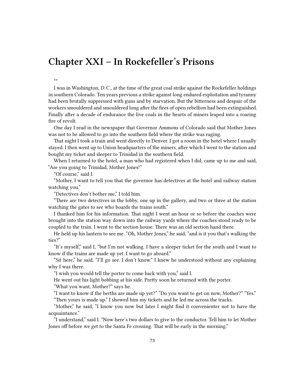### **Chapter XXI – In Rockefeller's Prisons**

I was in Washington, *D.* C., at the time of the great coal strike against the Rockefeller holdings in southern Colorado. Ten years previous a strike against long endured exploitation and tyranny had been brutally suppressed with guns and by starvation. But the bitterness and despair of the workers smouldered and smouldered long after the fires of open rebellion had been extinguished. Finally after a decade of endurance the live coals in the hearts of miners leaped into a roaring fire of revolt.

One day I read in the newspaper that Governor Ammons of Colorado said that Mother Jones was not to be allowed to go into the southern field where the strike was raging.

That night I took a train and went directly to Denver. I got a room in the hotel where I usually stayed. I then went up to Union headquarters of the miners, after which I went to the station and bought my ticket and sleeper to Trinidad in the southern field.

When I returned to the hotel, a man who had registered when I did, came up to me and said, "Are you going to Trinidad, Mother Jones!"

"Of course," said I.

\*\*

"Mother, I want to tell you that the governor has detectives at the hotel and railway station watching you."

"Detectives don't bother me," I told him.

"There are two detectives in the lobby, one up in the gallery, and two or three at the station watching the gates to see who boards the trains south."

I thanked him for his information. That night I went an hour or so before the coaches were brought into the station way down into the railway yards where the coaches stood ready to be coupled to the train. I went to the section house. There was an old section hand there.

He held up his lantern to see me. "Oh, Mother Jones," he said, "and is it you that's walking the ties?"

"It's myself," said I, "but I'm not walking. I have a sleeper ticket for the south and I want to know if the trains are made up yet. I want to go aboard."

"Sit here," he said, "I'll go see. I don't know." I knew he understood without any explaining why I was there.

"I wish you would tell the porter to come back with you," said I.

He went out his light bobbing at his side. Pretty soon he returned with the porter.

"What you want, Mother?" says he.

"I want to know if the berths are made up yet?" "Do you want to get on now, Mother?" "Yes." "Then yours is made up." I showed him my tickets and he led me across the tracks.

"Mother," he said, "I know you now but later I might find it convenienter not to have the acquaintance."

"I understand," said I. "Now here's two dollars to give to the conductor. Tell him to let Mother Jones off before we get to the Santa Fe crossing. That will be early in the morning."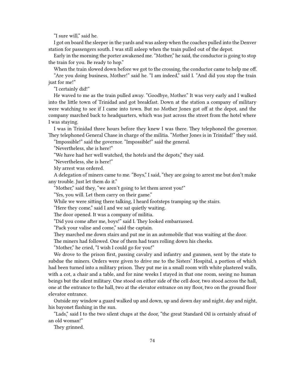"I sure will," said he.

I got on board the sleeper in the yards and was asleep when the coaches pulled into the Denver station for passengers south. I was still asleep when the train pulled out of the depot.

Early in the morning the porter awakened me. "Mother," he said, the conductor is going to stop the train for you. Be ready to hop."

When the train slowed down before we got to the crossing, the conductor came to help me off. "Are you doing business, Mother!" said he. "I am indeed," said I. "And did you stop the train

just for me!"

"I certainly did!"

He waved to me as the train pulled away. "Goodbye, Mother." It was very early and I walked into the little town of Trinidad and got breakfast. Down at the station a company of military were watching to see if I came into town. But no Mother Jones got off at the depot, and the company marched back to headquarters, which was just across the street from the hotel where I was staying.

I was in Trinidad three hours before they knew I was there. They telephoned the governor. They telephoned General Chase in charge of the militia. "Mother Jones is in Trinidad!" they said.

"Impossible!" said the governor. "Impossible!" said the general.

"Nevertheless, she is here!"

"We have had her well watched, the hotels and the depots," they said.

"Nevertheless, she is here!"

My arrest was ordered.

A delegation of miners came to me. "Boys," I said, "they are going to arrest me but don't make any trouble. Just let them do it."

"Mother," said they, "we aren't going to let them arrest you!"

"Yes, you will. Let them carry on their game."

While we were sitting there talking, I heard footsteps tramping up the stairs.

"Here they come," said I and we sat quietly waiting.

The door opened. It was a company of militia.

"Did you come after me, boys!" said I. They looked embarrassed.

"Pack your valise and come," said the captain.

They marched me down stairs and put me in an automobile that was waiting at the door.

The miners had followed. One of them had tears rolling down his cheeks.

"Mother," he cried, "I wish I could go for you!"

We drove to the prison first, passing cavalry and infantry and gunmen, sent by the state to subdue the miners. Orders were given to drive me to the Sisters' Hospital, a portion of which had been turned into a military prison. They put me in a small room with white plastered walls, with a cot, a chair and a table, and for nine weeks I stayed in that one room, seeing no human beings but the silent military. One stood on either side of the cell door, two stood across the hall, one at the entrance to the hall, two at the elevator entrance on my floor, two on the ground floor elevator entrance.

Outside my window a guard walked up and down, up and down day and night, day and night, his bayonet flashing in the sun.

"Lads," said I to the two silent chaps at the door, "the great Standard Oil is certainly afraid of an old woman!"

They grinned.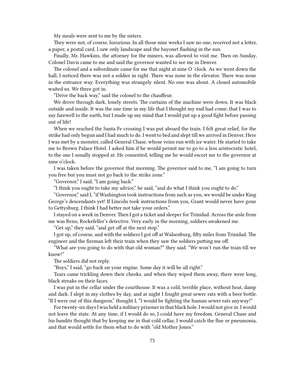My meals were sent to me by the sisters.

They were not, of course, luxurious. In all those nine weeks I saw no one, received not a letter, a paper, a postal card. I saw only landscape and the bayonet flashing in the sun.

Finally, Mr. Hawkins, the attorney for the miners, was allowed to visit me. Then on Sunday, Colonel Davis came to me and said the governor wanted to see me in Denver.

The colonel and a subordinate came for me that night at nine O 'clock. As we went down the hall, I noticed there was not a soldier in sight. There was none in the elevator. There was none in the entrance way. Everything was strangely silent. No one was about. A closed automobile waited us. We three got in.

"Drive the back way," said the colonel to the chauffeur.

We drove through dark, lonely streets. The curtains of the machine were down. It was black outside and inside. It was the one time in my life that I thought my end had come; that I was to say farewell to the earth, but I made up my mind that I would put up a good fight before passing out of life!

When we reached the Santa Fe crossing I was put aboard the train. I felt great relief, for the strike had only begun and I had much to do. I went to bed and slept till we arrived in Denver. Here I was met by a monster, called General Chase, whose veins run with ice water. He started to take me to Brown Palace Hotel. I asked him if he would permit me to go to a less aristocratic hotel, to the one I usually stopped at. He consented, telling me he would escort me to the governor at nine o'clock.

I was taken before the governor that morning. The governor said to me, "I am going to turn you free but you must not go back to the strike zone."

"Governor," I said, "I am going back."

"I think you ought to take my advice," he said, "and do what I think you ought to do."

"Governor," said I, "if Washington took instructions from such as you, we would be under King George's descendants yet! If Lincoln took instructions from you, Grant would never have gone to Gettysburg. I think I had better not take your orders."

I stayed on a week in Denver. Then I got a ticket and sleeper for Trinidad. Across the aisle from me was Reno, Rockefeller's detective. Very early in the morning, soldiers awakened me.

"Get up," they said, "and get off at the next stop."

I got up, of course, and with the soldiers I got off at Walsenburg, fifty miles from Trinidad. The engineer and the fireman left their train when they saw the soldiers putting me off.

"What are you going to do with that old woman?" they said. "We won't run the train till we know!"

The soldiers did not reply.

"Boys," I said, "go back on your engine. Some day it will be all right."

Tears came trickling down their cheeks, and when they wiped them away, there were long, black streaks on their faces.

I was put in the cellar under the courthouse. It was a cold, terrible place, without heat, damp and dark. I slept in my clothes by day, and at night I fought great sewer rats with a beer bottle. "If I were out of this dungeon," thought I, "I would be fighting the human sewer rats anyway!"

For twenty-six days I was held a military prisoner in that black hole. I would not give in. I would not leave the state. At any time, if I would do so, I could have my freedom. General Chase and his bandits thought that by keeping me in that cold cellar, I would catch the flue or pneumonia, and that would settle for them what to do with "old Mother Jones."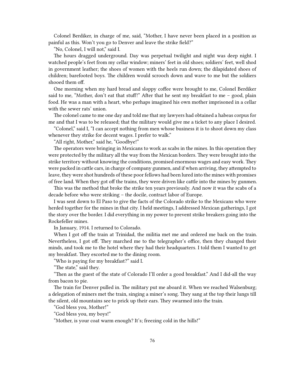Colonel Berdiker, in charge of me, said, "Mother, I have never been placed in a position as painful as this. Won't you go to Denver and leave the strike field?"

"No, Colonel, I will not," said I.

The hours dragged underground. Day was perpetual twilight and night was deep night. I watched people's feet from my cellar window; miners' feet in old shoes; soldiers' feet, well shod in government leather; the shoes of women with the heels run down; the dilapidated shoes of children; barefooted boys. The children would scrooch down and wave to me but the soldiers shooed them off.

One morning when my hard bread and sloppy coffee were brought to me, Colonel Berdiker said to me, "Mother, don't eat that stuff!" After that he sent my breakfast to me  $-$  good, plain food. He was a man with a heart, who perhaps imagined his own mother imprisoned in a cellar with the sewer rats' union.

The colonel came to me one day and told me that my lawyers had obtained a habeas corpus for me and that I was to be released; that the military would give me a ticket to any place I desired.

"Colonel," said I, "I can accept nothing from men whose business it is to shoot down my class whenever they strike for decent wages. I prefer to walk."

"All right, Mother," said he, "Goodbye!"

The operators were bringing in Mexicans to work as scabs in the mines. In this operation they were protected by the military all the way from the Mexican borders. They were brought into the strike territory without knowing the conditions, promised enormous wages and easy work. They were packed in cattle cars, in charge of company gunmen, and if when arriving, they attempted to leave, they were shot hundreds of these poor fellows had been lured into the mines with promises of free land. When they got off the trains, they were driven like cattle into the mines by gunmen.

This was the method that broke the strike ten years previously. And now it was the scabs of a decade before who were striking – the docile, contract labor of Europe.

I was sent down to El Paso to give the facts of the Colorado strike to the Mexicans who were herded together for the mines in that city. I held meetings, I addressed Mexican gatherings, I got the story over the border. I did everything in my power to prevent strike breakers going into the Rockefeller mines.

In January, 1914. I returned to Colorado.

When I got off the train at Trinidad, the militia met me and ordered me back on the train. Nevertheless, I got off. They marched me to the telegrapher's office, then they changed their minds, and took me to the hotel where they had their headquarters. I told them I wanted to get my breakfast. They escorted me to the dining room.

"Who is paying for my breakfast?" said I.

"The state," said they.

"Then as the guest of the state of Colorado I'll order a good breakfast." And I did-all the way from bacon to pie.

The train for Denver pulled in. The military put me aboard it. When we reached Walsenburg; a delegation of miners met the train, singing a miner's song. They sang at the top their lungs till the silent, old mountains see to prick up their ears. They swarmed into the train.

"God bless you, Mother!"

"God bless you, my boys!"

"Mother, is your coat warm enough? It's; freezing cold in the hills!"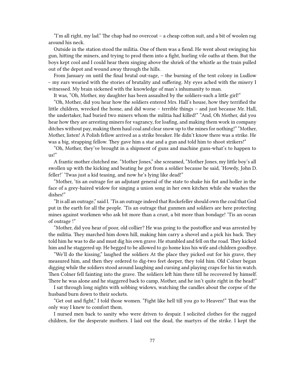"I'm all right, my lad." The chap had no overcoat – a cheap cotton suit, and a bit of woolen rag around his neck.

Outside in the station stood the militia. One of them was a fiend. He went about swinging his gun, hitting the miners, and trying to prod them into a fight, hurling vile oaths at them. But the boys kept cool and I could hear them singing above the shriek of the whistle as the train pulled out of the depot and wound away through the hills.

From January on until the final brutal out-rage, – the burning of the tent colony in Ludlow – my ears wearied with the stories of brutality and suffering. My eyes ached with the misery I witnessed. My brain sickened with the knowledge of man's inhumanity to man.

It was, "Oh, Mother, my daughter has been assaulted by the soldiers-such a little girl!"

"Oh, Mother, did you hear how the soldiers entered Mrs. Hall's house, how they terrified the little children, wrecked the home, and did worse – terrible things – and just because Mr. Hall, the undertaker, had buried two miners whom the militia had killed!" "And, Oh Mother, did you hear how they are arresting miners for vagrancy, for loafing, and making them work in company ditches without pay, making them haul coal and clear snow up to the mines for nothing!" "Mother, Mother, listen! A Polish fellow arrived as a strike breaker. He didn't know there was a strike. He was a big, strapping fellow. They gave him a star and a gun and told him to shoot strikers!"

"Oh, Mother, they've brought in a shipment of guns and machine guns-what's to happen to us!"

A frantic mother clutched me. "Mother Jones," she screamed, "Mother Jones, my little boy's all swollen up with the kicking and beating he got from a soldier because he said, 'Howdy, John D. feller!' 'Twas just a kid teasing, and now he's lying like dead!"

"Mother, 'tis an outrage for an adjutant general of the state to shake his fist and holler in the face of a grey-haired widow for singing a union song in her own kitchen while she washes the dishes!"

"It is all an outrage," said I. 'Tis an outrage indeed that Rockefeller should own the coal that God put in the earth for all the people. 'Tis an outrage that gunmen and soldiers are here protecting mines against workmen who ask bit more than a crust, a bit more than bondage! 'Tis an ocean of outrage !"

"Mother, did you hear of poor, old collier? He was going to the postoffice and was arrested by the militia. They marched him down hill, making him carry a shovel and a pick his back. They told him he was to die and must dig his own grave. He stumbled and fell on the road. They kicked him and he staggered up. He begged to be allowed to go home kiss his wife and children goodbye.

"We'll do the kissing," laughed the soldiers At the place they picked out for his grave, they measured him, and then they ordered to dig-two feet deeper, they told him. Old Colner began digging while the soldiers stood around laughing and cursing and playing craps for his tin watch. Then Colner fell fainting into the grave. The soldiers left him there till he recovered by himself. There he was alone and he staggered back to camp, Mother, and he isn't quite right in the head!"

I sat through long nights with sobbing widows, watching the candles about the corpse of the husband burn down to their sockets.

"Get out and fight," I told those women. "Fight like hell till you go to Heaven!" That was the only way I knew to comfort them.

I nursed men back to sanity who were driven to despair. I solicited clothes for the ragged children, for the desperate mothers. I laid out the dead, the martyrs of the strike. I kept the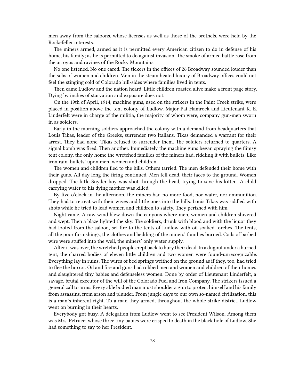men away from the saloons, whose licenses as well as those of the brothels, were held by the Rockefeller interests.

The miners armed, armed as it is permitted every American citizen to do in defense of his home, his family; as he is permitted to do against invasion. The smoke of armed battle rose from the arroyos and ravines of the Rocky Mountains.

No one listened. No one cared. The tickers in the offices of 26 Broadway sounded louder than the sobs of women and children. Men in the steam heated luxury of Broadway offices could not feel the stinging cold of Colorado hill-sides where families lived in tents.

Then came Ludlow and the nation heard. Little children roasted alive make a front page story. Dying by inches of starvation and exposure does not.

On the 19th of April, 1914, machine guns, used on the strikers in the Paint Creek strike, were placed in position above the tent colony of Ludlow. Major Pat Hamrock and Lieutenant K. E. Linderfelt were in charge of the militia, the majority of whom were, company gun-men sworn in as soldiers.

Early in the morning soldiers approached the colony with a demand from headquarters that Louis Tikas, leader of the Greeks, surrender two Italians. Tikas demanded a warrant for their arrest. They had none. Tikas refused to surrender them. The soldiers returned to quarters. A signal bomb was fired. Then another. Immediately the machine guns began spraying the flimsy tent colony, the only home the wretched families of the miners had, riddling it with bullets. Like iron rain, bullets' upon men, women and children.

The women and children fled to the hills. Others tarried. The men defended their home with their guns. All day long the firing continued. Men fell dead, their faces to the ground. Women dropped. The little Snyder boy was shot through the head, trying to save his kitten. A child carrying water to his dying mother was killed.

By five o'clock in the afternoon, the miners had no more food, nor water, nor ammunition. They had to retreat with their wives and little ones into the hills. Louis Tikas was riddled with shots while he tried to lead women and children to safety. They perished with him.

Night came. A raw wind blew down the canyons where men, women and children shivered and wept. Then a blaze lighted the sky. The soldiers, drunk with blood and with the liquor they had looted from the saloon, set fire to the tents of Ludlow with oil-soaked torches. The tents, all the poor furnishings, the clothes and bedding of the miners' families burned. Coils of barbed wire were stuffed into the well, the miners' only water supply.

After it was over, the wretched people crept back to bury their dead. In a dugout under a burned tent, the charred bodies of eleven little children and two women were found-unrecognizable. Everything lay in ruins. The wires of bed springs writhed on the ground as if they, too, had tried to flee the horror. Oil and fire and guns had robbed men and women and children of their homes and slaughtered tiny babies and defenseless women. Done by order of Lieutenant Linderfelt, a savage, brutal executor of the will of the Colorado Fuel and Iron Company. The strikers issued a general call to arms: Every able bodied man must shoulder a gun to protect himself and his family from assassins, from arson and plunder. From jungle days to our own so-named civilization, this is a man's inherent right. To a man they armed, throughout the whole strike district. Ludlow went on burning in their hearts.

Everybody got busy. A delegation from Ludlow went to see President Wilson. Among them was Mrs. Petrucci whose three tiny babies were crisped to death in the black hole of Ludlow. She had something to say to her President.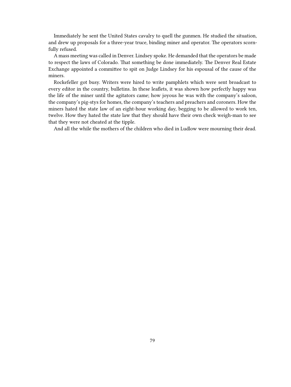Immediately he sent the United States cavalry to quell the gunmen. He studied the situation, and drew up proposals for a three-year truce, binding miner and operator. The operators scornfully refused.

A mass meeting was called in Denver. Lindsey spoke. He demanded that the operators be made to respect the laws of Colorado. That something be done immediately. The Denver Real Estate Exchange appointed a committee to spit on Judge Lindsey for his espousal of the cause of the miners.

Rockefeller got busy. Writers were hired to write pamphlets which were sent broadcast to every editor in the country, bulletins. In these leaflets, it was shown how perfectly happy was the life of the miner until the agitators came; how joyous he was with the company's saloon, the company's pig-stys for homes, the company's teachers and preachers and coroners. How the miners hated the state law of an eight-hour working day, begging to be allowed to work ten, twelve. How they hated the state law that they should have their own check weigh-man to see that they were not cheated at the tipple.

And all the while the mothers of the children who died in Ludlow were mourning their dead.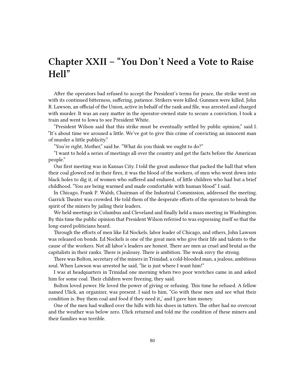# **Chapter XXII – "You Don't Need a Vote to Raise Hell"**

After the operators bad refused to accept the President's terms for peace, the strike went on with its continued bitterness, suffering, patience. Strikers were killed. Gunmen were killed. John R. Lawson, an official of the Union, active in behalf of the rank and file, was arrested and charged with murder. It was an easy matter in the operator-owned state to secure a conviction. I took a train and went to Iowa to see President White.

"President Wilson said that this strike must be eventually settled by public opinion," said I. "It's about time we aroused a little. We've got to give this crime of convicting an innocent man of murder a little publicity."

"You're right, Mother," said he. "What do you think we ought to do?"

"I want to hold a series of meetings all over the country and get the facts before the American people."

Our first meeting was in Kansas City. I told the great audience that packed the hall that when their coal glowed red in their fires, it was the blood of the workers, of men who went down into black holes to dig it, of women who suffered and endured, of little children who had but a brief childhood. "You are being warmed and made comfortable with human blood" I said.

In Chicago, Frank P. Walsh, Chairman of the Industrial Commission, addressed the meeting. Garrick Theater was crowded. He told them of the desperate efforts of the operators to break the spirit of the miners by jailing their leaders.

We held meetings in Columbus and Cleveland and finally held a mass meeting in Washington. By this time the public opinion that President Wilson referred to was expressing itself so that the long-eared politicians heard.

Through the efforts of men like Ed Nockels, labor leader of Chicago, and others, John Lawson was released on bonds. Ed Nockels is one of the great men who give their life and talents to the cause of the workers. Not all labor's leaders are honest. There are men as cruel and brutal as the capitalists in their ranks. There is jealousy. There is ambition. The weak envy the strong.

There was Bolton, secretary of the miners in Trinidad, a cold-blooded man, a jealous, ambitious soul. When Lawson was arrested he said, "lie is just where I want him!"

I was at headquarters in Trinidad one morning when two poor wretches came in and asked him for some coal. Their children were freezing, they said.

Bolton loved power. He loved the power of giving or refusing. This time he refused. A fellow named Ulick, an organizer, was present. I said to him, "Go with these men and see what their condition is. Buy them coal and food if they need it,' and I gave him money.

One of the men had walked over the hills with his shoes in tatters. The other had no overcoat and the weather was below zero. Ulick returned and told me the condition of these miners and their families was terrible.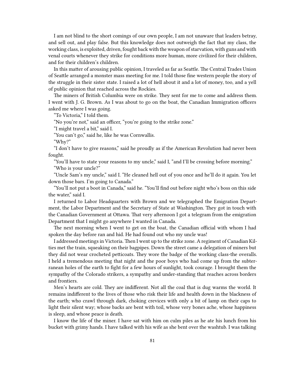I am not blind to the short comings of our own people, I am not unaware that leaders betray, and sell out, and play false. But this knowledge does not outweigh the fact that my class, the working class, is exploited, driven, fought back with the weapon of starvation, with guns and with venal courts whenever they strike for conditions more human, more civilized for their children, and for their children's children.

In this matter of arousing public opinion, I traveled as far as Seattle. The Central Trades Union of Seattle arranged a monster mass meeting for me. I told those fine western people the story of the struggle in their sister state. I raised a lot of hell about it and a lot of money, too, and a yell of public opinion that reached across the Rockies.

The miners of British Columbia were on strike. They sent for me to come and address them. I went with J. G. Brown. As I was about to go on the boat, the Canadian Immigration officers asked me where I was going.

"To Victoria," I told them.

"No you're not," said an officer, "you're going to the strike zone."

"I might travel a bit," said I.

"You can't go," said he, like he was Cornwallis.

"Why?"

"I don't have to give reasons," said he proudly as if the American Revolution had never been fought.

"You'll have to state your reasons to my uncle," said I, "and I'll be crossing before morning." "Who is your uncle?"

"Uncle Sam's my uncle," said I. "He cleaned hell out of you once and he'll do it again. You let down those bars. I'm going to Canada."

"You'll not put a boot in Canada," said he. "You'll find out before night who's boss on this side the water," said I.

I returned to Labor Headquarters with Brown and we telegraphed the Emigration Department, the Labor Department and the Secretary of State at Washington. They got in touch with the Canadian Government at Ottawa. That very afternoon I got a telegram from the emigration Department that I might go anywhere I wanted in Canada.

The next morning when I went to get on the boat, the Canadian official with whom I had spoken the day before ran and hid. He had found out who my uncle was!

I addressed meetings in Victoria. Then I went up to the strike zone. A regiment of Canadian Kilties met the train, squeaking on their bagpipes. Down the street came a delegation of miners but they did not wear crocheted petticoats. They wore the badge of the working class-the overalls. I held a tremendous meeting that night and the poor boys who had come up from the subterranean holes of the earth to fight for a few hours of sunlight, took courage. I brought them the sympathy of the Colorado strikers, a sympathy and under-standing that reaches across borders and frontiers.

Men's hearts are cold. They are indifferent. Not all the coal that is dug warms the world. It remains indifferent to the lives of those who risk their life and health down in the blackness of the earth; who crawl through dark, choking crevices with only a bit of lamp on their caps to light their silent way; whose backs are bent with toil, whose very bones ache, whose happiness is sleep, and whose peace is death.

I know the life of the miner. I have sat with him on culm piles as he ate his lunch from his bucket with grimy hands. I have talked with his wife as she bent over the washtub. I was talking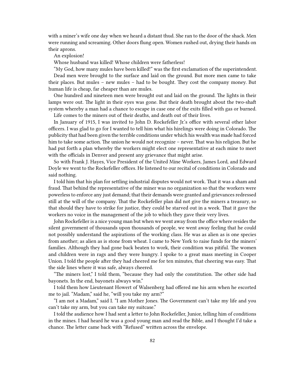with a miner's wife one day when we heard a distant thud. She ran to the door of the shack. Men were running and screaming. Other doors flung open. Women rushed out, drying their hands on their aprons.

An explosion!

Whose husband was killed! Whose children were fatherless!

"My God, how many mules have been killed!" was the first exclamation of the superintendent. Dead men were brought to the surface and laid on the ground. But more men came to take their places. But mules – new mules – had to be bought. They cost the company money. But human life is cheap, far cheaper than are mules.

One hundred and nineteen men were brought out and laid on the ground. The lights in their lamps were out. The light in their eyes was gone. But their death brought about the two-shaft system whereby a man had a chance to escape in case one of the exits filled with gas or burned.

Life comes to the miners out of their deaths, and death out of their lives.

In January of 1915, I was invited to John D. Rockefeller Jr.'s office with several other labor officers. I was glad to go for I wanted to tell him what his hirelings were doing in Colorado. The publicity that had been given the terrible conditions under which his wealth was made had forced him to take some action. The union he would not recognize – never. That was his religion. But he had put forth a plan whereby the workers might elect one representative at each mine to meet with the officials in Denver and present any grievance that might arise.

So with Frank J. Hayes, Vice President of the United Mine Workers, James Lord, and Edward Doyle we went to the Rockefeller offices. He listened to our recital of conditions in Colorado and said nothing.

I told him that his plan for settling industrial disputes would not work. That it was a sham and fraud. That behind the representative of the miner was no organization so that the workers were powerless to enforce any just demand; that their demands were granted and grievances redressed still at the will of the company. That the Rockefeller plan did not give the miners a treasury, so that should they have to strike for justice, they could be starved out in a week. That it gave the workers no voice in the management of the job to which they gave their very lives.

John Rockefeller is a nice young man but when we went away from the office where resides the silent government of thousands upon thousands of people, we went away feeling that he could not possibly understand the aspirations of the working class. He was as alien as is one species from another; as alien as is stone from wheat. I came to New York to raise funds for the miners' families. Although they had gone back beaten to work, their condition was pitiful. The women and children were in rags and they were hungry. I spoke to a great mass meeting in Cooper Union. I told the people after they had cheered me for ten minutes, that cheering was easy. That the side lines where it was safe, always cheered.

"The miners lost," I told them, "because they had only the constitution. The other side had bayonets. In the end, bayonets always win."

I told them how Lieutenant Howert of Walsenberg had offered me his arm when he escorted me to jail. "Madam," said he, "will you take my arm?"

"I am not a Madam," said I. "I am Mother Jones. The Government can't take my life and you can't take my arm, but you can take my suitcase."

I told the audience how I had sent a letter to John Rockefeller, Junior, telling him of conditions in the mines. I had heard he was a good young man and read the Bible, and I thought I'd take a chance. The letter came back with "Refused" written across the envelope.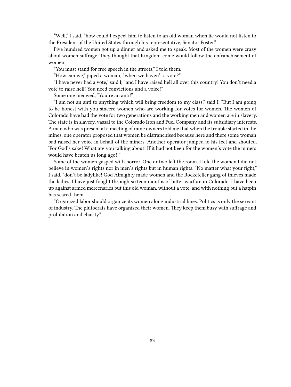"Well," I said, "how could I expect him to listen to an old woman when lie would not listen to the President of the United States through his representative, Senator Foster."

Five hundred women got up a dinner and asked me to speak. Most of the women were crazy about women suffrage. They thought that Kingdom-come would follow the enfranchisement of women.

"You must stand for free speech in the streets," I told them.

"How can we," piped a woman, "when we haven't a vote?"

"I have never had a vote," said I, "and I have raised hell all over this country! You don't need a vote to raise hell! You need convictions and a voice!"

Some one meowed, "You're an anti!"

"I am not an anti to anything which will bring freedom to my class," said I. "But I am going to be honest with you sincere women who are working for votes for women. The women of Colorado have had the vote for two generations and the working men and women are in slavery. The state is in slavery, vassal to the Colorado Iron and Fuel Company and its subsidiary interests. A man who was present at a meeting of mine owners told me that when the trouble started in the mines, one operator proposed that women be disfranchised because here and there some woman bad raised her voice in behalf of the miners. Another operator jumped to his feet and shouted, 'For God's sake! What are you talking about! If it had not been for the women's vote the miners would have beaten us long ago!'"

Some of the women gasped with horror. One or two left the room. I told the women I did not believe in women's rights nor in men's rights but in human rights. "No matter what your fight," I said, "don't be ladylike! God Almighty made women and the Rockefeller gang of thieves made the ladies. I have just fought through sixteen months of bitter warfare in Colorado. I have been up against armed mercenaries but this old woman, without a vote, and with nothing but a hatpin has scared them.

"Organized labor should organize its women along industrial lines. Politics is only the servant of industry. The plutocrats have organized their women. They keep them busy with suffrage and prohibition and charity."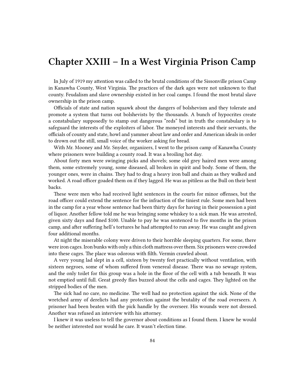### **Chapter XXIII – In a West Virginia Prison Camp**

In July of 1919 my attention was called to the brutal conditions of the Sissonville prison Camp in Kanawha County, West Virginia. The practices of the dark ages were not unknown to that county. Feudalism and slave ownership existed in her coal camps. I found the most brutal slave ownership in the prison camp.

Officials of state and nation squawk about the dangers of bolshevism and they tolerate and promote a system that turns out bolshevists by the thousands. A bunch of hypocrites create a constabulary supposedly to stamp out dangerous "reds" but in truth the constabulary is to safeguard the interests of the exploiters of labor. The moneyed interests and their servants, the officials of county and state, howl and yammer about law and order and American ideals in order to drown out the still, small voice of the worker asking for bread.

With Mr. Mooney and Mr. Snyder, organizers, I went to the prison camp of Kanawha County where prisoners were building a county road. It was a broiling hot day.

About forty men were swinging picks and shovels; some old grey haired men were among them, some extremely young, some diseased, all broken in spirit and body. Some of them, the younger ones, were in chains. They had to drag a heavy iron ball and chain as they walked and worked. A road officer goaded them on if they lagged. He was as pitiless as the Bull on their bent backs.

These were men who had received light sentences in the courts for minor offenses, but the road officer could extend the sentence for the infraction of the tiniest rule. Some men had been in the camp for a year whose sentence had been thirty days for having in their possession a pint of liquor. Another fellow told me he was bringing some whiskey to a sick man. He was arrested, given sixty days and fined \$100. Unable to pay he was sentenced to five months in the prison camp, and after suffering hell's tortures he had attempted to run away. He was caught and given four additional months.

At night the miserable colony were driven to their horrible sleeping quarters. For some, there were iron cages. Iron bunks with only a thin cloth mattress over them. Six prisoners were crowded into these cages. The place was odorous with filth. Vermin crawled about.

A very young lad slept in a cell, sixteen by twenty feet practically without ventilation, with sixteen negroes, some of whom suffered from venereal disease. There was no sewage system, and the only toilet for this group was a hole in the floor of the cell with a tub beneath. It was not emptied until full. Great greedy flies buzzed about the cells and cages. They lighted on the stripped bodies of the men.

The sick had no care, no medicine. The well had no protection against the sick. None of the wretched army of derelicts had any protection against the brutality of the road overseers. A prisoner had been beaten with the pick handle by the overseer. His wounds were not dressed. Another was refused an interview with his attorney.

I knew it was useless to tell the governor about conditions as I found them. I knew he would be neither interested nor would he care. It wasn't election time.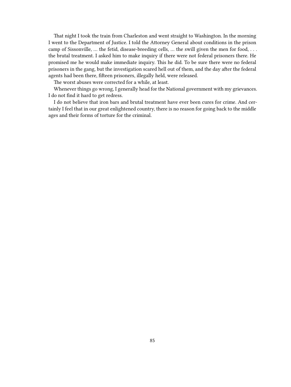That night I took the train from Charleston and went straight to Washington. In the morning I went to the Department of Justice. I told the Attorney General about conditions in the prison camp of Sissonville, … the fetid, disease-breeding cells, … the swill given the men for food, . . . the brutal treatment. I asked him to make inquiry if there were not federal prisoners there. He promised me he would make immediate inquiry. This he did. To be sure there were no federal prisoners in the gang, but the investigation scared hell out of them, and the day after the federal agents had been there, fifteen prisoners, illegally held, were released.

The worst abuses were corrected for a while, at least.

Whenever things go wrong, I generally head for the National government with my grievances. I do not find it hard to get redress.

I do not believe that iron bars and brutal treatment have ever been cures for crime. And certainly I feel that in our great enlightened country, there is no reason for going back to the middle ages and their forms of torture for the criminal.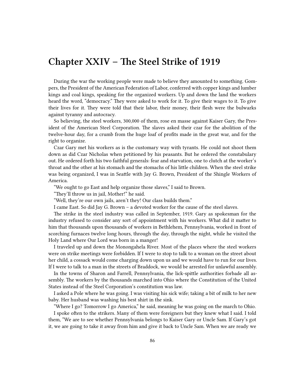### **Chapter XXIV – The Steel Strike of 1919**

During the war the working people were made to believe they amounted to something. Gompers, the President of the American Federation of Labor, conferred with copper kings and lumber kings and coal kings, speaking for the organized workers. Up and down the land the workers heard the word, "democracy." They were asked to work for it. To give their wages to it. To give their lives for it. They were told that their labor, their money, their flesh were the bulwarks against tyranny and autocracy.

So believing, the steel workers, 300,000 of them, rose en masse against Kaiser Gary, the President of the American Steel Corporation. The slaves asked their czar for the abolition of the twelve-hour day, for a crumb from the huge loaf of profits made in the great war, and for the right to organize.

Czar Gary met his workers as is the customary way with tyrants. He could not shoot them down as did Czar Nicholas when petitioned by his peasants. But he ordered the constabulary out. He ordered forth his two faithful generals: fear and starvation, one to clutch at the worker's throat and the other at his stomach and the stomachs of his little children. When the steel strike was being organized, I was in Seattle with Jay G. Brown, President of the Shingle Workers of America.

"We ought to go East and help organize those slaves," I said to Brown.

"They'll throw us in jail, Mother!" he said.

"Well, they're our own jails, aren't they! Our class builds them."

I came East. So did Jay G. Brown – a devoted worker for the cause of the steel slaves.

The strike in the steel industry was called in September, 1919. Gary as spokesman for the industry refused to consider any sort of appointment with his workers. What did it matter to him that thousands upon thousands of workers in Bethlehem, Pennsylvania, worked in front of scorching furnaces twelve long hours, through the day, through the night, while he visited the Holy Land where Our Lord was born in a manger!

I traveled up and down the Monongahela River. Most of the places where the steel workers were on strike meetings were forbidden. If I were to stop to talk to a woman on the street about her child, a cossack would come charging down upon us and we would have to run for our lives. If I were to talk to a man in the streets of Braddock, we would be arrested for unlawful assembly.

In the towns of Sharon and Farrell, Pennsylvania, the lick-spittle authorities forbade all assembly. The workers by the thousands marched into Ohio where the Constitution of the United States instead of the Steel Corporation's constitution was law.

I asked a Pole where he was going. I was visiting his sick wife; taking a bit of milk to her new baby. Her husband was washing his best shirt in the sink.

"Where I go? Tomorrow I go America," he said, meaning he was going on the march to Ohio.

I spoke often to the strikers. Many of them were foreigners but they knew what I said. I told them, "We are to see whether Pennsylvania belongs to Kaiser Gary or Uncle Sam. If Gary's got it, we are going to take it away from him and give it back to Uncle Sam. When we are ready we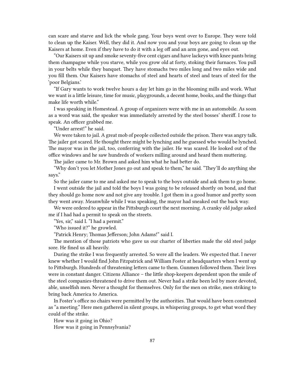can scare and starve and lick the whole gang. Your boys went over to Europe. They were told to clean up the Kaiser. Well, they did it. And now you and your boys are going to clean up the Kaisers at home. Even if they have to do it with a leg off and an arm gone, and eyes out.

"Our Kaisers sit up and smoke seventy-five cent cigars and have lackeys with knee pants bring them champagne while you starve, while you grow old at forty, stoking their furnaces. You pull in your belts while they banquet. They have stomachs two miles long and two miles wide and you fill them. Our Kaisers have stomachs of steel and hearts of steel and tears of steel for the 'poor Belgians.'

"If Gary wants to work twelve hours a day let him go in the blooming mills and work. What we want is a little leisure, time for music, playgrounds, a decent home, books, and the things that make life worth while."

I was speaking in Homestead. A group of organizers were with me in an automobile. As soon as a word was said, the speaker was immediately arrested by the steel bosses' sheriff. I rose to speak. An officer grabbed me.

"Under arrest!" he said.

We were taken to jail. A great mob of people collected outside the prison. There was angry talk. The jailer got scared. He thought there might be lynching and he guessed who would be lynched. The mayor was in the jail, too, conferring with the jailer. He was scared. He looked out of the office windows and he saw hundreds of workers milling around and heard them muttering.

The jailer came to Mr. Brown and asked him what he had better do.

"Why don't you let Mother Jones go out and speak to them," he said. "They'll do anything she says."

So the jailer came to me and asked me to speak to the boys outside and ask them to go home.

I went outside the jail and told the boys I was going to be released shortly on bond, and that they should go home now and not give any trouble. I got them in a good humor and pretty soon they went away. Meanwhile while I was speaking, the mayor had sneaked out the back way.

We were ordered to appear in the Pittsburgh court the next morning. A cranky old judge asked me if I had had a permit to speak on the streets.

"Yes, sir," said I. "I had a permit."

"Who issued it?" he growled.

"Patrick Henry; Thomas Jefferson; John Adams!" said I.

The mention of those patriots who gave us our charter of liberties made the old steel judge sore. He fined us all heavily.

During the strike I was frequently arrested. So were all the leaders. We expected that. I never knew whether I would find John Fitzpatrick and William Foster at headquarters when I went up to Pittsburgh. Hundreds of threatening letters came to them. Gunmen followed them. Their lives were in constant danger. Citizens Alliance – the little shop-keepers dependent upon the smile of the steel companies-threatened to drive them out. Never had a strike been led by more devoted, able, unselfish men. Never a thought for themselves. Only for the men on strike, men striking to bring back America to America.

In Foster's office no chairs were permitted by the authorities. That would have been construed as "a meeting." Here men gathered in silent groups, in whispering groups, to get what word they could of the strike.

How was it going in Ohio?

How was it going in Pennsylvania?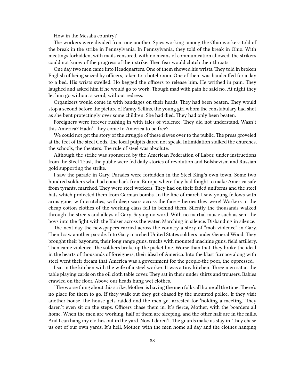How in the Mesaba country?

The workers were divided from one another. Spies working among the Ohio workers told of the break in the strike in Pennsylvania. In Pennsylvania, they told of the break in Ohio. With meetings forbidden, with mails censored, with no means of communication allowed, the strikers could not know of the progress of their strike. Then fear would clutch their throats.

One day two men came into Headquarters. One of them showed his wrists. They told in broken English of being seized by officers, taken to a hotel room. One of them was handcuffed for a day to a bed. His wrists swelled. Ho begged the officers to release him. He writhed in pain. They laughed and asked him if he would go to work. Though mad with pain he said no. At night they let him go without a word, without redress.

Organizers would come in with bandages on their heads. They had been beaten. They would stop a second before the picture of Fanny Sellins, the young girl whom the constabulary had shot as she bent protectingly over some children. She had died. They had only been beaten.

Foreigners were forever rushing in with tales of violence. They did not understand. Wasn't this America? Hadn't they come to America to be free?

We could not get the story of the struggle of these slaves over to the public. The press groveled at the feet of the steel Gods. The local pulpits dared not speak. Intimidation stalked the churches, the schools, the theaters. The rule of steel was absolute.

Although the strike was sponsored by the American Federation of Labor, under instructions from the Steel Trust, the public were fed daily stories of revolution and Bolshevism and Russian gold supporting the strike.

I saw the parade in Gary. Parades were forbidden in the Steel King's own town. Some two hundred soldiers who had come back from Europe where they had fought to make America safe from tyrants, marched. They were steel workers. They had on their faded uniforms and the steel hats which protected them from German bombs. In the line of march I saw young fellows with arms gone, with crutches, with deep scars across the face – heroes they were! Workers in the cheap cotton clothes of the working class fell in behind them. Silently the thousands walked through the streets and alleys of Gary. Saying no word. With no martial music such as sent the boys into the fight with the Kaiser across the water. Marching in silence. Disbanding in silence.

The next day the newspapers carried across the country a story of "mob violence" in Gary. Then I saw another parade. Into Gary marched United States soldiers under General Wood. They brought their bayonets, their long range guns, trucks with mounted machine guns, field artillery. Then came violence. The soldiers broke up the picket line. Worse than that, they broke the ideal in the hearts of thousands of foreigners, their ideal of America. Into the blast furnace along with steel went their dream that America was a government for the people-the poor, the oppressed.

I sat in the kitchen with the wife of a steel worker. It was a tiny kitchen. Three men sat at the table playing cards on the oil cloth table cover. They sat in their under shirts and trousers. Babies crawled on the floor. Above our heads hung wet clothes.

"The worse thing about this strike, Mother, is having the men folks all home all the time. There's no place for them to go. If they walk out they get chased by the mounted police. If they visit another house, the house gets raided and the men get arrested for 'holding a meeting.' They daren't even sit on the steps. Officers chase them in. It's fierce, Mother, with the boarders all home. When the men are working, half of them are sleeping, and the other half are in the mills. And I can hang my clothes out in the yard. Now I daren't. The guards make us stay in. They chase us out of our own yards. It's hell, Mother, with the men home all day and the clothes hanging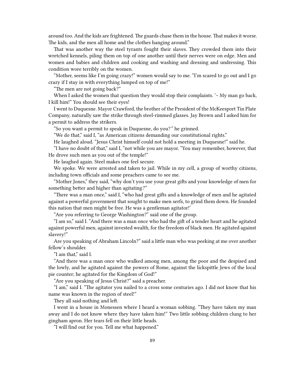around too. And the kids are frightened. The guards chase them in the house. That makes it worse. The kids, and the men all home and the clothes hanging around."

That was another way the steel tyrants fought their slaves. They crowded them into their wretched kennels, piling them on top of one another until their nerves were on edge. Men and women and babies and children and cooking and washing and dressing and undressing. This condition wore terribly on the women.

"Mother, seems like I'm going crazy!" women would say to me. "I'm scared to go out and I go crazy if I stay in with everything lumped on top of me!"

"The men are not going back?"

When I asked the women that question they would stop their complaints.  $\sim$  My man go back, I kill him!" You should see their eyes!

I went to Duquesne. Mayor Crawford, the brother of the President of the McKeesport Tin Plate Company, naturally saw the strike through steel-rimmed glasses. Jay Brown and I asked him for a permit to address the strikers.

"So you want a permit to speak in Duquesne, do you?*"* he grinned.

"We do that," said I, "as American citizens demanding our constitutional rights."

He laughed aloud. "Jesus Christ himself could not hold a meeting in Duquesne!" said he.

"I have no doubt of that," said I, "not while you are mayor. "You may remember, however, that He drove such men as you out of the temple!"

He laughed again. Steel makes one feel secure.

We spoke. We were arrested and taken to jail. While in my cell, a group of worthy citizens, including town officials and some preachers came to see me.

"Mother Jones," they said, "why don't you use your great gifts and your knowledge of men for something better and higher than agitating*?"*

"There was a man once," said I, "who had great gifts and a knowledge of men and he agitated against a powerful government that sought to make men serfs, to grind them down. He founded this nation that men might be free. He was a gentleman agitator!'

"Are you referring to George Washington?" said one of the group.

"I am so," said I. "And there was a man once who had the gift of a tender heart and he agitated against powerful men, against invested wealth, for the freedom of black men. He agitated against slavery!"

Are you speaking of Abraham Lincoln?" said a little man who was peeking at me over another fellow's shoulder.

"I am that," said I.

"And there was a man once who walked among men, among the poor and the despised and the lowly, and he agitated against the powers of Rome, against the lickspittle Jews of the local pie counter; he agitated for the Kingdom of God!"

"Are you speaking of Jesus Christ?" said a preacher.

"I am," said I. "The agitator you nailed to a cross some centuries ago. I did not know that his name was known in the region of steel!"

They all said nothing and left.

I went in a house in Monessen where I heard a woman sobbing. "They have taken my man away and I do not know where they have taken him!" Two little sobbing children clung to her gingham apron. Her tears fell on their little heads.

"I will find out for you. Tell me what happened."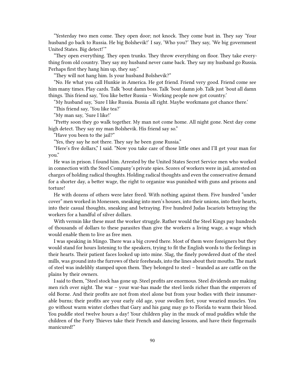"Yesterday two men come. They open door; not knock. They come bust in. They say 'Your husband go back to Russia. He big Bolshevik!' I say, 'Who you?' They say, 'We big government United States. Big detect!'"

"They open everything. They open trunks. They throw everything on floor. They take everything from old country. They say my husband never came back. They say my husband go Russia. Perhaps first they hang him up, they say."

"They will not hang him. Is your husband Bolshevik?"

"No. He what you call Hunkie in America. He got friend. Friend very good. Friend come see him many times. Play cards. Talk 'bout damn boss. Talk 'bout damn job. Talk just 'bout all damn things. This friend say, 'You like better Russia – Working people now got country.'

"My husband say, 'Sure I like Russia. Bussia all right. Maybe workmans got chance there.'

"This friend say, 'You like tea?'

"My man say, 'Sure I like!'

"Pretty soon they go walk together. My man not come home. All night gone. Next day come high detect. They say my man Bolshevik. His friend say so."

"Have you been to the jail?"

"Yes, they say he not there. They say he been gone Russia."

"Here's five dollars," I said. "Now you take care of those little ones and I'll get your man for you."

He was in prison. I found him. Arrested by the United States Secret Service men who worked in connection with the Steel Company's private spies. Scores of workers were in jail, arrested on charges of holding radical thoughts. Holding radical thoughts and even the conservative demand for a shorter day, a better wage, the right to organize was punished with guns and prisons and torture!

He with dozens of others were later freed. With nothing against them. Five hundred "under cover" men worked in Monessen, sneaking into men's houses, into their unions, into their hearts, into their casual thoughts, sneaking and betraying. Five hundred Judas Iscariots betraying the workers for a handful of silver dollars.

With vermin like these must the worker struggle. Rather would the Steel Kings pay hundreds of thousands of dollars to these parasites than give the workers a living wage, a wage which would enable them to live as free men.

I was speaking in Mingo. There was a big crowd there. Most of them were foreigners but they would stand for hours listening to the speakers, trying to fit the English words to the feelings in their hearts. Their patient faces looked up into mine. Slag, the finely powdered dust of the steel mills, was ground into the furrows of their foreheads, into the lines about their mouths. The mark of steel was indelibly stamped upon them. They belonged to steel – branded as are cattle on the plains by their owners.

I said to them, "Steel stock has gone up. Steel profits are enormous. Steel dividends are making men rich over night. The war – your war-has made the steel lords richer than the emperors of old Borne. And their profits are not from steel alone but from your bodies with their innumerable burns; their profits are your early old age, your swollen feet, your wearied muscles. You go without warm winter clothes that Gary and his gang may go to Florida to warm their blood. You puddle steel twelve hours a day! Your children play in the muck of mud puddles while the children of the Forty Thieves take their French and dancing lessons, and have their fingernails manicured!"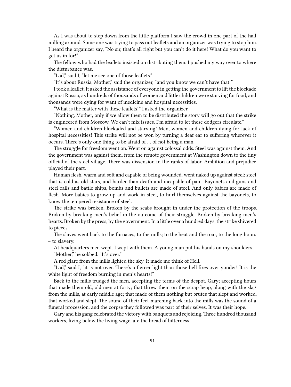As I was about to step down from the little platform I saw the crowd in one part of the hall milling around. Some one was trying to pass out leaflets and an organizer was trying to stop him. I heard the organizer say, "No sir, that's all right but you can't do it here! What do you want to get us in for!"

The fellow who had the leaflets insisted on distributing them. I pushed my way over to where the disturbance was.

"Lad," said I, "let me see one of those leaflets."

"It's about Russia, Mother," said the organizer, "and you know we can't have that!"

I took a leaflet. It asked the assistance of everyone in getting the government to lift the blockade against Russia, as hundreds of thousands of women and little children were starving for food, and thousands were dying for want of medicine and hospital necessities.

"What is the matter with these leaflets!" I asked the organizer.

"Nothing, Mother, only if we allow them to be distributed the story will go out that the strike is engineered from Moscow. We can't mix issues. I'm afraid to let these dodgers circulate."

"Women and children blockaded and starving! Men, women and children dying for lack of hospital necessities! This strike will not be won by turning a deaf ear to suffering wherever it occurs. There's only one thing to be afraid of … of not being a man

The struggle for freedom went on. Went on against colossal odds. Steel was against them. And the government was against them, from the remote government at Washington down to the tiny official of the steel village. There was dissension in the ranks of labor. Ambition and prejudice played their part.

Human flesh, warm and soft and capable of being wounded, went naked up against steel; steel that is cold as old stars, and harder than death and incapable of pain. Bayonets and guns and steel rails and battle ships, bombs and bullets are made of steel. And only babies are made of flesh. More babies to grow up and work in steel, to hurl themselves against the bayonets, to know the tempered resistance of steel.

The strike was broken. Broken by the scabs brought in under the protection of the troops. Broken by breaking men's belief in the outcome of their struggle. Broken by breaking men's hearts. Broken by the press, by the government. In a little over a hundred days, the strike shivered to pieces.

The slaves went back to the furnaces, to the mills; to the heat and the roar, to the long hours – to slavery.

At headquarters men wept. I wept with them. A young man put his hands on my shoulders. "Mother," he sobbed. "It's over."

A red glare from the mills lighted the sky. It made me think of Hell.

"Lad," said I, "it is not over. There's a fiercer light than those hell fires over yonder! It is the white light of freedom burning in men's hearts!"

Back to the mills trudged the men, accepting the terms of the despot, Gary; accepting hours that made them old, old men at forty; that threw them on the scrap heap, along with the slag from the mills, at early middle age; that made of them nothing but brutes that slept and worked, that worked and slept. The sound of their feet marching back into the mills was the sound of a funeral procession, and the corpse they followed was part of their selves. It was their hope.

Gary and his gang celebrated the victory with banquets and rejoicing. Three hundred thousand workers, living below the living wage, ate the bread of bitterness.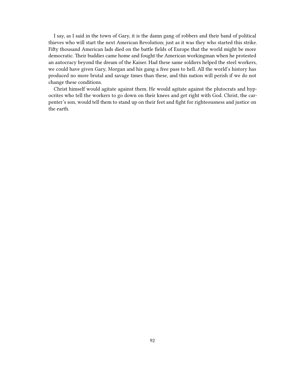I say, as I said in the town of Gary, it is the damn gang of robbers and their band of political thieves who will start the next American Revolution; just as it was they who started this strike. Fifty thousand American lads died on the battle fields of Europe that the world might be more democratic. Their buddies came home and fought the American workingman when he protested an autocracy beyond the dream of the Kaiser. Had these same soldiers helped the steel workers, we could have given Gary, Morgan and his gang a free pass to hell. All the world's history has produced no more brutal and savage times than these, and this nation will perish if we do not change these conditions.

Christ himself would agitate against them. He would agitate against the plutocrats and hypocrites who tell the workers to go down on their knees and get right with God. Christ, the carpenter's son, would tell them to stand up on their feet and fight for righteousness and justice on the earth.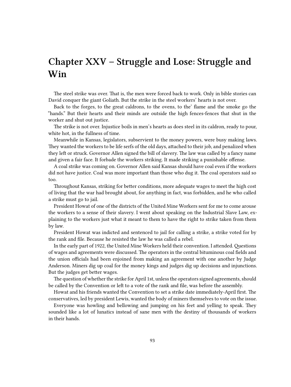# **Chapter XXV – Struggle and Lose: Struggle and Win**

The steel strike was over. That is, the men were forced back to work. Only in bible stories can David conquer the giant Goliath. But the strike in the steel workers' hearts is not over.

Back to the forges, to the great caldrons, to the ovens, to the' flame and the smoke go the "hands." But their hearts and their minds are outside the high fences-fences that shut in the worker and shut out justice.

The strike is not over. Injustice boils in men's hearts as does steel in its caldron, ready to pour, white hot, in the fullness of time.

Meanwhile in Kansas, legislators, subservient to the money powers, were busy making laws. They wanted the workers to be life serfs of the old days, attached to their job, and penalized when they left or struck. Governor Allen signed the bill of slavery. The law was called by a fancy name and given a fair face. It forbade the workers striking. It made striking a punishable offense.

A coal strike was coming on. Governor Allen said Kansas should have coal even if the workers did not have justice. Coal was more important than those who dug it. The coal operators said so too.

Throughout Kansas, striking for better conditions, more adequate wages to meet the high cost of living that the war had brought about, for anything in fact, was forbidden, and he who called a strike must go to jail.

President Howat of one of the districts of the United Mine Workers sent for me to come arouse the workers to a sense of their slavery. I went about speaking on the Industrial Slave Law, explaining to the workers just what it meant to them to have the right to strike taken from them by law.

President Howat was indicted and sentenced to jail for calling a strike, a strike voted for by the rank and file. Because he resisted the law he was called a rebel.

In the early part of 1922, the United Mine Workers held their convention. I attended.Questions of wages and agreements were discussed. The operators in the central bituminous coal fields and the union officials had been enjoined from making an agreement with one another by Judge Anderson. Miners dig up coal for the money kings and judges dig up decisions and injunctions. But the judges get better wages.

The question of whether the strike for April 1st, unless the operators signed agreements, should be called by the Convention or left to a vote of the rank and file, was before the assembly.

Howat and his friends wanted the Convention to set a strike date immediately-April first. The conservatives, led by president Lewis, wanted the body of miners themselves to vote on the issue.

Everyone was howling and bellowing and jumping on his feet and yelling to speak. They sounded like a lot of lunatics instead of sane men with the destiny of thousands of workers in their hands.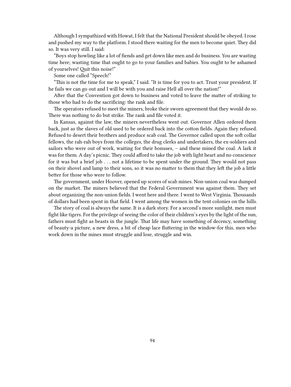Although I sympathized with Howat, I felt that the National President should be obeyed. I rose and pushed my way to the platform. I stood there waiting for the men to become quiet. They did so. It was very still. I said:

"Boys stop howling like a lot of fiends and get down like men and do business. You are wasting time here; wasting time that ought to go to your families and babies. You ought to be ashamed of yourselves! Quit this noise!"

Some one called "Speech!"

"This is not the time for me to speak," I said. "It is time for you to act. Trust your president. If he fails we can go out and I will be with you and raise Hell all over the nation!"

After that the Convention got down to business and voted to leave the matter of striking to those who had to do the sacrificing: the rank and file.

The operators refused to meet the miners, broke their sworn agreement that they would do so. There was nothing to do but strike. The rank and file voted it.

In Kansas, against the law, the miners nevertheless went out. Governor Allen ordered them back, just as the slaves of old used to be ordered back into the cotton fields. Again they refused. Refused to desert their brothers and produce scab coal. The Governor called upon the soft collar fellows, the rah-rah boys from the colleges, the drug clerks and undertakers, the ex-soldiers and sailors who were out of work, waiting for their bonuses, – and these mined the coal. A lark it was for them. A day's picnic. They could afford to take the job with light heart and no conscience for it was but a brief job . . . not a lifetime to be spent under the ground. They would not pass on their shovel and lamp to their sons, so it was no matter to them that they left the job a little better for those who were to follow.

The government, under Hoover, opened up scores of scab mines. Non-union coal was dumped on the market. The miners believed that the Federal Government was against them. They set about organizing the non-union fields. I went here and there. I went to West Virginia. Thousands of dollars had been spent in that field. I went among the women in the tent colonies on the hills.

The story of coal is always the same. It is a dark story. For a second's more sunlight, men must fight like tigers. For the privilege of seeing the color of their children's eyes by the light of the sun, fathers must fight as beasts in the jungle. That life may have something of decency, something of beauty-a picture, a new dress, a bit of cheap lace fluttering in the window-for this, men who work down in the mines must struggle and lose, struggle and win.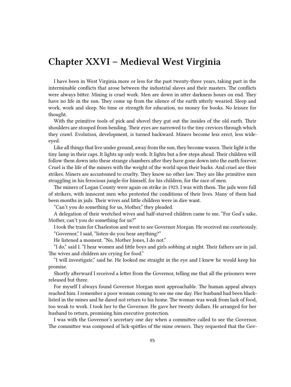#### **Chapter XXVI – Medieval West Virginia**

I have been in West Virginia more or less for the past twenty-three years, taking part in the interminable conflicts that arose between the industrial slaves and their masters. The conflicts were always bitter. Mining is cruel work. Men are down in utter darkness hours on end. They have no life in the sun. They come up from the silence of the earth utterly wearied. Sleep and work, work and sleep. No time or strength for education, no money for books. No leisure for thought.

With the primitive tools of pick and shovel they gut out the insides of the old earth. Their shoulders are stooped from bending. Their eyes are narrowed to the tiny crevices through which they crawl. Evolution, development, is turned backward. Miners become less erect, less wideeyed.

Like all things that live under ground, away from the sun, they become waxen. Their light is the tiny lamp in their caps. It lights up only work. It lights but a few steps ahead. Their children will follow them down into these strange chambers after they have gone down into the earth forever. Cruel is the life of the miners with the weight of the world upon their backs. And cruel are their strikes. Miners are accustomed to cruelty. They know no other law. They are like primitive men struggling in his ferocious jungle-for himself, for his children, for the race of men.

The miners of Logan County were again on strike in 1923. I was with them. The jails were full of strikers, with innocent men who protested the conditions of their lives. Many of them had been months in jails. Their wives and little children were in dire want.

"Can't you do something for us, Mother," they pleaded.

A delegation of their wretched wives and half-starved children came to me. "For God's sake, Mother, can't you do something for us?"

I took the train for Charleston and went to see Governor Morgan. He received me courteously. "Governor," I said, "listen-do you hear anything?"

He listened a moment. "No, Mother Jones, I do not."

"I do," said I. "I hear women and little boys and girls sobbing at night. Their fathers are in jail. The wives and children are crying for food."

"I will investigate," said he. He looked me straight in the eye and I knew he would keep his promise.

Shortly afterward I received a letter from the Governor, telling me that all the prisoners were released but three.

For myself I always found Governor Morgan most approachable. The human appeal always reached him. I remember a poor woman coming to see me one day. Her husband had been blacklisted in the mines and he dared not return to his home. The woman was weak from lack of food, too weak to work. I took her to the Governor. He gave her twenty dollars. He arranged for her husband to return, promising him executive protection.

I was with the Governor's secretary one day when a committee called to see the Governor. The committee was composed of lick-spittles of the mine owners. They requested that the Gov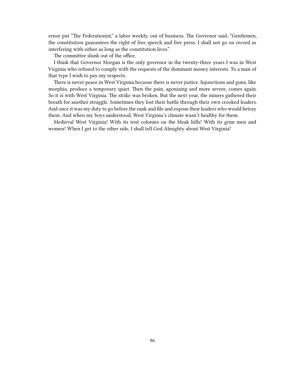ernor put "The Federationist," a labor weekly, out of business. The Governor said, "Gentlemen, the constitution guarantees the right of free speech and free press. I shall not go on record as interfering with either as long as the constitution lives."

The committee slunk out of the office.

I think that Governor Morgan is the only governor in the twenty-three years I was in West Virginia who refused to comply with the requests of the dominant money interests. To a man of that type I wish to pay my respects.

There is never peace in West Virginia because there is never justice. Injunctions and guns, like morphia, produce a temporary quiet. Then the pain, agonizing and more severe, comes again. So it is with West Virginia. The strike was broken. But the next year, the miners gathered their breath for another struggle. Sometimes they lost their battle through their own crooked leaders. And once it was my duty to go before the rank and file and expose their leaders who would betray them. And when my boys understood, West Virginia's climate wasn't healthy for them.

Medieval West Virginia! With its tent colonies on the bleak hills! With its grim men and women! When I get to the other side, I shall tell God Almighty about West Virginia!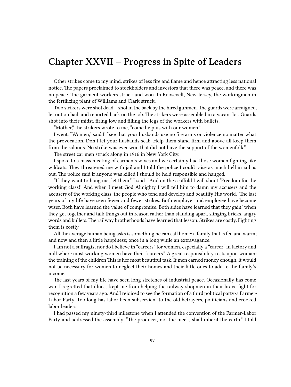## **Chapter XXVII – Progress in Spite of Leaders**

Other strikes come to my mind, strikes of less fire and flame and hence attracting less national notice. The papers proclaimed to stockholders and investors that there was peace, and there was no peace. The garment workers struck and won. In Roosevelt, New Jersey, the workingmen in the fertilizing plant of Williams and Clark struck.

Two strikers were shot dead – shot in the back by the hired gunmen.The guards were arraigned, let out on bail, and reported back on the job. The strikers were assembled in a vacant lot. Guards shot into their midst, firing low and filling the legs of the workers with bullets.

"Mother," the strikers wrote to me, "come help us with our women."

I went. "Women," said I, "see that your husbands use no fire arms or violence no matter what the provocation. Don't let your husbands scab. Help them stand firm and above all keep them from the saloons. No strike was ever won that did not have the support of the womenfolk."

The street car men struck along in 1916 in New York City.

I spoke to a mass meeting of carmen's wives and we certainly had those women fighting like wildcats. They threatened me with jail and I told the police I could raise as much hell in jail as out. The police said if anyone was killed I should be held responsible and hanged.

"If they want to hang me, let them," I said. "And on the scaffold I will shout 'Freedom for the working class!' And when I meet God Almighty I will tell him to damn my accusers and the accusers of the working class, the people who tend and develop and beautify His world." The last years of my life have seen fewer and fewer strikes. Both employer and employee have become wiser. Both have learned the value of compromise. Both sides have learned that they gain' when they get together and talk things out in reason rather than standing apart, slinging bricks, angry words and bullets. The railway brotherhoods have learned that lesson. Strikes are costly. Fighting them is costly.

All the average human being asks is something he can call home; a family that is fed and warm; and now and then a little happiness; once in a long while an extravagance.

I am not a suffragist nor do I believe in "careers" for women, especially a "career" in factory and mill where most working women have their "careers." A great responsibility rests upon womanthe training of the children This is her most beautiful task. If men earned money enough, it would not be necessary for women to neglect their homes and their little ones to add to the family's income.

The last years of my life have seen long stretches of industrial peace. Occasionally has come war. I regretted that illness kept me from helping the railway shopmen in their brave fight for recognition a few years ago. And I rejoiced to see the formation of a third political party-a Farmer-Labor Party. Too long has labor been subservient to the old betrayers, politicians and crooked labor leaders.

I had passed my ninety-third milestone when I attended the convention of the Farmer-Labor Party and addressed the assembly. "The producer, not the meek, shall inherit the earth," I told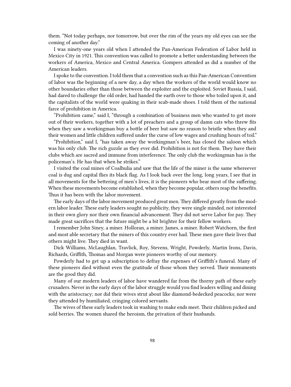them. "Not today perhaps, nor tomorrow, but over the rim of the years my old eyes can see the coming of another day."

I was ninety-one years old when I attended the Pan-American Federation of Labor held in Mexico City in 1921. This convention was called to promote a better understanding between the workers of America, Mexico and Central America. Gompers attended as did a number of the American leaders.

I spoke to the convention. I told them that a convention such as this Pan-American Convention of labor was the beginning of a new day, a day when the workers of the world would know no other boundaries other than those between the exploiter and the exploited. Soviet Russia, I said, had dared to challenge the old order, had handed the earth over to those who toiled upon it, and the capitalists of the world were quaking in their scab-made shoes. I told them of the national farce of prohibition in America.

"Prohibition came," said I, "through a combination of business men who wanted to get more out of their workers, together with a lot of preachers and a group of damn cats who threw fits when they saw a workingman buy a bottle of beer but saw no reason to bristle when they and their women and little children suffered under the curse of low wages and crushing hours of toil."

"Prohibition," said I, "has taken away the workingman's beer, has closed the saloon which was his only club. The rich guzzle as they ever did. Prohibition is not for them. They have their clubs which are sacred and immune from interference. The only club the workingman has is the policeman's. He has that when he strikes."

I visited the coal mines of Coalhulia and saw that the life of the miner is the same whereever coal is dug and capital flies its black flag. As I look back over the long, long years, I see that in all movements for the bettering of men's lives, it is the pioneers who bear most of the suffering. When these movements become established, when they become popular, others reap the benefits. Thus it has been with the labor movement.

The early days of the labor movement produced great men. They differed greatly from the modern labor leader. These early leaders sought no publicity, they were single minded, not interested in their own glory nor their own financial advancement. They did not serve Labor for pay. They made great sacrifices that the future might be a bit brighter for their fellow workers.

I remember John Siney, a miner. Holloran, a miner. James, a miner. Robert Watchorn, the first and most able secretary that the miners of this country ever had. These men gave their lives that others might live. They died in want.

Dick Williams, McLaughlan, Travlick, Roy, Stevens, Wright, Powderly, Martin Irons, Davis, Richards, Griffith, Thomas and Morgan were pioneers worthy of our memory.

Powderly had to get up a subscription to defray the expenses of Griffith's funeral. Many of these pioneers died without even the gratitude of those whom they served. Their monuments are the good they did.

Many of our modern leaders of labor have wandered far from the thorny path of these early crusaders. Never in the early days of the labor struggle would you find leaders willing and dining with the aristocracy; nor did their wives strut about like diamond-bedecked peacocks; nor were they attended by humiliated, cringing colored servants.

The wives of these early leaders took in washing to make ends meet. Their children picked and sold berries. The women shared the heroism, the privation of their husbands.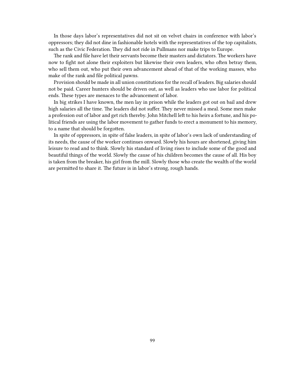In those days labor's representatives did not sit on velvet chairs in conference with labor's oppressors; they did not dine in fashionable hotels with the representatives of the top capitalists, such as the Civic Federation. They did not ride in Pullmans nor make trips to Europe.

The rank and file have let their servants become their masters and dictators. The workers have now to fight not alone their exploiters but likewise their own leaders, who often betray them, who sell them out, who put their own advancement ahead of that of the working masses, who make of the rank and file political pawns.

Provision should be made in all union constitutions for the recall of leaders. Big salaries should not be paid. Career hunters should be driven out, as well as leaders who use labor for political ends. These types are menaces to the advancement of labor.

In big strikes I have known, the men lay in prison while the leaders got out on bail and drew high salaries all the time. The leaders did not suffer. They never missed a meal. Some men make a profession out of labor and get rich thereby. John Mitchell left to his heirs a fortune, and his political friends are using the labor movement to gather funds to erect a monument to his memory, to a name that should be forgotten.

In spite of oppressors, in spite of false leaders, in spite of labor's own lack of understanding of its needs, the cause of the worker continues onward. Slowly his hours are shortened, giving him leisure to read and to think. Slowly his standard of living rises to include some of the good and beautiful things of the world. Slowly the cause of his children becomes the cause of all. His boy is taken from the breaker, his girl from the mill. Slowly those who create the wealth of the world are permitted to share it. The future is in labor's strong, rough hands.